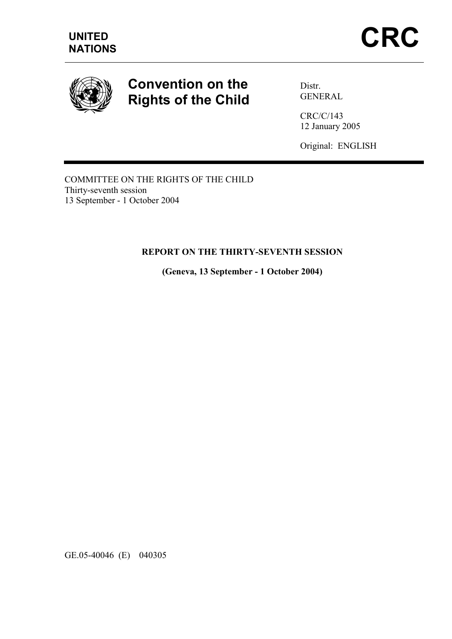

# Convention on the Rights of the Child

Distr. GENERAL

CRC/C/143 12 January 2005

Original: ENGLISH

COMMITTEE ON THE RIGHTS OF THE CHILD Thirty-seventh session 13 September - 1 October 2004

#### REPORT ON THE THIRTY-SEVENTH SESSION

(Geneva, 13 September - 1 October 2004)

GE.05-40046 (E) 040305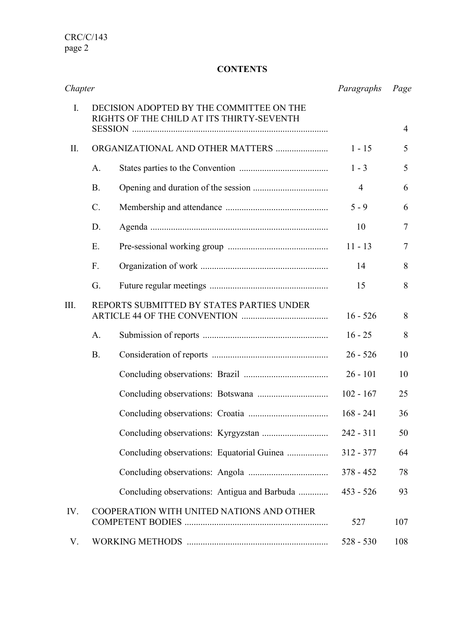CRC/C/143 page 2

# **CONTENTS**

| Chapter |                                                                                       | Paragraphs     | Page           |
|---------|---------------------------------------------------------------------------------------|----------------|----------------|
| I.      | DECISION ADOPTED BY THE COMMITTEE ON THE<br>RIGHTS OF THE CHILD AT ITS THIRTY-SEVENTH |                | $\overline{4}$ |
| П.      | ORGANIZATIONAL AND OTHER MATTERS                                                      | $1 - 15$       | 5              |
|         | A.                                                                                    | $1 - 3$        | 5              |
|         | <b>B.</b>                                                                             | $\overline{4}$ | 6              |
|         | $\mathcal{C}$ .                                                                       | $5 - 9$        | 6              |
|         | D.                                                                                    | 10             | $\overline{7}$ |
|         | E.                                                                                    | $11 - 13$      | $\overline{7}$ |
|         | F.                                                                                    | 14             | 8              |
|         | G.                                                                                    | 15             | 8              |
| III.    | REPORTS SUBMITTED BY STATES PARTIES UNDER                                             | $16 - 526$     | 8              |
|         | A.                                                                                    | $16 - 25$      | 8              |
|         | <b>B.</b>                                                                             | $26 - 526$     | 10             |
|         |                                                                                       | $26 - 101$     | 10             |
|         |                                                                                       | $102 - 167$    | 25             |
|         |                                                                                       | $168 - 241$    | 36             |
|         |                                                                                       | $242 - 311$    | 50             |
|         |                                                                                       | $312 - 377$    | 64             |
|         |                                                                                       | $378 - 452$    | 78             |
|         | Concluding observations: Antigua and Barbuda                                          | $453 - 526$    | 93             |
| IV.     | COOPERATION WITH UNITED NATIONS AND OTHER                                             | 527            | 107            |
| V.      |                                                                                       | $528 - 530$    | 108            |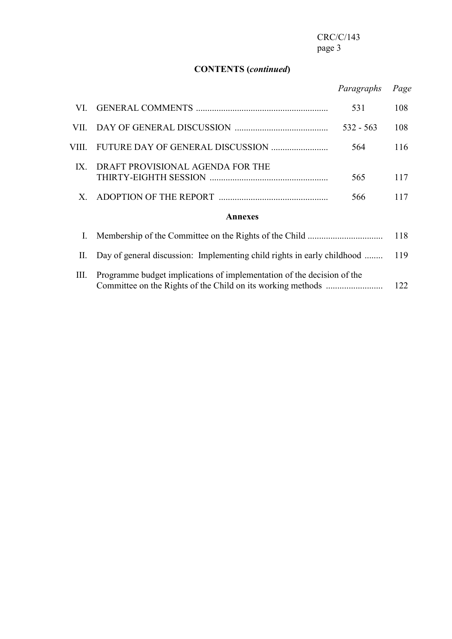# CONTENTS (continued)

# Paragraphs Page

| VI.            |                                                                         | 531         | 108 |  |  |
|----------------|-------------------------------------------------------------------------|-------------|-----|--|--|
| VII -          |                                                                         | $532 - 563$ | 108 |  |  |
| VIII -         |                                                                         | 564         | 116 |  |  |
| IX             | DRAFT PROVISIONAL AGENDA FOR THE                                        | 565         | 117 |  |  |
| X              |                                                                         | 566         | 117 |  |  |
| <b>Annexes</b> |                                                                         |             |     |  |  |
| I.             |                                                                         |             | 118 |  |  |
| П.             | Day of general discussion: Implementing child rights in early childhood |             | 119 |  |  |
|                |                                                                         |             |     |  |  |

 III. Programme budget implications of implementation of the decision of the Committee on the Rights of the Child on its working methods ......................... 122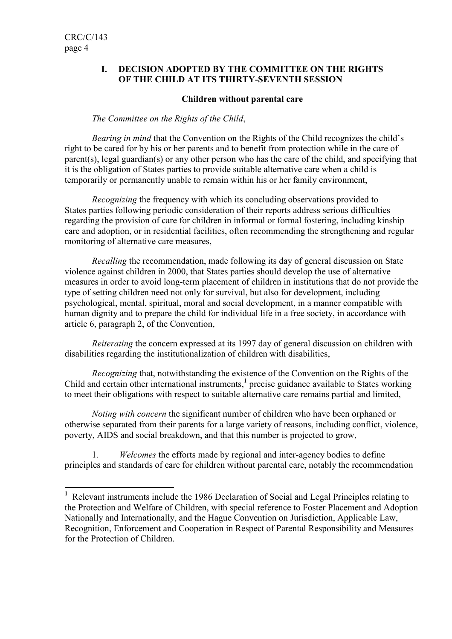## I. DECISION ADOPTED BY THE COMMITTEE ON THE RIGHTS OF THE CHILD AT ITS THIRTY-SEVENTH SESSION

#### Children without parental care

#### The Committee on the Rights of the Child,

 Bearing in mind that the Convention on the Rights of the Child recognizes the child's right to be cared for by his or her parents and to benefit from protection while in the care of parent(s), legal guardian(s) or any other person who has the care of the child, and specifying that it is the obligation of States parties to provide suitable alternative care when a child is temporarily or permanently unable to remain within his or her family environment,

Recognizing the frequency with which its concluding observations provided to States parties following periodic consideration of their reports address serious difficulties regarding the provision of care for children in informal or formal fostering, including kinship care and adoption, or in residential facilities, often recommending the strengthening and regular monitoring of alternative care measures,

Recalling the recommendation, made following its day of general discussion on State violence against children in 2000, that States parties should develop the use of alternative measures in order to avoid long-term placement of children in institutions that do not provide the type of setting children need not only for survival, but also for development, including psychological, mental, spiritual, moral and social development, in a manner compatible with human dignity and to prepare the child for individual life in a free society, in accordance with article 6, paragraph 2, of the Convention,

 Reiterating the concern expressed at its 1997 day of general discussion on children with disabilities regarding the institutionalization of children with disabilities,

Recognizing that, notwithstanding the existence of the Convention on the Rights of the Child and certain other international instruments,<sup>1</sup> precise guidance available to States working to meet their obligations with respect to suitable alternative care remains partial and limited,

Noting with concern the significant number of children who have been orphaned or otherwise separated from their parents for a large variety of reasons, including conflict, violence, poverty, AIDS and social breakdown, and that this number is projected to grow,

1. Welcomes the efforts made by regional and inter-agency bodies to define principles and standards of care for children without parental care, notably the recommendation

<sup>&</sup>lt;sup>1</sup> Relevant instruments include the 1986 Declaration of Social and Legal Principles relating to the Protection and Welfare of Children, with special reference to Foster Placement and Adoption Nationally and Internationally, and the Hague Convention on Jurisdiction, Applicable Law, Recognition, Enforcement and Cooperation in Respect of Parental Responsibility and Measures for the Protection of Children.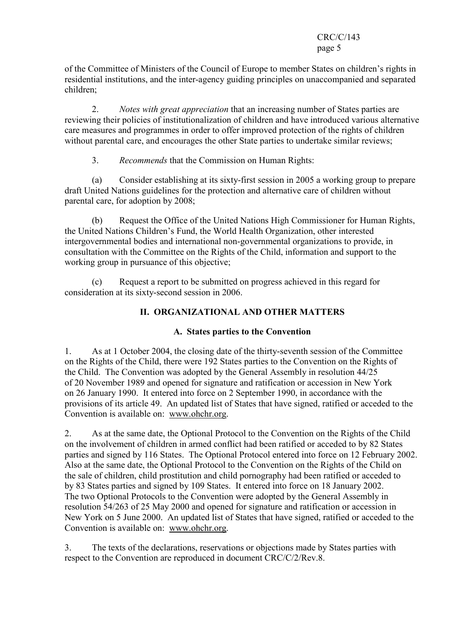#### CRC/C/143 page 5

of the Committee of Ministers of the Council of Europe to member States on children's rights in residential institutions, and the inter-agency guiding principles on unaccompanied and separated children;

2. Notes with great appreciation that an increasing number of States parties are reviewing their policies of institutionalization of children and have introduced various alternative care measures and programmes in order to offer improved protection of the rights of children without parental care, and encourages the other State parties to undertake similar reviews;

3. Recommends that the Commission on Human Rights:

 (a) Consider establishing at its sixty-first session in 2005 a working group to prepare draft United Nations guidelines for the protection and alternative care of children without parental care, for adoption by 2008;

 (b) Request the Office of the United Nations High Commissioner for Human Rights, the United Nations Children's Fund, the World Health Organization, other interested intergovernmental bodies and international non-governmental organizations to provide, in consultation with the Committee on the Rights of the Child, information and support to the working group in pursuance of this objective;

 (c) Request a report to be submitted on progress achieved in this regard for consideration at its sixty-second session in 2006.

# II. ORGANIZATIONAL AND OTHER MATTERS

# A. States parties to the Convention

1. As at 1 October 2004, the closing date of the thirty-seventh session of the Committee on the Rights of the Child, there were 192 States parties to the Convention on the Rights of the Child. The Convention was adopted by the General Assembly in resolution 44/25 of 20 November 1989 and opened for signature and ratification or accession in New York on 26 January 1990. It entered into force on 2 September 1990, in accordance with the provisions of its article 49. An updated list of States that have signed, ratified or acceded to the Convention is available on: www.ohchr.org.

2. As at the same date, the Optional Protocol to the Convention on the Rights of the Child on the involvement of children in armed conflict had been ratified or acceded to by 82 States parties and signed by 116 States. The Optional Protocol entered into force on 12 February 2002. Also at the same date, the Optional Protocol to the Convention on the Rights of the Child on the sale of children, child prostitution and child pornography had been ratified or acceded to by 83 States parties and signed by 109 States. It entered into force on 18 January 2002. The two Optional Protocols to the Convention were adopted by the General Assembly in resolution 54/263 of 25 May 2000 and opened for signature and ratification or accession in New York on 5 June 2000. An updated list of States that have signed, ratified or acceded to the Convention is available on: www.ohchr.org.

3. The texts of the declarations, reservations or objections made by States parties with respect to the Convention are reproduced in document CRC/C/2/Rev.8.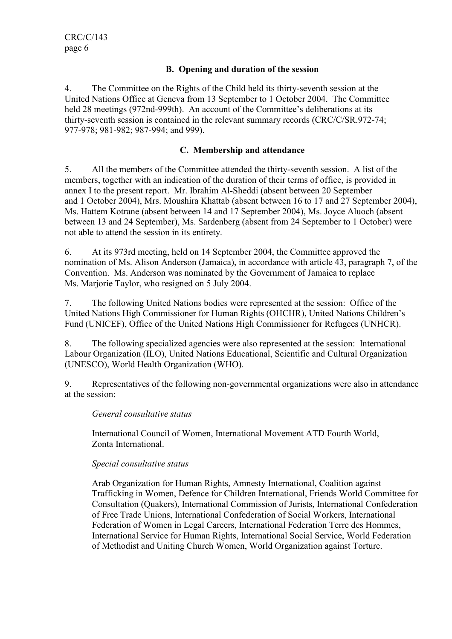# B. Opening and duration of the session

4. The Committee on the Rights of the Child held its thirty-seventh session at the United Nations Office at Geneva from 13 September to 1 October 2004. The Committee held 28 meetings (972nd-999th). An account of the Committee's deliberations at its thirty-seventh session is contained in the relevant summary records (CRC/C/SR.972-74; 977-978; 981-982; 987-994; and 999).

## C. Membership and attendance

5. All the members of the Committee attended the thirty-seventh session. A list of the members, together with an indication of the duration of their terms of office, is provided in annex I to the present report. Mr. Ibrahim Al-Sheddi (absent between 20 September and 1 October 2004), Mrs. Moushira Khattab (absent between 16 to 17 and 27 September 2004), Ms. Hattem Kotrane (absent between 14 and 17 September 2004), Ms. Joyce Aluoch (absent between 13 and 24 September), Ms. Sardenberg (absent from 24 September to 1 October) were not able to attend the session in its entirety.

6. At its 973rd meeting, held on 14 September 2004, the Committee approved the nomination of Ms. Alison Anderson (Jamaica), in accordance with article 43, paragraph 7, of the Convention. Ms. Anderson was nominated by the Government of Jamaica to replace Ms. Marjorie Taylor, who resigned on 5 July 2004.

7. The following United Nations bodies were represented at the session: Office of the United Nations High Commissioner for Human Rights (OHCHR), United Nations Children's Fund (UNICEF), Office of the United Nations High Commissioner for Refugees (UNHCR).

8. The following specialized agencies were also represented at the session: International Labour Organization (ILO), United Nations Educational, Scientific and Cultural Organization (UNESCO), World Health Organization (WHO).

9. Representatives of the following non-governmental organizations were also in attendance at the session:

#### General consultative status

International Council of Women, International Movement ATD Fourth World, Zonta International.

# Special consultative status

Arab Organization for Human Rights, Amnesty International, Coalition against Trafficking in Women, Defence for Children International, Friends World Committee for Consultation (Quakers), International Commission of Jurists, International Confederation of Free Trade Unions, International Confederation of Social Workers, International Federation of Women in Legal Careers, International Federation Terre des Hommes, International Service for Human Rights, International Social Service, World Federation of Methodist and Uniting Church Women, World Organization against Torture.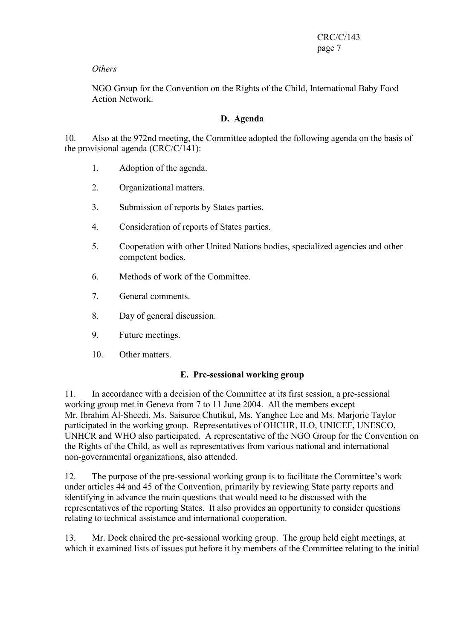# **Others**

NGO Group for the Convention on the Rights of the Child, International Baby Food Action Network.

# D. Agenda

10. Also at the 972nd meeting, the Committee adopted the following agenda on the basis of the provisional agenda (CRC/C/141):

- 1. Adoption of the agenda.
- 2. Organizational matters.
- 3. Submission of reports by States parties.
- 4. Consideration of reports of States parties.
- 5. Cooperation with other United Nations bodies, specialized agencies and other competent bodies.
- 6. Methods of work of the Committee.
- 7. General comments.
- 8. Day of general discussion.
- 9. Future meetings.
- 10. Other matters.

# E. Pre-sessional working group

11. In accordance with a decision of the Committee at its first session, a pre-sessional working group met in Geneva from 7 to 11 June 2004. All the members except Mr. Ibrahim Al-Sheedi, Ms. Saisuree Chutikul, Ms. Yanghee Lee and Ms. Marjorie Taylor participated in the working group. Representatives of OHCHR, ILO, UNICEF, UNESCO, UNHCR and WHO also participated. A representative of the NGO Group for the Convention on the Rights of the Child, as well as representatives from various national and international non-governmental organizations, also attended.

12. The purpose of the pre-sessional working group is to facilitate the Committee's work under articles 44 and 45 of the Convention, primarily by reviewing State party reports and identifying in advance the main questions that would need to be discussed with the representatives of the reporting States. It also provides an opportunity to consider questions relating to technical assistance and international cooperation.

13. Mr. Doek chaired the pre-sessional working group. The group held eight meetings, at which it examined lists of issues put before it by members of the Committee relating to the initial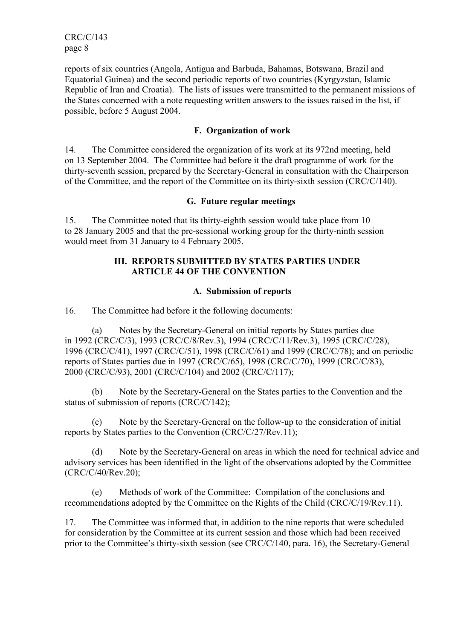CRC/C/143 page 8

reports of six countries (Angola, Antigua and Barbuda, Bahamas, Botswana, Brazil and Equatorial Guinea) and the second periodic reports of two countries (Kyrgyzstan, Islamic Republic of Iran and Croatia). The lists of issues were transmitted to the permanent missions of the States concerned with a note requesting written answers to the issues raised in the list, if possible, before 5 August 2004.

# F. Organization of work

14. The Committee considered the organization of its work at its 972nd meeting, held on 13 September 2004. The Committee had before it the draft programme of work for the thirty-seventh session, prepared by the Secretary-General in consultation with the Chairperson of the Committee, and the report of the Committee on its thirty-sixth session (CRC/C/140).

# G. Future regular meetings

15. The Committee noted that its thirty-eighth session would take place from 10 to 28 January 2005 and that the pre-sessional working group for the thirty-ninth session would meet from 31 January to 4 February 2005.

## III. REPORTS SUBMITTED BY STATES PARTIES UNDER ARTICLE 44 OF THE CONVENTION

#### A. Submission of reports

16. The Committee had before it the following documents:

 (a) Notes by the Secretary-General on initial reports by States parties due in 1992 (CRC/C/3), 1993 (CRC/C/8/Rev.3), 1994 (CRC/C/11/Rev.3), 1995 (CRC/C/28), 1996 (CRC/C/41), 1997 (CRC/C/51), 1998 (CRC/C/61) and 1999 (CRC/C/78); and on periodic reports of States parties due in 1997 (CRC/C/65), 1998 (CRC/C/70), 1999 (CRC/C/83), 2000 (CRC/C/93), 2001 (CRC/C/104) and 2002 (CRC/C/117);

 (b) Note by the Secretary-General on the States parties to the Convention and the status of submission of reports (CRC/C/142);

 (c) Note by the Secretary-General on the follow-up to the consideration of initial reports by States parties to the Convention (CRC/C/27/Rev.11);

 (d) Note by the Secretary-General on areas in which the need for technical advice and advisory services has been identified in the light of the observations adopted by the Committee (CRC/C/40/Rev.20);

 (e) Methods of work of the Committee: Compilation of the conclusions and recommendations adopted by the Committee on the Rights of the Child (CRC/C/19/Rev.11).

17. The Committee was informed that, in addition to the nine reports that were scheduled for consideration by the Committee at its current session and those which had been received prior to the Committee's thirty-sixth session (see CRC/C/140, para. 16), the Secretary-General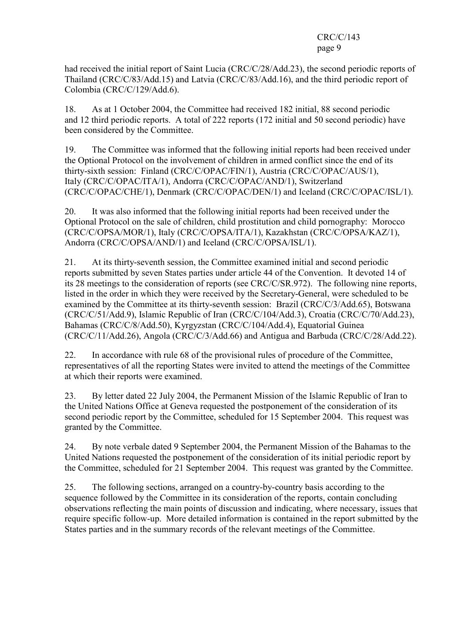#### CRC/C/143 page 9

had received the initial report of Saint Lucia (CRC/C/28/Add.23), the second periodic reports of Thailand (CRC/C/83/Add.15) and Latvia (CRC/C/83/Add.16), and the third periodic report of Colombia (CRC/C/129/Add.6).

18. As at 1 October 2004, the Committee had received 182 initial, 88 second periodic and 12 third periodic reports. A total of 222 reports (172 initial and 50 second periodic) have been considered by the Committee.

19. The Committee was informed that the following initial reports had been received under the Optional Protocol on the involvement of children in armed conflict since the end of its thirty-sixth session: Finland (CRC/C/OPAC/FIN/1), Austria (CRC/C/OPAC/AUS/1), Italy (CRC/C/OPAC/ITA/1), Andorra (CRC/C/OPAC/AND/1), Switzerland (CRC/C/OPAC/CHE/1), Denmark (CRC/C/OPAC/DEN/1) and Iceland (CRC/C/OPAC/ISL/1).

20. It was also informed that the following initial reports had been received under the Optional Protocol on the sale of children, child prostitution and child pornography: Morocco (CRC/C/OPSA/MOR/1), Italy (CRC/C/OPSA/ITA/1), Kazakhstan (CRC/C/OPSA/KAZ/1), Andorra (CRC/C/OPSA/AND/1) and Iceland (CRC/C/OPSA/ISL/1).

21. At its thirty-seventh session, the Committee examined initial and second periodic reports submitted by seven States parties under article 44 of the Convention. It devoted 14 of its 28 meetings to the consideration of reports (see CRC/C/SR.972). The following nine reports, listed in the order in which they were received by the Secretary-General, were scheduled to be examined by the Committee at its thirty-seventh session: Brazil (CRC/C/3/Add.65), Botswana (CRC/C/51/Add.9), Islamic Republic of Iran (CRC/C/104/Add.3), Croatia (CRC/C/70/Add.23), Bahamas (CRC/C/8/Add.50), Kyrgyzstan (CRC/C/104/Add.4), Equatorial Guinea (CRC/C/11/Add.26), Angola (CRC/C/3/Add.66) and Antigua and Barbuda (CRC/C/28/Add.22).

22. In accordance with rule 68 of the provisional rules of procedure of the Committee, representatives of all the reporting States were invited to attend the meetings of the Committee at which their reports were examined.

23. By letter dated 22 July 2004, the Permanent Mission of the Islamic Republic of Iran to the United Nations Office at Geneva requested the postponement of the consideration of its second periodic report by the Committee, scheduled for 15 September 2004. This request was granted by the Committee.

24. By note verbale dated 9 September 2004, the Permanent Mission of the Bahamas to the United Nations requested the postponement of the consideration of its initial periodic report by the Committee, scheduled for 21 September 2004. This request was granted by the Committee.

25. The following sections, arranged on a country-by-country basis according to the sequence followed by the Committee in its consideration of the reports, contain concluding observations reflecting the main points of discussion and indicating, where necessary, issues that require specific follow-up. More detailed information is contained in the report submitted by the States parties and in the summary records of the relevant meetings of the Committee.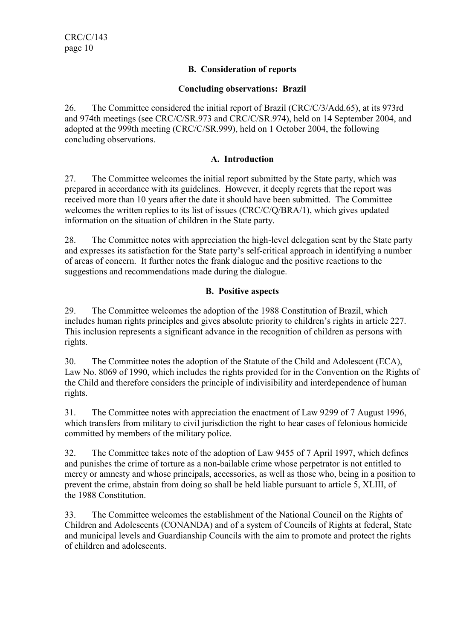# B. Consideration of reports

# Concluding observations: Brazil

26. The Committee considered the initial report of Brazil (CRC/C/3/Add.65), at its 973rd and 974th meetings (see CRC/C/SR.973 and CRC/C/SR.974), held on 14 September 2004, and adopted at the 999th meeting (CRC/C/SR.999), held on 1 October 2004, the following concluding observations.

# A. Introduction

27. The Committee welcomes the initial report submitted by the State party, which was prepared in accordance with its guidelines. However, it deeply regrets that the report was received more than 10 years after the date it should have been submitted. The Committee welcomes the written replies to its list of issues (CRC/C/Q/BRA/1), which gives updated information on the situation of children in the State party.

28. The Committee notes with appreciation the high-level delegation sent by the State party and expresses its satisfaction for the State party's self-critical approach in identifying a number of areas of concern. It further notes the frank dialogue and the positive reactions to the suggestions and recommendations made during the dialogue.

# B. Positive aspects

29. The Committee welcomes the adoption of the 1988 Constitution of Brazil, which includes human rights principles and gives absolute priority to children's rights in article 227. This inclusion represents a significant advance in the recognition of children as persons with rights.

30. The Committee notes the adoption of the Statute of the Child and Adolescent (ECA), Law No. 8069 of 1990, which includes the rights provided for in the Convention on the Rights of the Child and therefore considers the principle of indivisibility and interdependence of human rights.

31. The Committee notes with appreciation the enactment of Law 9299 of 7 August 1996, which transfers from military to civil jurisdiction the right to hear cases of felonious homicide committed by members of the military police.

32. The Committee takes note of the adoption of Law 9455 of 7 April 1997, which defines and punishes the crime of torture as a non-bailable crime whose perpetrator is not entitled to mercy or amnesty and whose principals, accessories, as well as those who, being in a position to prevent the crime, abstain from doing so shall be held liable pursuant to article 5, XLIII, of the 1988 Constitution.

33. The Committee welcomes the establishment of the National Council on the Rights of Children and Adolescents (CONANDA) and of a system of Councils of Rights at federal, State and municipal levels and Guardianship Councils with the aim to promote and protect the rights of children and adolescents.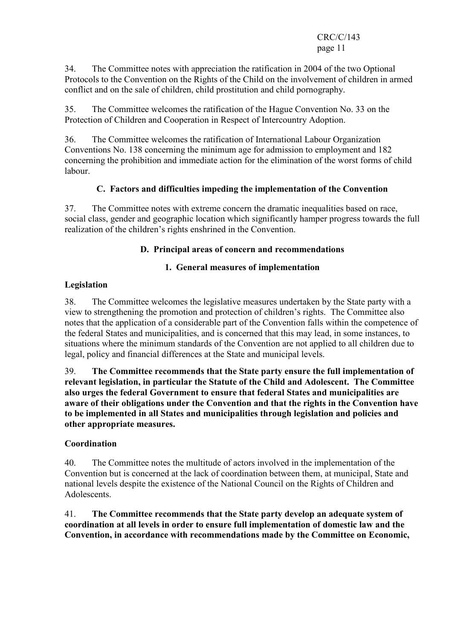# CRC/C/143 page 11

34. The Committee notes with appreciation the ratification in 2004 of the two Optional Protocols to the Convention on the Rights of the Child on the involvement of children in armed conflict and on the sale of children, child prostitution and child pornography.

35. The Committee welcomes the ratification of the Hague Convention No. 33 on the Protection of Children and Cooperation in Respect of Intercountry Adoption.

36. The Committee welcomes the ratification of International Labour Organization Conventions No. 138 concerning the minimum age for admission to employment and 182 concerning the prohibition and immediate action for the elimination of the worst forms of child labour.

# C. Factors and difficulties impeding the implementation of the Convention

37. The Committee notes with extreme concern the dramatic inequalities based on race, social class, gender and geographic location which significantly hamper progress towards the full realization of the children's rights enshrined in the Convention.

# D. Principal areas of concern and recommendations

# 1. General measures of implementation

# Legislation

38. The Committee welcomes the legislative measures undertaken by the State party with a view to strengthening the promotion and protection of children's rights. The Committee also notes that the application of a considerable part of the Convention falls within the competence of the federal States and municipalities, and is concerned that this may lead, in some instances, to situations where the minimum standards of the Convention are not applied to all children due to legal, policy and financial differences at the State and municipal levels.

39. The Committee recommends that the State party ensure the full implementation of relevant legislation, in particular the Statute of the Child and Adolescent. The Committee also urges the federal Government to ensure that federal States and municipalities are aware of their obligations under the Convention and that the rights in the Convention have to be implemented in all States and municipalities through legislation and policies and other appropriate measures.

# Coordination

40. The Committee notes the multitude of actors involved in the implementation of the Convention but is concerned at the lack of coordination between them, at municipal, State and national levels despite the existence of the National Council on the Rights of Children and Adolescents.

41. The Committee recommends that the State party develop an adequate system of coordination at all levels in order to ensure full implementation of domestic law and the Convention, in accordance with recommendations made by the Committee on Economic,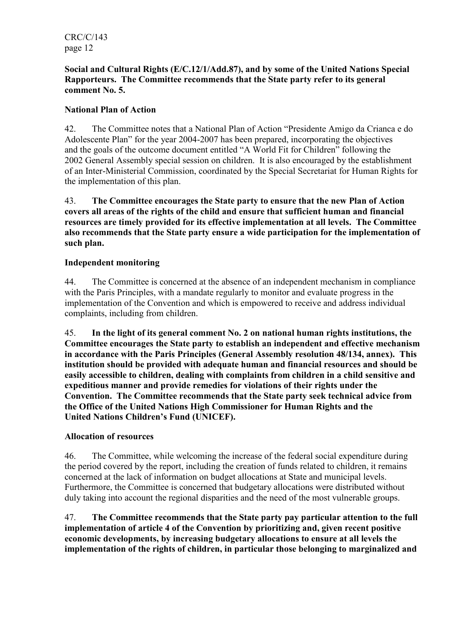CRC/C/143 page 12

## Social and Cultural Rights (E/C.12/1/Add.87), and by some of the United Nations Special Rapporteurs. The Committee recommends that the State party refer to its general comment No. 5.

# National Plan of Action

42. The Committee notes that a National Plan of Action "Presidente Amigo da Crianca e do Adolescente Plan" for the year 2004-2007 has been prepared, incorporating the objectives and the goals of the outcome document entitled "A World Fit for Children" following the 2002 General Assembly special session on children. It is also encouraged by the establishment of an Inter-Ministerial Commission, coordinated by the Special Secretariat for Human Rights for the implementation of this plan.

43. The Committee encourages the State party to ensure that the new Plan of Action covers all areas of the rights of the child and ensure that sufficient human and financial resources are timely provided for its effective implementation at all levels. The Committee also recommends that the State party ensure a wide participation for the implementation of such plan.

# Independent monitoring

44. The Committee is concerned at the absence of an independent mechanism in compliance with the Paris Principles, with a mandate regularly to monitor and evaluate progress in the implementation of the Convention and which is empowered to receive and address individual complaints, including from children.

45. In the light of its general comment No. 2 on national human rights institutions, the Committee encourages the State party to establish an independent and effective mechanism in accordance with the Paris Principles (General Assembly resolution 48/134, annex). This institution should be provided with adequate human and financial resources and should be easily accessible to children, dealing with complaints from children in a child sensitive and expeditious manner and provide remedies for violations of their rights under the Convention. The Committee recommends that the State party seek technical advice from the Office of the United Nations High Commissioner for Human Rights and the United Nations Children's Fund (UNICEF).

# Allocation of resources

46. The Committee, while welcoming the increase of the federal social expenditure during the period covered by the report, including the creation of funds related to children, it remains concerned at the lack of information on budget allocations at State and municipal levels. Furthermore, the Committee is concerned that budgetary allocations were distributed without duly taking into account the regional disparities and the need of the most vulnerable groups.

47. The Committee recommends that the State party pay particular attention to the full implementation of article 4 of the Convention by prioritizing and, given recent positive economic developments, by increasing budgetary allocations to ensure at all levels the implementation of the rights of children, in particular those belonging to marginalized and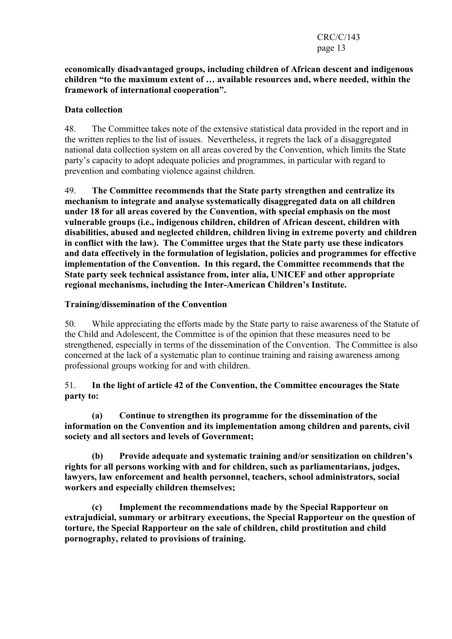#### economically disadvantaged groups, including children of African descent and indigenous children "to the maximum extent of … available resources and, where needed, within the framework of international cooperation".

# Data collection

48. The Committee takes note of the extensive statistical data provided in the report and in the written replies to the list of issues. Nevertheless, it regrets the lack of a disaggregated national data collection system on all areas covered by the Convention, which limits the State party's capacity to adopt adequate policies and programmes, in particular with regard to prevention and combating violence against children.

49. The Committee recommends that the State party strengthen and centralize its mechanism to integrate and analyse systematically disaggregated data on all children under 18 for all areas covered by the Convention, with special emphasis on the most vulnerable groups (i.e., indigenous children, children of African descent, children with disabilities, abused and neglected children, children living in extreme poverty and children in conflict with the law). The Committee urges that the State party use these indicators and data effectively in the formulation of legislation, policies and programmes for effective implementation of the Convention. In this regard, the Committee recommends that the State party seek technical assistance from, inter alia, UNICEF and other appropriate regional mechanisms, including the Inter-American Children's Institute.

# Training/dissemination of the Convention

50. While appreciating the efforts made by the State party to raise awareness of the Statute of the Child and Adolescent, the Committee is of the opinion that these measures need to be strengthened, especially in terms of the dissemination of the Convention. The Committee is also concerned at the lack of a systematic plan to continue training and raising awareness among professional groups working for and with children.

# 51. In the light of article 42 of the Convention, the Committee encourages the State party to:

 (a) Continue to strengthen its programme for the dissemination of the information on the Convention and its implementation among children and parents, civil society and all sectors and levels of Government;

 (b) Provide adequate and systematic training and/or sensitization on children's rights for all persons working with and for children, such as parliamentarians, judges, lawyers, law enforcement and health personnel, teachers, school administrators, social workers and especially children themselves;

 (c) Implement the recommendations made by the Special Rapporteur on extrajudicial, summary or arbitrary executions, the Special Rapporteur on the question of torture, the Special Rapporteur on the sale of children, child prostitution and child pornography, related to provisions of training.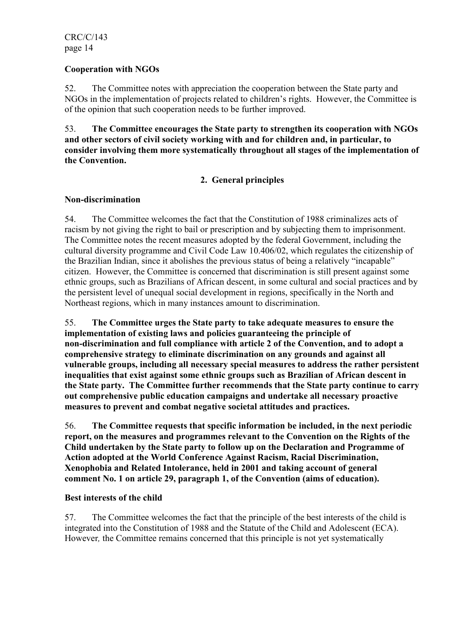# Cooperation with NGOs

52. The Committee notes with appreciation the cooperation between the State party and NGOs in the implementation of projects related to children's rights. However, the Committee is of the opinion that such cooperation needs to be further improved.

53. The Committee encourages the State party to strengthen its cooperation with NGOs and other sectors of civil society working with and for children and, in particular, to consider involving them more systematically throughout all stages of the implementation of the Convention.

# 2. General principles

#### Non-discrimination

54. The Committee welcomes the fact that the Constitution of 1988 criminalizes acts of racism by not giving the right to bail or prescription and by subjecting them to imprisonment. The Committee notes the recent measures adopted by the federal Government, including the cultural diversity programme and Civil Code Law 10.406/02, which regulates the citizenship of the Brazilian Indian, since it abolishes the previous status of being a relatively "incapable" citizen. However, the Committee is concerned that discrimination is still present against some ethnic groups, such as Brazilians of African descent, in some cultural and social practices and by the persistent level of unequal social development in regions, specifically in the North and Northeast regions, which in many instances amount to discrimination.

55. The Committee urges the State party to take adequate measures to ensure the implementation of existing laws and policies guaranteeing the principle of non-discrimination and full compliance with article 2 of the Convention, and to adopt a comprehensive strategy to eliminate discrimination on any grounds and against all vulnerable groups, including all necessary special measures to address the rather persistent inequalities that exist against some ethnic groups such as Brazilian of African descent in the State party. The Committee further recommends that the State party continue to carry out comprehensive public education campaigns and undertake all necessary proactive measures to prevent and combat negative societal attitudes and practices.

56. The Committee requests that specific information be included, in the next periodic report, on the measures and programmes relevant to the Convention on the Rights of the Child undertaken by the State party to follow up on the Declaration and Programme of Action adopted at the World Conference Against Racism, Racial Discrimination, Xenophobia and Related Intolerance, held in 2001 and taking account of general comment No. 1 on article 29, paragraph 1, of the Convention (aims of education).

# Best interests of the child

57. The Committee welcomes the fact that the principle of the best interests of the child is integrated into the Constitution of 1988 and the Statute of the Child and Adolescent (ECA). However, the Committee remains concerned that this principle is not yet systematically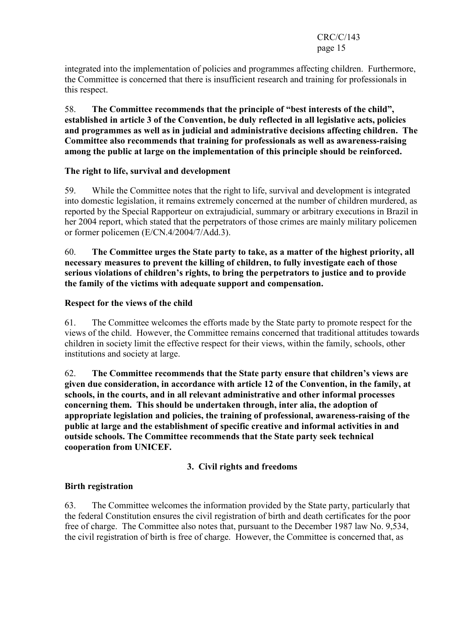#### CRC/C/143 page 15

integrated into the implementation of policies and programmes affecting children. Furthermore, the Committee is concerned that there is insufficient research and training for professionals in this respect.

58. The Committee recommends that the principle of "best interests of the child", established in article 3 of the Convention, be duly reflected in all legislative acts, policies and programmes as well as in judicial and administrative decisions affecting children. The Committee also recommends that training for professionals as well as awareness-raising among the public at large on the implementation of this principle should be reinforced.

#### The right to life, survival and development

59. While the Committee notes that the right to life, survival and development is integrated into domestic legislation, it remains extremely concerned at the number of children murdered, as reported by the Special Rapporteur on extrajudicial, summary or arbitrary executions in Brazil in her 2004 report, which stated that the perpetrators of those crimes are mainly military policemen or former policemen (E/CN.4/2004/7/Add.3).

60. The Committee urges the State party to take, as a matter of the highest priority, all necessary measures to prevent the killing of children, to fully investigate each of those serious violations of children's rights, to bring the perpetrators to justice and to provide the family of the victims with adequate support and compensation.

#### Respect for the views of the child

61. The Committee welcomes the efforts made by the State party to promote respect for the views of the child. However, the Committee remains concerned that traditional attitudes towards children in society limit the effective respect for their views, within the family, schools, other institutions and society at large.

62. The Committee recommends that the State party ensure that children's views are given due consideration, in accordance with article 12 of the Convention, in the family, at schools, in the courts, and in all relevant administrative and other informal processes concerning them. This should be undertaken through, inter alia, the adoption of appropriate legislation and policies, the training of professional, awareness-raising of the public at large and the establishment of specific creative and informal activities in and outside schools. The Committee recommends that the State party seek technical cooperation from UNICEF.

# 3. Civil rights and freedoms

#### Birth registration

63. The Committee welcomes the information provided by the State party, particularly that the federal Constitution ensures the civil registration of birth and death certificates for the poor free of charge. The Committee also notes that, pursuant to the December 1987 law No. 9,534, the civil registration of birth is free of charge. However, the Committee is concerned that, as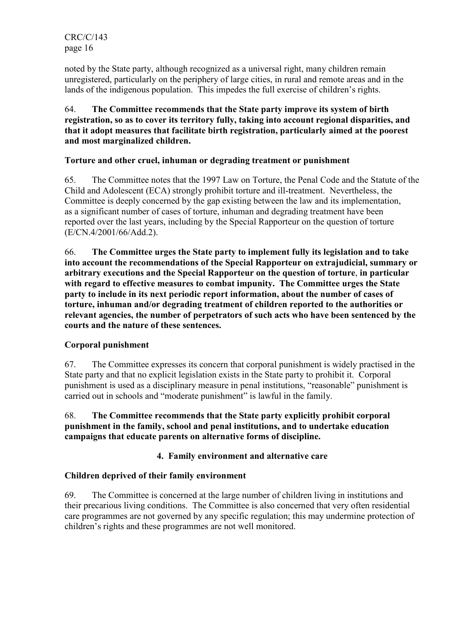noted by the State party, although recognized as a universal right, many children remain unregistered, particularly on the periphery of large cities, in rural and remote areas and in the lands of the indigenous population. This impedes the full exercise of children's rights.

# 64. The Committee recommends that the State party improve its system of birth registration, so as to cover its territory fully, taking into account regional disparities, and that it adopt measures that facilitate birth registration, particularly aimed at the poorest and most marginalized children.

# Torture and other cruel, inhuman or degrading treatment or punishment

65. The Committee notes that the 1997 Law on Torture, the Penal Code and the Statute of the Child and Adolescent (ECA) strongly prohibit torture and ill-treatment. Nevertheless, the Committee is deeply concerned by the gap existing between the law and its implementation, as a significant number of cases of torture, inhuman and degrading treatment have been reported over the last years, including by the Special Rapporteur on the question of torture (E/CN.4/2001/66/Add.2).

66. The Committee urges the State party to implement fully its legislation and to take into account the recommendations of the Special Rapporteur on extrajudicial, summary or arbitrary executions and the Special Rapporteur on the question of torture, in particular with regard to effective measures to combat impunity. The Committee urges the State party to include in its next periodic report information, about the number of cases of torture, inhuman and/or degrading treatment of children reported to the authorities or relevant agencies, the number of perpetrators of such acts who have been sentenced by the courts and the nature of these sentences.

# Corporal punishment

67. The Committee expresses its concern that corporal punishment is widely practised in the State party and that no explicit legislation exists in the State party to prohibit it. Corporal punishment is used as a disciplinary measure in penal institutions, "reasonable" punishment is carried out in schools and "moderate punishment" is lawful in the family.

# 68. The Committee recommends that the State party explicitly prohibit corporal punishment in the family, school and penal institutions, and to undertake education campaigns that educate parents on alternative forms of discipline.

# 4. Family environment and alternative care

# Children deprived of their family environment

69. The Committee is concerned at the large number of children living in institutions and their precarious living conditions. The Committee is also concerned that very often residential care programmes are not governed by any specific regulation; this may undermine protection of children's rights and these programmes are not well monitored.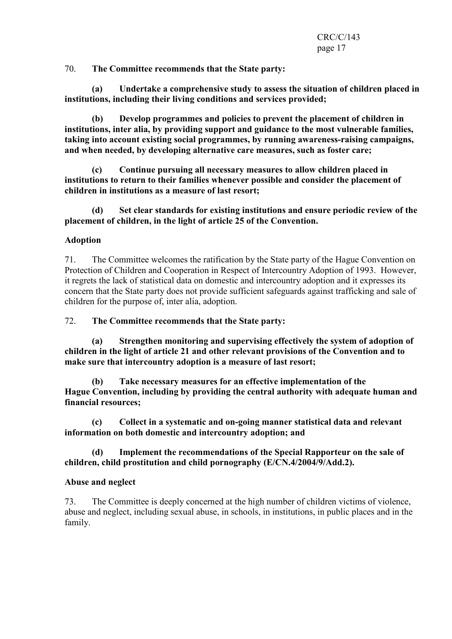70. The Committee recommends that the State party:

 (a) Undertake a comprehensive study to assess the situation of children placed in institutions, including their living conditions and services provided;

 (b) Develop programmes and policies to prevent the placement of children in institutions, inter alia, by providing support and guidance to the most vulnerable families, taking into account existing social programmes, by running awareness-raising campaigns, and when needed, by developing alternative care measures, such as foster care;

 (c) Continue pursuing all necessary measures to allow children placed in institutions to return to their families whenever possible and consider the placement of children in institutions as a measure of last resort;

 (d) Set clear standards for existing institutions and ensure periodic review of the placement of children, in the light of article 25 of the Convention.

#### Adoption

71. The Committee welcomes the ratification by the State party of the Hague Convention on Protection of Children and Cooperation in Respect of Intercountry Adoption of 1993. However, it regrets the lack of statistical data on domestic and intercountry adoption and it expresses its concern that the State party does not provide sufficient safeguards against trafficking and sale of children for the purpose of, inter alia, adoption.

72. The Committee recommends that the State party:

 (a) Strengthen monitoring and supervising effectively the system of adoption of children in the light of article 21 and other relevant provisions of the Convention and to make sure that intercountry adoption is a measure of last resort;

 (b) Take necessary measures for an effective implementation of the Hague Convention, including by providing the central authority with adequate human and financial resources;

 (c) Collect in a systematic and on-going manner statistical data and relevant information on both domestic and intercountry adoption; and

 (d) Implement the recommendations of the Special Rapporteur on the sale of children, child prostitution and child pornography (E/CN.4/2004/9/Add.2).

#### Abuse and neglect

73. The Committee is deeply concerned at the high number of children victims of violence, abuse and neglect, including sexual abuse, in schools, in institutions, in public places and in the family.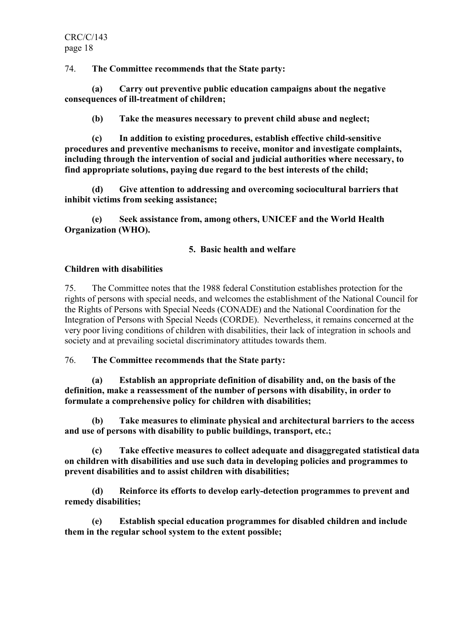74. The Committee recommends that the State party:

 (a) Carry out preventive public education campaigns about the negative consequences of ill-treatment of children;

(b) Take the measures necessary to prevent child abuse and neglect;

 (c) In addition to existing procedures, establish effective child-sensitive procedures and preventive mechanisms to receive, monitor and investigate complaints, including through the intervention of social and judicial authorities where necessary, to find appropriate solutions, paying due regard to the best interests of the child;

 (d) Give attention to addressing and overcoming sociocultural barriers that inhibit victims from seeking assistance;

 (e) Seek assistance from, among others, UNICEF and the World Health Organization (WHO).

# 5. Basic health and welfare

#### Children with disabilities

75. The Committee notes that the 1988 federal Constitution establishes protection for the rights of persons with special needs, and welcomes the establishment of the National Council for the Rights of Persons with Special Needs (CONADE) and the National Coordination for the Integration of Persons with Special Needs (CORDE). Nevertheless, it remains concerned at the very poor living conditions of children with disabilities, their lack of integration in schools and society and at prevailing societal discriminatory attitudes towards them.

76. The Committee recommends that the State party:

 (a) Establish an appropriate definition of disability and, on the basis of the definition, make a reassessment of the number of persons with disability, in order to formulate a comprehensive policy for children with disabilities;

 (b) Take measures to eliminate physical and architectural barriers to the access and use of persons with disability to public buildings, transport, etc.;

 (c) Take effective measures to collect adequate and disaggregated statistical data on children with disabilities and use such data in developing policies and programmes to prevent disabilities and to assist children with disabilities;

 (d) Reinforce its efforts to develop early-detection programmes to prevent and remedy disabilities;

 (e) Establish special education programmes for disabled children and include them in the regular school system to the extent possible;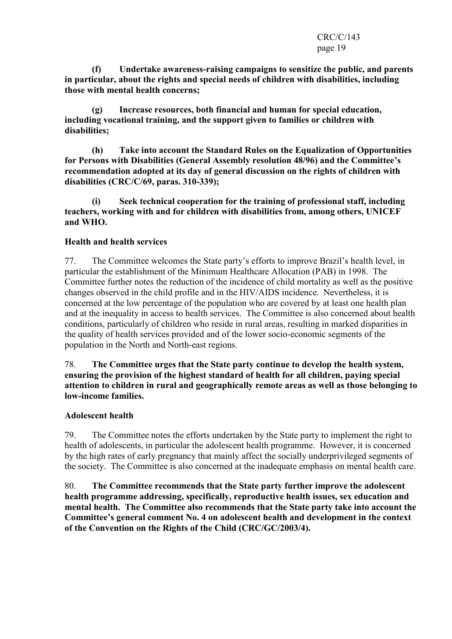(f) Undertake awareness-raising campaigns to sensitize the public, and parents in particular, about the rights and special needs of children with disabilities, including those with mental health concerns;

 (g) Increase resources, both financial and human for special education, including vocational training, and the support given to families or children with disabilities;

 (h) Take into account the Standard Rules on the Equalization of Opportunities for Persons with Disabilities (General Assembly resolution 48/96) and the Committee's recommendation adopted at its day of general discussion on the rights of children with disabilities (CRC/C/69, paras. 310-339);

 (i) Seek technical cooperation for the training of professional staff, including teachers, working with and for children with disabilities from, among others, UNICEF and WHO.

#### Health and health services

77. The Committee welcomes the State party's efforts to improve Brazil's health level, in particular the establishment of the Minimum Healthcare Allocation (PAB) in 1998. The Committee further notes the reduction of the incidence of child mortality as well as the positive changes observed in the child profile and in the HIV/AIDS incidence. Nevertheless, it is concerned at the low percentage of the population who are covered by at least one health plan and at the inequality in access to health services. The Committee is also concerned about health conditions, particularly of children who reside in rural areas, resulting in marked disparities in the quality of health services provided and of the lower socio-economic segments of the population in the North and North-east regions.

78. The Committee urges that the State party continue to develop the health system, ensuring the provision of the highest standard of health for all children, paying special attention to children in rural and geographically remote areas as well as those belonging to low-income families.

#### Adolescent health

79. The Committee notes the efforts undertaken by the State party to implement the right to health of adolescents, in particular the adolescent health programme. However, it is concerned by the high rates of early pregnancy that mainly affect the socially underprivileged segments of the society. The Committee is also concerned at the inadequate emphasis on mental health care.

80. The Committee recommends that the State party further improve the adolescent health programme addressing, specifically, reproductive health issues, sex education and mental health. The Committee also recommends that the State party take into account the Committee's general comment No. 4 on adolescent health and development in the context of the Convention on the Rights of the Child (CRC/GC/2003/4).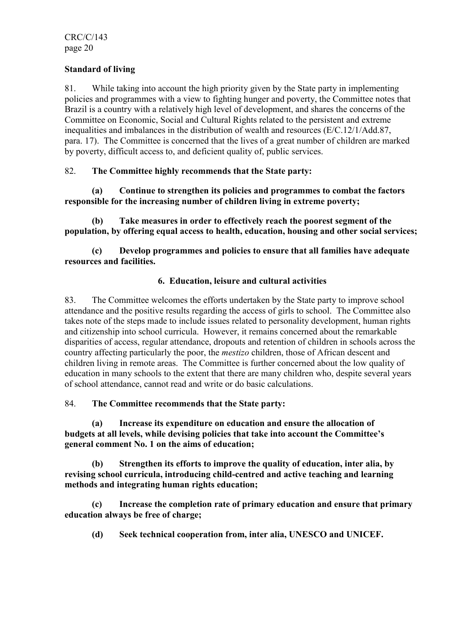# Standard of living

81. While taking into account the high priority given by the State party in implementing policies and programmes with a view to fighting hunger and poverty, the Committee notes that Brazil is a country with a relatively high level of development, and shares the concerns of the Committee on Economic, Social and Cultural Rights related to the persistent and extreme inequalities and imbalances in the distribution of wealth and resources (E/C.12/1/Add.87, para. 17). The Committee is concerned that the lives of a great number of children are marked by poverty, difficult access to, and deficient quality of, public services.

# 82. The Committee highly recommends that the State party:

 (a) Continue to strengthen its policies and programmes to combat the factors responsible for the increasing number of children living in extreme poverty;

 (b) Take measures in order to effectively reach the poorest segment of the population, by offering equal access to health, education, housing and other social services;

 (c) Develop programmes and policies to ensure that all families have adequate resources and facilities.

# 6. Education, leisure and cultural activities

83. The Committee welcomes the efforts undertaken by the State party to improve school attendance and the positive results regarding the access of girls to school. The Committee also takes note of the steps made to include issues related to personality development, human rights and citizenship into school curricula. However, it remains concerned about the remarkable disparities of access, regular attendance, dropouts and retention of children in schools across the country affecting particularly the poor, the mestizo children, those of African descent and children living in remote areas. The Committee is further concerned about the low quality of education in many schools to the extent that there are many children who, despite several years of school attendance, cannot read and write or do basic calculations.

# 84. The Committee recommends that the State party:

 (a) Increase its expenditure on education and ensure the allocation of budgets at all levels, while devising policies that take into account the Committee's general comment No. 1 on the aims of education;

 (b) Strengthen its efforts to improve the quality of education, inter alia, by revising school curricula, introducing child-centred and active teaching and learning methods and integrating human rights education;

 (c) Increase the completion rate of primary education and ensure that primary education always be free of charge;

(d) Seek technical cooperation from, inter alia, UNESCO and UNICEF.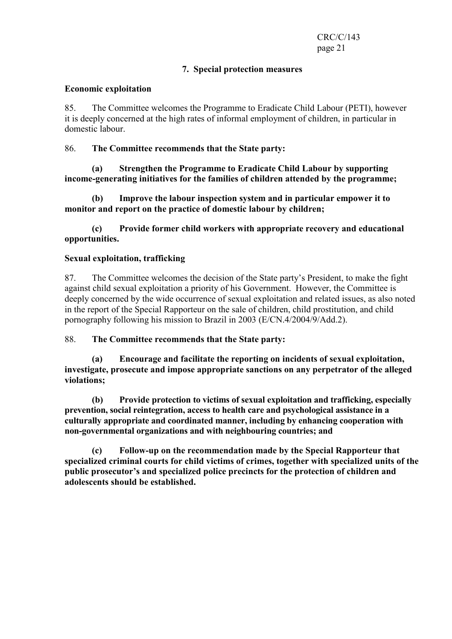#### 7. Special protection measures

#### Economic exploitation

85. The Committee welcomes the Programme to Eradicate Child Labour (PETI), however it is deeply concerned at the high rates of informal employment of children, in particular in domestic labour.

## 86. The Committee recommends that the State party:

 (a) Strengthen the Programme to Eradicate Child Labour by supporting income-generating initiatives for the families of children attended by the programme;

 (b) Improve the labour inspection system and in particular empower it to monitor and report on the practice of domestic labour by children;

 (c) Provide former child workers with appropriate recovery and educational opportunities.

#### Sexual exploitation, trafficking

87. The Committee welcomes the decision of the State party's President, to make the fight against child sexual exploitation a priority of his Government. However, the Committee is deeply concerned by the wide occurrence of sexual exploitation and related issues, as also noted in the report of the Special Rapporteur on the sale of children, child prostitution, and child pornography following his mission to Brazil in 2003 (E/CN.4/2004/9/Add.2).

88. The Committee recommends that the State party:

 (a) Encourage and facilitate the reporting on incidents of sexual exploitation, investigate, prosecute and impose appropriate sanctions on any perpetrator of the alleged violations;

 (b) Provide protection to victims of sexual exploitation and trafficking, especially prevention, social reintegration, access to health care and psychological assistance in a culturally appropriate and coordinated manner, including by enhancing cooperation with non-governmental organizations and with neighbouring countries; and

 (c) Follow-up on the recommendation made by the Special Rapporteur that specialized criminal courts for child victims of crimes, together with specialized units of the public prosecutor's and specialized police precincts for the protection of children and adolescents should be established.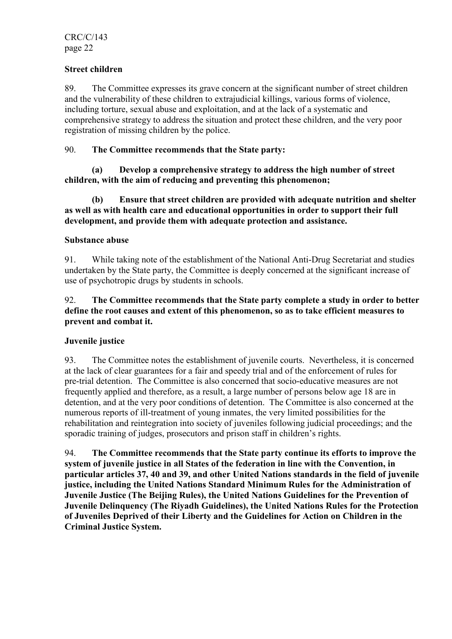# Street children

89. The Committee expresses its grave concern at the significant number of street children and the vulnerability of these children to extrajudicial killings, various forms of violence, including torture, sexual abuse and exploitation, and at the lack of a systematic and comprehensive strategy to address the situation and protect these children, and the very poor registration of missing children by the police.

## 90. The Committee recommends that the State party:

 (a) Develop a comprehensive strategy to address the high number of street children, with the aim of reducing and preventing this phenomenon;

 (b) Ensure that street children are provided with adequate nutrition and shelter as well as with health care and educational opportunities in order to support their full development, and provide them with adequate protection and assistance.

#### Substance abuse

91. While taking note of the establishment of the National Anti-Drug Secretariat and studies undertaken by the State party, the Committee is deeply concerned at the significant increase of use of psychotropic drugs by students in schools.

# 92. The Committee recommends that the State party complete a study in order to better define the root causes and extent of this phenomenon, so as to take efficient measures to prevent and combat it.

# Juvenile justice

93. The Committee notes the establishment of juvenile courts. Nevertheless, it is concerned at the lack of clear guarantees for a fair and speedy trial and of the enforcement of rules for pre-trial detention. The Committee is also concerned that socio-educative measures are not frequently applied and therefore, as a result, a large number of persons below age 18 are in detention, and at the very poor conditions of detention. The Committee is also concerned at the numerous reports of ill-treatment of young inmates, the very limited possibilities for the rehabilitation and reintegration into society of juveniles following judicial proceedings; and the sporadic training of judges, prosecutors and prison staff in children's rights.

94. The Committee recommends that the State party continue its efforts to improve the system of juvenile justice in all States of the federation in line with the Convention, in particular articles 37, 40 and 39, and other United Nations standards in the field of juvenile justice, including the United Nations Standard Minimum Rules for the Administration of Juvenile Justice (The Beijing Rules), the United Nations Guidelines for the Prevention of Juvenile Delinquency (The Riyadh Guidelines), the United Nations Rules for the Protection of Juveniles Deprived of their Liberty and the Guidelines for Action on Children in the Criminal Justice System.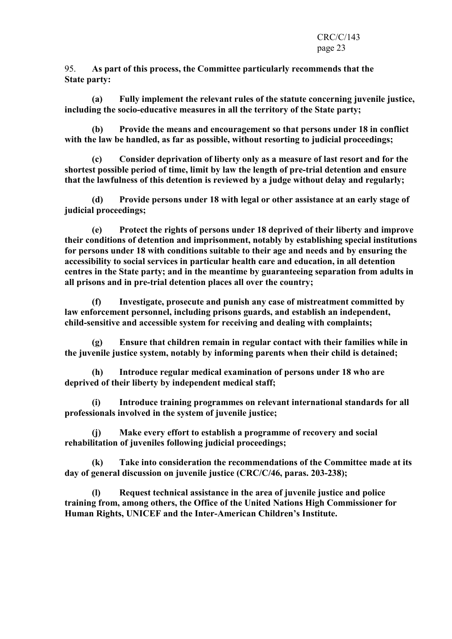95. As part of this process, the Committee particularly recommends that the State party:

 (a) Fully implement the relevant rules of the statute concerning juvenile justice, including the socio-educative measures in all the territory of the State party;

 (b) Provide the means and encouragement so that persons under 18 in conflict with the law be handled, as far as possible, without resorting to judicial proceedings;

 (c) Consider deprivation of liberty only as a measure of last resort and for the shortest possible period of time, limit by law the length of pre-trial detention and ensure that the lawfulness of this detention is reviewed by a judge without delay and regularly;

 (d) Provide persons under 18 with legal or other assistance at an early stage of judicial proceedings;

 (e) Protect the rights of persons under 18 deprived of their liberty and improve their conditions of detention and imprisonment, notably by establishing special institutions for persons under 18 with conditions suitable to their age and needs and by ensuring the accessibility to social services in particular health care and education, in all detention centres in the State party; and in the meantime by guaranteeing separation from adults in all prisons and in pre-trial detention places all over the country;

 (f) Investigate, prosecute and punish any case of mistreatment committed by law enforcement personnel, including prisons guards, and establish an independent, child-sensitive and accessible system for receiving and dealing with complaints;

 (g) Ensure that children remain in regular contact with their families while in the juvenile justice system, notably by informing parents when their child is detained;

 (h) Introduce regular medical examination of persons under 18 who are deprived of their liberty by independent medical staff;

 (i) Introduce training programmes on relevant international standards for all professionals involved in the system of juvenile justice;

 (j) Make every effort to establish a programme of recovery and social rehabilitation of juveniles following judicial proceedings;

 (k) Take into consideration the recommendations of the Committee made at its day of general discussion on juvenile justice (CRC/C/46, paras. 203-238);

 (l) Request technical assistance in the area of juvenile justice and police training from, among others, the Office of the United Nations High Commissioner for Human Rights, UNICEF and the Inter-American Children's Institute.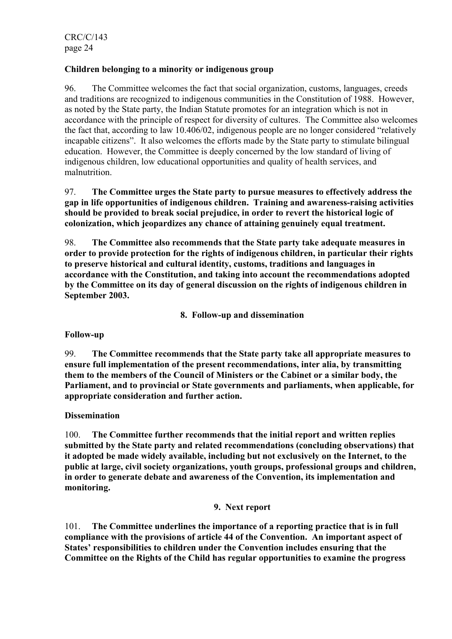# Children belonging to a minority or indigenous group

96. The Committee welcomes the fact that social organization, customs, languages, creeds and traditions are recognized to indigenous communities in the Constitution of 1988. However, as noted by the State party, the Indian Statute promotes for an integration which is not in accordance with the principle of respect for diversity of cultures. The Committee also welcomes the fact that, according to law 10.406/02, indigenous people are no longer considered "relatively incapable citizens". It also welcomes the efforts made by the State party to stimulate bilingual education. However, the Committee is deeply concerned by the low standard of living of indigenous children, low educational opportunities and quality of health services, and malnutrition.

97. The Committee urges the State party to pursue measures to effectively address the gap in life opportunities of indigenous children. Training and awareness-raising activities should be provided to break social prejudice, in order to revert the historical logic of colonization, which jeopardizes any chance of attaining genuinely equal treatment.

98. The Committee also recommends that the State party take adequate measures in order to provide protection for the rights of indigenous children, in particular their rights to preserve historical and cultural identity, customs, traditions and languages in accordance with the Constitution, and taking into account the recommendations adopted by the Committee on its day of general discussion on the rights of indigenous children in September 2003.

8. Follow-up and dissemination

Follow-up

99. The Committee recommends that the State party take all appropriate measures to ensure full implementation of the present recommendations, inter alia, by transmitting them to the members of the Council of Ministers or the Cabinet or a similar body, the Parliament, and to provincial or State governments and parliaments, when applicable, for appropriate consideration and further action.

# **Dissemination**

100. The Committee further recommends that the initial report and written replies submitted by the State party and related recommendations (concluding observations) that it adopted be made widely available, including but not exclusively on the Internet, to the public at large, civil society organizations, youth groups, professional groups and children, in order to generate debate and awareness of the Convention, its implementation and monitoring.

# 9. Next report

101. The Committee underlines the importance of a reporting practice that is in full compliance with the provisions of article 44 of the Convention. An important aspect of States' responsibilities to children under the Convention includes ensuring that the Committee on the Rights of the Child has regular opportunities to examine the progress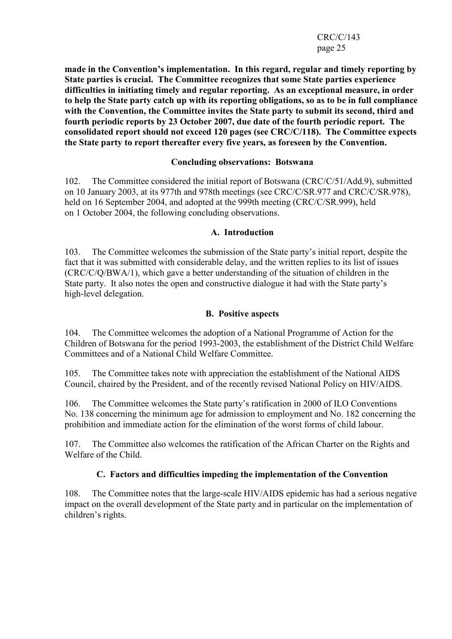#### CRC/C/143 page 25

made in the Convention's implementation. In this regard, regular and timely reporting by State parties is crucial. The Committee recognizes that some State parties experience difficulties in initiating timely and regular reporting. As an exceptional measure, in order to help the State party catch up with its reporting obligations, so as to be in full compliance with the Convention, the Committee invites the State party to submit its second, third and fourth periodic reports by 23 October 2007, due date of the fourth periodic report. The consolidated report should not exceed 120 pages (see CRC/C/118). The Committee expects the State party to report thereafter every five years, as foreseen by the Convention.

#### Concluding observations: Botswana

102. The Committee considered the initial report of Botswana (CRC/C/51/Add.9), submitted on 10 January 2003, at its 977th and 978th meetings (see CRC/C/SR.977 and CRC/C/SR.978), held on 16 September 2004, and adopted at the 999th meeting (CRC/C/SR.999), held on 1 October 2004, the following concluding observations.

#### A. Introduction

103. The Committee welcomes the submission of the State party's initial report, despite the fact that it was submitted with considerable delay, and the written replies to its list of issues (CRC/C/Q/BWA/1), which gave a better understanding of the situation of children in the State party. It also notes the open and constructive dialogue it had with the State party's high-level delegation.

# B. Positive aspects

104. The Committee welcomes the adoption of a National Programme of Action for the Children of Botswana for the period 1993-2003, the establishment of the District Child Welfare Committees and of a National Child Welfare Committee.

105. The Committee takes note with appreciation the establishment of the National AIDS Council, chaired by the President, and of the recently revised National Policy on HIV/AIDS.

106. The Committee welcomes the State party's ratification in 2000 of ILO Conventions No. 138 concerning the minimum age for admission to employment and No. 182 concerning the prohibition and immediate action for the elimination of the worst forms of child labour.

107. The Committee also welcomes the ratification of the African Charter on the Rights and Welfare of the Child.

# C. Factors and difficulties impeding the implementation of the Convention

108. The Committee notes that the large-scale HIV/AIDS epidemic has had a serious negative impact on the overall development of the State party and in particular on the implementation of children's rights.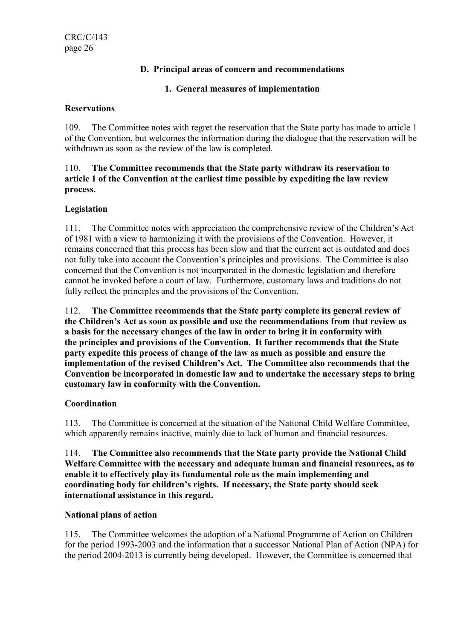# D. Principal areas of concern and recommendations

# 1. General measures of implementation

#### **Reservations**

109. The Committee notes with regret the reservation that the State party has made to article 1 of the Convention, but welcomes the information during the dialogue that the reservation will be withdrawn as soon as the review of the law is completed.

#### 110. The Committee recommends that the State party withdraw its reservation to article 1 of the Convention at the earliest time possible by expediting the law review process.

# Legislation

111. The Committee notes with appreciation the comprehensive review of the Children's Act of 1981 with a view to harmonizing it with the provisions of the Convention. However, it remains concerned that this process has been slow and that the current act is outdated and does not fully take into account the Convention's principles and provisions. The Committee is also concerned that the Convention is not incorporated in the domestic legislation and therefore cannot be invoked before a court of law. Furthermore, customary laws and traditions do not fully reflect the principles and the provisions of the Convention.

112. The Committee recommends that the State party complete its general review of the Children's Act as soon as possible and use the recommendations from that review as a basis for the necessary changes of the law in order to bring it in conformity with the principles and provisions of the Convention. It further recommends that the State party expedite this process of change of the law as much as possible and ensure the implementation of the revised Children's Act. The Committee also recommends that the Convention be incorporated in domestic law and to undertake the necessary steps to bring customary law in conformity with the Convention.

# **Coordination**

113. The Committee is concerned at the situation of the National Child Welfare Committee, which apparently remains inactive, mainly due to lack of human and financial resources.

114. The Committee also recommends that the State party provide the National Child Welfare Committee with the necessary and adequate human and financial resources, as to enable it to effectively play its fundamental role as the main implementing and coordinating body for children's rights. If necessary, the State party should seek international assistance in this regard.

# National plans of action

115. The Committee welcomes the adoption of a National Programme of Action on Children for the period 1993-2003 and the information that a successor National Plan of Action (NPA) for the period 2004-2013 is currently being developed. However, the Committee is concerned that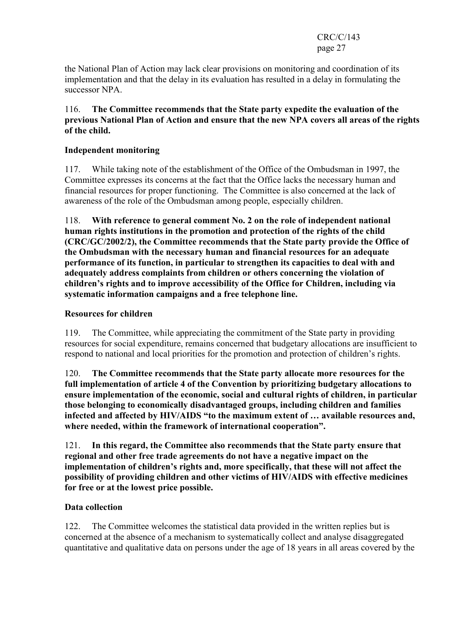CRC/C/143 page 27

the National Plan of Action may lack clear provisions on monitoring and coordination of its implementation and that the delay in its evaluation has resulted in a delay in formulating the successor NPA.

# 116. The Committee recommends that the State party expedite the evaluation of the previous National Plan of Action and ensure that the new NPA covers all areas of the rights of the child.

# Independent monitoring

117. While taking note of the establishment of the Office of the Ombudsman in 1997, the Committee expresses its concerns at the fact that the Office lacks the necessary human and financial resources for proper functioning. The Committee is also concerned at the lack of awareness of the role of the Ombudsman among people, especially children.

118. With reference to general comment No. 2 on the role of independent national human rights institutions in the promotion and protection of the rights of the child (CRC/GC/2002/2), the Committee recommends that the State party provide the Office of the Ombudsman with the necessary human and financial resources for an adequate performance of its function, in particular to strengthen its capacities to deal with and adequately address complaints from children or others concerning the violation of children's rights and to improve accessibility of the Office for Children, including via systematic information campaigns and a free telephone line.

# Resources for children

119. The Committee, while appreciating the commitment of the State party in providing resources for social expenditure, remains concerned that budgetary allocations are insufficient to respond to national and local priorities for the promotion and protection of children's rights.

120. The Committee recommends that the State party allocate more resources for the full implementation of article 4 of the Convention by prioritizing budgetary allocations to ensure implementation of the economic, social and cultural rights of children, in particular those belonging to economically disadvantaged groups, including children and families infected and affected by HIV/AIDS "to the maximum extent of … available resources and, where needed, within the framework of international cooperation".

121. In this regard, the Committee also recommends that the State party ensure that regional and other free trade agreements do not have a negative impact on the implementation of children's rights and, more specifically, that these will not affect the possibility of providing children and other victims of HIV/AIDS with effective medicines for free or at the lowest price possible.

# Data collection

122. The Committee welcomes the statistical data provided in the written replies but is concerned at the absence of a mechanism to systematically collect and analyse disaggregated quantitative and qualitative data on persons under the age of 18 years in all areas covered by the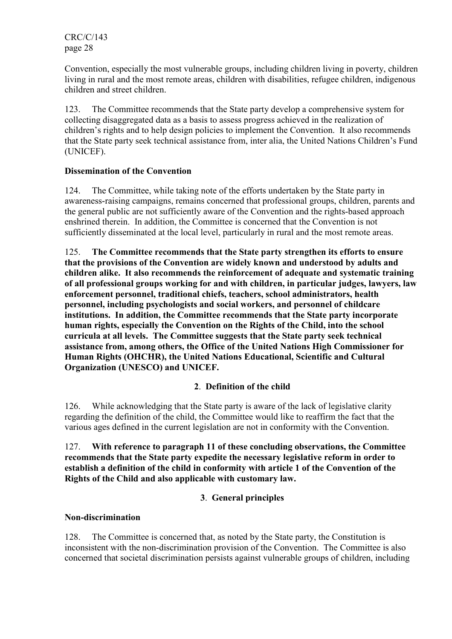Convention, especially the most vulnerable groups, including children living in poverty, children living in rural and the most remote areas, children with disabilities, refugee children, indigenous children and street children.

123. The Committee recommends that the State party develop a comprehensive system for collecting disaggregated data as a basis to assess progress achieved in the realization of children's rights and to help design policies to implement the Convention. It also recommends that the State party seek technical assistance from, inter alia, the United Nations Children's Fund (UNICEF).

# Dissemination of the Convention

124. The Committee, while taking note of the efforts undertaken by the State party in awareness-raising campaigns, remains concerned that professional groups, children, parents and the general public are not sufficiently aware of the Convention and the rights-based approach enshrined therein. In addition, the Committee is concerned that the Convention is not sufficiently disseminated at the local level, particularly in rural and the most remote areas.

125. The Committee recommends that the State party strengthen its efforts to ensure that the provisions of the Convention are widely known and understood by adults and children alike. It also recommends the reinforcement of adequate and systematic training of all professional groups working for and with children, in particular judges, lawyers, law enforcement personnel, traditional chiefs, teachers, school administrators, health personnel, including psychologists and social workers, and personnel of childcare institutions. In addition, the Committee recommends that the State party incorporate human rights, especially the Convention on the Rights of the Child, into the school curricula at all levels. The Committee suggests that the State party seek technical assistance from, among others, the Office of the United Nations High Commissioner for Human Rights (OHCHR), the United Nations Educational, Scientific and Cultural Organization (UNESCO) and UNICEF.

# 2. Definition of the child

126. While acknowledging that the State party is aware of the lack of legislative clarity regarding the definition of the child, the Committee would like to reaffirm the fact that the various ages defined in the current legislation are not in conformity with the Convention.

# 127. With reference to paragraph 11 of these concluding observations, the Committee recommends that the State party expedite the necessary legislative reform in order to establish a definition of the child in conformity with article 1 of the Convention of the Rights of the Child and also applicable with customary law.

# 3. General principles

# Non-discrimination

128. The Committee is concerned that, as noted by the State party, the Constitution is inconsistent with the non-discrimination provision of the Convention. The Committee is also concerned that societal discrimination persists against vulnerable groups of children, including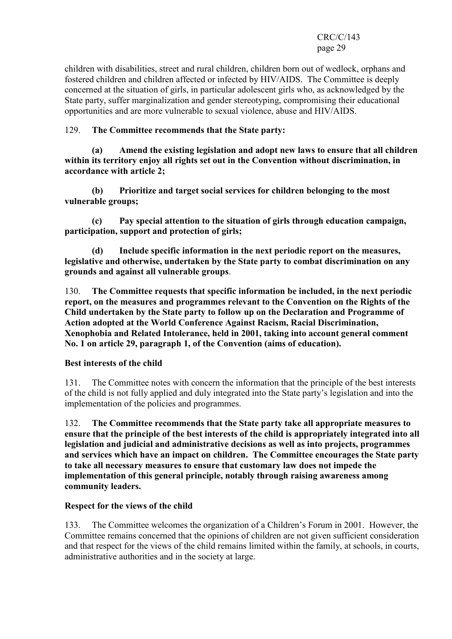children with disabilities, street and rural children, children born out of wedlock, orphans and fostered children and children affected or infected by HIV/AIDS. The Committee is deeply concerned at the situation of girls, in particular adolescent girls who, as acknowledged by the State party, suffer marginalization and gender stereotyping, compromising their educational opportunities and are more vulnerable to sexual violence, abuse and HIV/AIDS.

# 129. The Committee recommends that the State party:

 (a) Amend the existing legislation and adopt new laws to ensure that all children within its territory enjoy all rights set out in the Convention without discrimination, in accordance with article 2;

 (b) Prioritize and target social services for children belonging to the most vulnerable groups;

 (c) Pay special attention to the situation of girls through education campaign, participation, support and protection of girls;

 (d) Include specific information in the next periodic report on the measures, legislative and otherwise, undertaken by the State party to combat discrimination on any grounds and against all vulnerable groups.

130. The Committee requests that specific information be included, in the next periodic report, on the measures and programmes relevant to the Convention on the Rights of the Child undertaken by the State party to follow up on the Declaration and Programme of Action adopted at the World Conference Against Racism, Racial Discrimination, Xenophobia and Related Intolerance, held in 2001, taking into account general comment No. 1 on article 29, paragraph 1, of the Convention (aims of education).

# Best interests of the child

131. The Committee notes with concern the information that the principle of the best interests of the child is not fully applied and duly integrated into the State party's legislation and into the implementation of the policies and programmes.

132. The Committee recommends that the State party take all appropriate measures to ensure that the principle of the best interests of the child is appropriately integrated into all legislation and judicial and administrative decisions as well as into projects, programmes and services which have an impact on children. The Committee encourages the State party to take all necessary measures to ensure that customary law does not impede the implementation of this general principle, notably through raising awareness among community leaders.

# Respect for the views of the child

133. The Committee welcomes the organization of a Children's Forum in 2001. However, the Committee remains concerned that the opinions of children are not given sufficient consideration and that respect for the views of the child remains limited within the family, at schools, in courts, administrative authorities and in the society at large.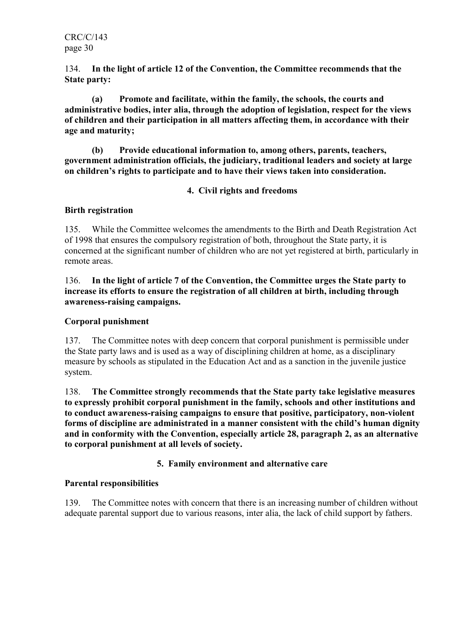134. In the light of article 12 of the Convention, the Committee recommends that the State party:

 (a) Promote and facilitate, within the family, the schools, the courts and administrative bodies, inter alia, through the adoption of legislation, respect for the views of children and their participation in all matters affecting them, in accordance with their age and maturity;

 (b) Provide educational information to, among others, parents, teachers, government administration officials, the judiciary, traditional leaders and society at large on children's rights to participate and to have their views taken into consideration.

# 4. Civil rights and freedoms

# Birth registration

135. While the Committee welcomes the amendments to the Birth and Death Registration Act of 1998 that ensures the compulsory registration of both, throughout the State party, it is concerned at the significant number of children who are not yet registered at birth, particularly in remote areas.

# 136. In the light of article 7 of the Convention, the Committee urges the State party to increase its efforts to ensure the registration of all children at birth, including through awareness-raising campaigns.

# Corporal punishment

137. The Committee notes with deep concern that corporal punishment is permissible under the State party laws and is used as a way of disciplining children at home, as a disciplinary measure by schools as stipulated in the Education Act and as a sanction in the juvenile justice system.

138. The Committee strongly recommends that the State party take legislative measures to expressly prohibit corporal punishment in the family, schools and other institutions and to conduct awareness-raising campaigns to ensure that positive, participatory, non-violent forms of discipline are administrated in a manner consistent with the child's human dignity and in conformity with the Convention, especially article 28, paragraph 2, as an alternative to corporal punishment at all levels of society.

# 5. Family environment and alternative care

# Parental responsibilities

139. The Committee notes with concern that there is an increasing number of children without adequate parental support due to various reasons, inter alia, the lack of child support by fathers.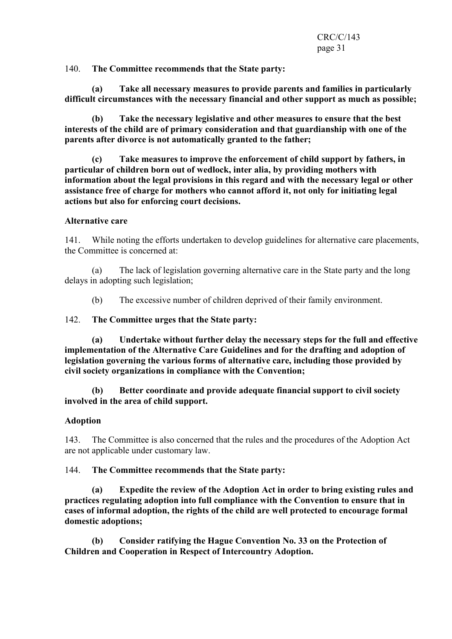140. The Committee recommends that the State party:

 (a) Take all necessary measures to provide parents and families in particularly difficult circumstances with the necessary financial and other support as much as possible;

 (b) Take the necessary legislative and other measures to ensure that the best interests of the child are of primary consideration and that guardianship with one of the parents after divorce is not automatically granted to the father;

 (c) Take measures to improve the enforcement of child support by fathers, in particular of children born out of wedlock, inter alia, by providing mothers with information about the legal provisions in this regard and with the necessary legal or other assistance free of charge for mothers who cannot afford it, not only for initiating legal actions but also for enforcing court decisions.

#### Alternative care

141. While noting the efforts undertaken to develop guidelines for alternative care placements, the Committee is concerned at:

 (a) The lack of legislation governing alternative care in the State party and the long delays in adopting such legislation;

(b) The excessive number of children deprived of their family environment.

#### 142. The Committee urges that the State party:

 (a) Undertake without further delay the necessary steps for the full and effective implementation of the Alternative Care Guidelines and for the drafting and adoption of legislation governing the various forms of alternative care, including those provided by civil society organizations in compliance with the Convention;

 (b) Better coordinate and provide adequate financial support to civil society involved in the area of child support.

#### Adoption

143. The Committee is also concerned that the rules and the procedures of the Adoption Act are not applicable under customary law.

144. The Committee recommends that the State party:

 (a) Expedite the review of the Adoption Act in order to bring existing rules and practices regulating adoption into full compliance with the Convention to ensure that in cases of informal adoption, the rights of the child are well protected to encourage formal domestic adoptions;

 (b) Consider ratifying the Hague Convention No. 33 on the Protection of Children and Cooperation in Respect of Intercountry Adoption.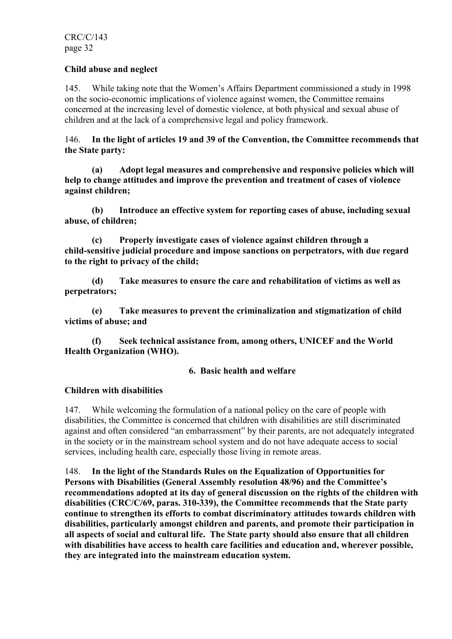## Child abuse and neglect

145. While taking note that the Women's Affairs Department commissioned a study in 1998 on the socio-economic implications of violence against women, the Committee remains concerned at the increasing level of domestic violence, at both physical and sexual abuse of children and at the lack of a comprehensive legal and policy framework.

146. In the light of articles 19 and 39 of the Convention, the Committee recommends that the State party:

 (a) Adopt legal measures and comprehensive and responsive policies which will help to change attitudes and improve the prevention and treatment of cases of violence against children;

 (b) Introduce an effective system for reporting cases of abuse, including sexual abuse, of children;

 (c) Properly investigate cases of violence against children through a child-sensitive judicial procedure and impose sanctions on perpetrators, with due regard to the right to privacy of the child;

 (d) Take measures to ensure the care and rehabilitation of victims as well as perpetrators;

 (e) Take measures to prevent the criminalization and stigmatization of child victims of abuse; and

 (f) Seek technical assistance from, among others, UNICEF and the World Health Organization (WHO).

#### 6. Basic health and welfare

# Children with disabilities

147. While welcoming the formulation of a national policy on the care of people with disabilities, the Committee is concerned that children with disabilities are still discriminated against and often considered "an embarrassment" by their parents, are not adequately integrated in the society or in the mainstream school system and do not have adequate access to social services, including health care, especially those living in remote areas.

148. In the light of the Standards Rules on the Equalization of Opportunities for Persons with Disabilities (General Assembly resolution 48/96) and the Committee's recommendations adopted at its day of general discussion on the rights of the children with disabilities (CRC/C/69, paras. 310-339), the Committee recommends that the State party continue to strengthen its efforts to combat discriminatory attitudes towards children with disabilities, particularly amongst children and parents, and promote their participation in all aspects of social and cultural life. The State party should also ensure that all children with disabilities have access to health care facilities and education and, wherever possible, they are integrated into the mainstream education system.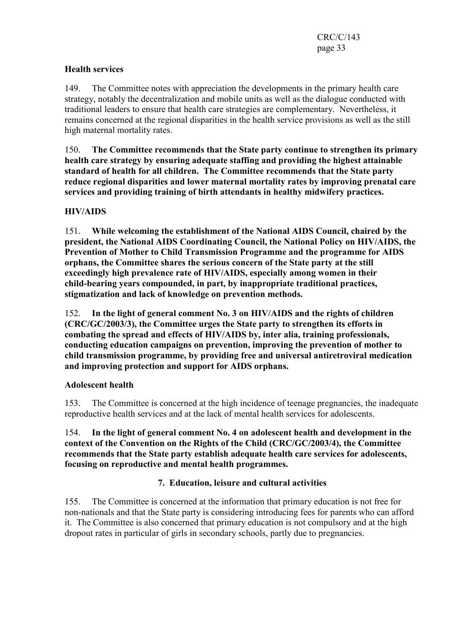# Health services

149. The Committee notes with appreciation the developments in the primary health care strategy, notably the decentralization and mobile units as well as the dialogue conducted with traditional leaders to ensure that health care strategies are complementary. Nevertheless, it remains concerned at the regional disparities in the health service provisions as well as the still high maternal mortality rates.

150. The Committee recommends that the State party continue to strengthen its primary health care strategy by ensuring adequate staffing and providing the highest attainable standard of health for all children. The Committee recommends that the State party reduce regional disparities and lower maternal mortality rates by improving prenatal care services and providing training of birth attendants in healthy midwifery practices.

# HIV/AIDS

151. While welcoming the establishment of the National AIDS Council, chaired by the president, the National AIDS Coordinating Council, the National Policy on HIV/AIDS, the Prevention of Mother to Child Transmission Programme and the programme for AIDS orphans, the Committee shares the serious concern of the State party at the still exceedingly high prevalence rate of HIV/AIDS, especially among women in their child-bearing years compounded, in part, by inappropriate traditional practices, stigmatization and lack of knowledge on prevention methods.

152. In the light of general comment No. 3 on HIV/AIDS and the rights of children (CRC/GC/2003/3), the Committee urges the State party to strengthen its efforts in combating the spread and effects of HIV/AIDS by, inter alia, training professionals, conducting education campaigns on prevention, improving the prevention of mother to child transmission programme, by providing free and universal antiretroviral medication and improving protection and support for AIDS orphans.

# Adolescent health

153. The Committee is concerned at the high incidence of teenage pregnancies, the inadequate reproductive health services and at the lack of mental health services for adolescents.

154. In the light of general comment No. 4 on adolescent health and development in the context of the Convention on the Rights of the Child (CRC/GC/2003/4), the Committee recommends that the State party establish adequate health care services for adolescents, focusing on reproductive and mental health programmes.

# 7. Education, leisure and cultural activities

155. The Committee is concerned at the information that primary education is not free for non-nationals and that the State party is considering introducing fees for parents who can afford it. The Committee is also concerned that primary education is not compulsory and at the high dropout rates in particular of girls in secondary schools, partly due to pregnancies.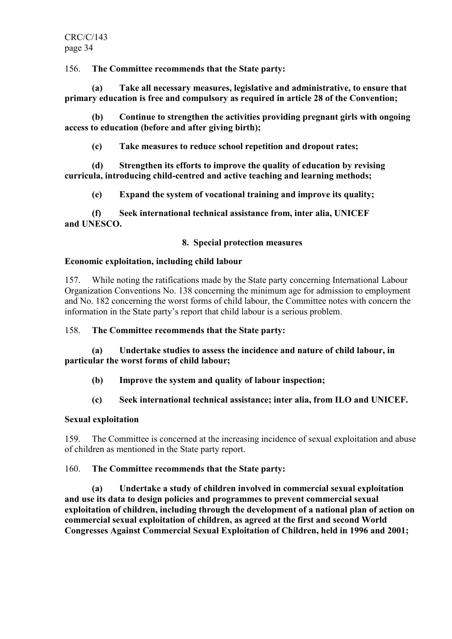156. The Committee recommends that the State party:

 (a) Take all necessary measures, legislative and administrative, to ensure that primary education is free and compulsory as required in article 28 of the Convention;

 (b) Continue to strengthen the activities providing pregnant girls with ongoing access to education (before and after giving birth);

(c) Take measures to reduce school repetition and dropout rates;

 (d) Strengthen its efforts to improve the quality of education by revising curricula, introducing child-centred and active teaching and learning methods;

(e) Expand the system of vocational training and improve its quality;

 (f) Seek international technical assistance from, inter alia, UNICEF and UNESCO.

# 8. Special protection measures

# Economic exploitation, including child labour

157. While noting the ratifications made by the State party concerning International Labour Organization Conventions No. 138 concerning the minimum age for admission to employment and No. 182 concerning the worst forms of child labour, the Committee notes with concern the information in the State party's report that child labour is a serious problem.

158. The Committee recommends that the State party:

 (a) Undertake studies to assess the incidence and nature of child labour, in particular the worst forms of child labour;

(b) Improve the system and quality of labour inspection;

# (c) Seek international technical assistance; inter alia, from ILO and UNICEF.

# Sexual exploitation

159. The Committee is concerned at the increasing incidence of sexual exploitation and abuse of children as mentioned in the State party report.

# 160. The Committee recommends that the State party:

 (a) Undertake a study of children involved in commercial sexual exploitation and use its data to design policies and programmes to prevent commercial sexual exploitation of children, including through the development of a national plan of action on commercial sexual exploitation of children, as agreed at the first and second World Congresses Against Commercial Sexual Exploitation of Children, held in 1996 and 2001;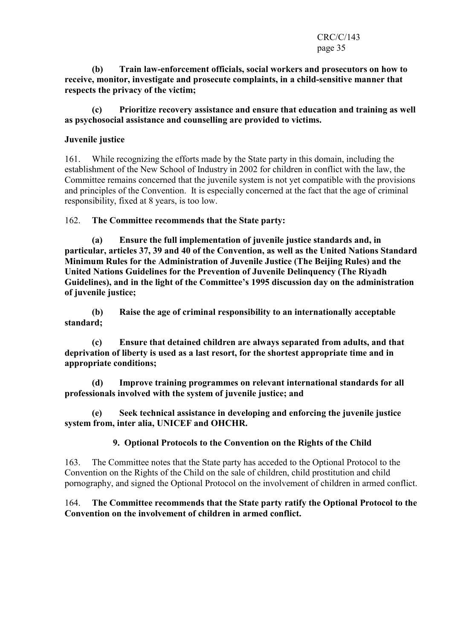#### CRC/C/143 page 35

 (b) Train law-enforcement officials, social workers and prosecutors on how to receive, monitor, investigate and prosecute complaints, in a child-sensitive manner that respects the privacy of the victim;

 (c) Prioritize recovery assistance and ensure that education and training as well as psychosocial assistance and counselling are provided to victims.

# Juvenile justice

161. While recognizing the efforts made by the State party in this domain, including the establishment of the New School of Industry in 2002 for children in conflict with the law, the Committee remains concerned that the juvenile system is not yet compatible with the provisions and principles of the Convention. It is especially concerned at the fact that the age of criminal responsibility, fixed at 8 years, is too low.

162. The Committee recommends that the State party:

 (a) Ensure the full implementation of juvenile justice standards and, in particular, articles 37, 39 and 40 of the Convention, as well as the United Nations Standard Minimum Rules for the Administration of Juvenile Justice (The Beijing Rules) and the United Nations Guidelines for the Prevention of Juvenile Delinquency (The Riyadh Guidelines), and in the light of the Committee's 1995 discussion day on the administration of juvenile justice;

 (b) Raise the age of criminal responsibility to an internationally acceptable standard;

 (c) Ensure that detained children are always separated from adults, and that deprivation of liberty is used as a last resort, for the shortest appropriate time and in appropriate conditions;

 (d) Improve training programmes on relevant international standards for all professionals involved with the system of juvenile justice; and

 (e) Seek technical assistance in developing and enforcing the juvenile justice system from, inter alia, UNICEF and OHCHR.

# 9. Optional Protocols to the Convention on the Rights of the Child

163. The Committee notes that the State party has acceded to the Optional Protocol to the Convention on the Rights of the Child on the sale of children, child prostitution and child pornography, and signed the Optional Protocol on the involvement of children in armed conflict.

# 164. The Committee recommends that the State party ratify the Optional Protocol to the Convention on the involvement of children in armed conflict.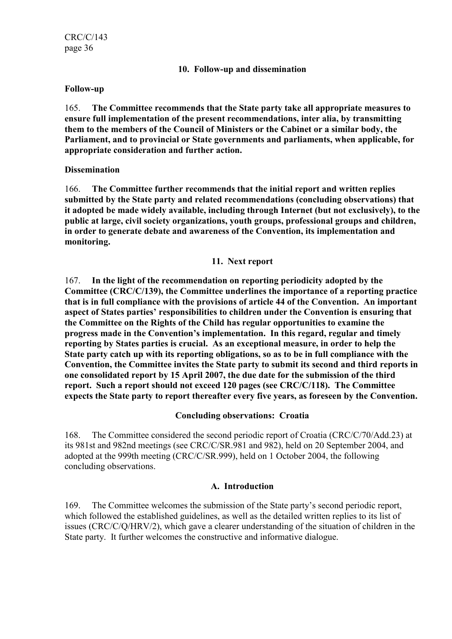#### 10. Follow-up and dissemination

#### Follow-up

165. The Committee recommends that the State party take all appropriate measures to ensure full implementation of the present recommendations, inter alia, by transmitting them to the members of the Council of Ministers or the Cabinet or a similar body, the Parliament, and to provincial or State governments and parliaments, when applicable, for appropriate consideration and further action.

#### **Dissemination**

166. The Committee further recommends that the initial report and written replies submitted by the State party and related recommendations (concluding observations) that it adopted be made widely available, including through Internet (but not exclusively), to the public at large, civil society organizations, youth groups, professional groups and children, in order to generate debate and awareness of the Convention, its implementation and monitoring.

#### 11. Next report

167. In the light of the recommendation on reporting periodicity adopted by the Committee (CRC/C/139), the Committee underlines the importance of a reporting practice that is in full compliance with the provisions of article 44 of the Convention. An important aspect of States parties' responsibilities to children under the Convention is ensuring that the Committee on the Rights of the Child has regular opportunities to examine the progress made in the Convention's implementation. In this regard, regular and timely reporting by States parties is crucial. As an exceptional measure, in order to help the State party catch up with its reporting obligations, so as to be in full compliance with the Convention, the Committee invites the State party to submit its second and third reports in one consolidated report by 15 April 2007, the due date for the submission of the third report. Such a report should not exceed 120 pages (see CRC/C/118). The Committee expects the State party to report thereafter every five years, as foreseen by the Convention.

#### Concluding observations: Croatia

168. The Committee considered the second periodic report of Croatia (CRC/C/70/Add.23) at its 981st and 982nd meetings (see CRC/C/SR.981 and 982), held on 20 September 2004, and adopted at the 999th meeting (CRC/C/SR.999), held on 1 October 2004, the following concluding observations.

# A. Introduction

169. The Committee welcomes the submission of the State party's second periodic report, which followed the established guidelines, as well as the detailed written replies to its list of issues (CRC/C/Q/HRV/2), which gave a clearer understanding of the situation of children in the State party. It further welcomes the constructive and informative dialogue.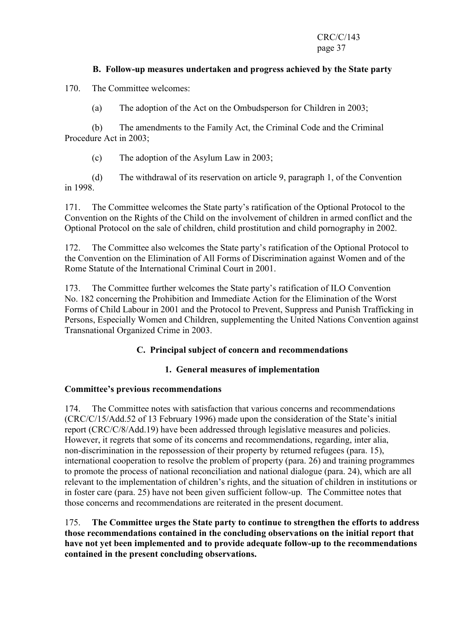# B. Follow-up measures undertaken and progress achieved by the State party

170. The Committee welcomes:

(a) The adoption of the Act on the Ombudsperson for Children in 2003;

 (b) The amendments to the Family Act, the Criminal Code and the Criminal Procedure Act in 2003;

(c) The adoption of the Asylum Law in 2003;

 (d) The withdrawal of its reservation on article 9, paragraph 1, of the Convention in 1998.

171. The Committee welcomes the State party's ratification of the Optional Protocol to the Convention on the Rights of the Child on the involvement of children in armed conflict and the Optional Protocol on the sale of children, child prostitution and child pornography in 2002.

172. The Committee also welcomes the State party's ratification of the Optional Protocol to the Convention on the Elimination of All Forms of Discrimination against Women and of the Rome Statute of the International Criminal Court in 2001.

173. The Committee further welcomes the State party's ratification of ILO Convention No. 182 concerning the Prohibition and Immediate Action for the Elimination of the Worst Forms of Child Labour in 2001 and the Protocol to Prevent, Suppress and Punish Trafficking in Persons, Especially Women and Children, supplementing the United Nations Convention against Transnational Organized Crime in 2003.

## C. Principal subject of concern and recommendations

## 1. General measures of implementation

## Committee's previous recommendations

174. The Committee notes with satisfaction that various concerns and recommendations (CRC/C/15/Add.52 of 13 February 1996) made upon the consideration of the State's initial report (CRC/C/8/Add.19) have been addressed through legislative measures and policies. However, it regrets that some of its concerns and recommendations, regarding, inter alia, non-discrimination in the repossession of their property by returned refugees (para. 15), international cooperation to resolve the problem of property (para. 26) and training programmes to promote the process of national reconciliation and national dialogue (para. 24), which are all relevant to the implementation of children's rights, and the situation of children in institutions or in foster care (para. 25) have not been given sufficient follow-up. The Committee notes that those concerns and recommendations are reiterated in the present document.

175. The Committee urges the State party to continue to strengthen the efforts to address those recommendations contained in the concluding observations on the initial report that have not yet been implemented and to provide adequate follow-up to the recommendations contained in the present concluding observations.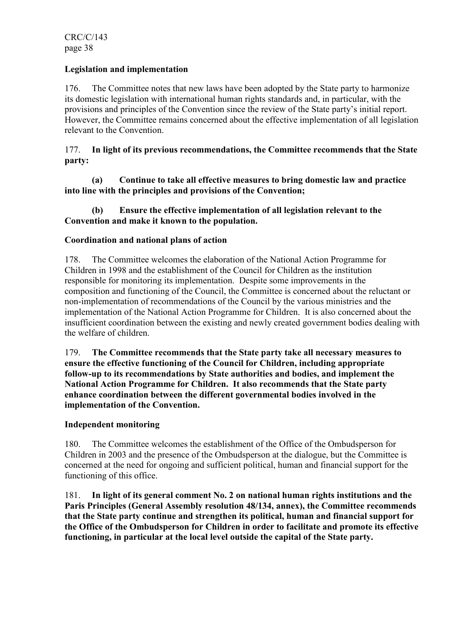## Legislation and implementation

176. The Committee notes that new laws have been adopted by the State party to harmonize its domestic legislation with international human rights standards and, in particular, with the provisions and principles of the Convention since the review of the State party's initial report. However, the Committee remains concerned about the effective implementation of all legislation relevant to the Convention.

177. In light of its previous recommendations, the Committee recommends that the State party:

 (a) Continue to take all effective measures to bring domestic law and practice into line with the principles and provisions of the Convention;

## (b) Ensure the effective implementation of all legislation relevant to the Convention and make it known to the population.

## Coordination and national plans of action

178. The Committee welcomes the elaboration of the National Action Programme for Children in 1998 and the establishment of the Council for Children as the institution responsible for monitoring its implementation. Despite some improvements in the composition and functioning of the Council, the Committee is concerned about the reluctant or non-implementation of recommendations of the Council by the various ministries and the implementation of the National Action Programme for Children. It is also concerned about the insufficient coordination between the existing and newly created government bodies dealing with the welfare of children.

179. The Committee recommends that the State party take all necessary measures to ensure the effective functioning of the Council for Children, including appropriate follow-up to its recommendations by State authorities and bodies, and implement the National Action Programme for Children. It also recommends that the State party enhance coordination between the different governmental bodies involved in the implementation of the Convention.

## Independent monitoring

180. The Committee welcomes the establishment of the Office of the Ombudsperson for Children in 2003 and the presence of the Ombudsperson at the dialogue, but the Committee is concerned at the need for ongoing and sufficient political, human and financial support for the functioning of this office.

181. In light of its general comment No. 2 on national human rights institutions and the Paris Principles (General Assembly resolution 48/134, annex), the Committee recommends that the State party continue and strengthen its political, human and financial support for the Office of the Ombudsperson for Children in order to facilitate and promote its effective functioning, in particular at the local level outside the capital of the State party.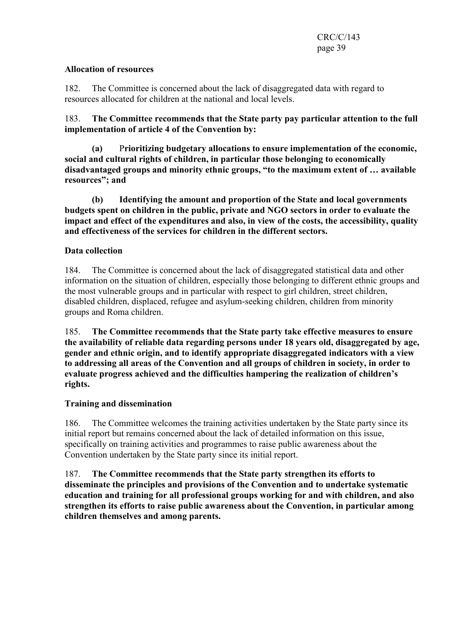#### Allocation of resources

182. The Committee is concerned about the lack of disaggregated data with regard to resources allocated for children at the national and local levels.

183. The Committee recommends that the State party pay particular attention to the full implementation of article 4 of the Convention by:

(a) Prioritizing budgetary allocations to ensure implementation of the economic, social and cultural rights of children, in particular those belonging to economically disadvantaged groups and minority ethnic groups, "to the maximum extent of … available resources"; and

 (b) Identifying the amount and proportion of the State and local governments budgets spent on children in the public, private and NGO sectors in order to evaluate the impact and effect of the expenditures and also, in view of the costs, the accessibility, quality and effectiveness of the services for children in the different sectors.

## Data collection

184. The Committee is concerned about the lack of disaggregated statistical data and other information on the situation of children, especially those belonging to different ethnic groups and the most vulnerable groups and in particular with respect to girl children, street children, disabled children, displaced, refugee and asylum-seeking children, children from minority groups and Roma children.

185. The Committee recommends that the State party take effective measures to ensure the availability of reliable data regarding persons under 18 years old, disaggregated by age, gender and ethnic origin, and to identify appropriate disaggregated indicators with a view to addressing all areas of the Convention and all groups of children in society, in order to evaluate progress achieved and the difficulties hampering the realization of children's rights.

## Training and dissemination

186. The Committee welcomes the training activities undertaken by the State party since its initial report but remains concerned about the lack of detailed information on this issue, specifically on training activities and programmes to raise public awareness about the Convention undertaken by the State party since its initial report.

187. The Committee recommends that the State party strengthen its efforts to disseminate the principles and provisions of the Convention and to undertake systematic education and training for all professional groups working for and with children, and also strengthen its efforts to raise public awareness about the Convention, in particular among children themselves and among parents.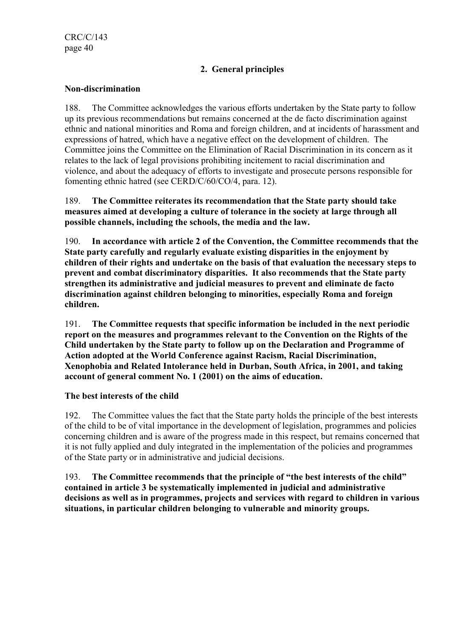# 2. General principles

## Non-discrimination

188. The Committee acknowledges the various efforts undertaken by the State party to follow up its previous recommendations but remains concerned at the de facto discrimination against ethnic and national minorities and Roma and foreign children, and at incidents of harassment and expressions of hatred, which have a negative effect on the development of children. The Committee joins the Committee on the Elimination of Racial Discrimination in its concern as it relates to the lack of legal provisions prohibiting incitement to racial discrimination and violence, and about the adequacy of efforts to investigate and prosecute persons responsible for fomenting ethnic hatred (see CERD/C/60/CO/4, para. 12).

189. The Committee reiterates its recommendation that the State party should take measures aimed at developing a culture of tolerance in the society at large through all possible channels, including the schools, the media and the law.

190. In accordance with article 2 of the Convention, the Committee recommends that the State party carefully and regularly evaluate existing disparities in the enjoyment by children of their rights and undertake on the basis of that evaluation the necessary steps to prevent and combat discriminatory disparities. It also recommends that the State party strengthen its administrative and judicial measures to prevent and eliminate de facto discrimination against children belonging to minorities, especially Roma and foreign children.

191. The Committee requests that specific information be included in the next periodic report on the measures and programmes relevant to the Convention on the Rights of the Child undertaken by the State party to follow up on the Declaration and Programme of Action adopted at the World Conference against Racism, Racial Discrimination, Xenophobia and Related Intolerance held in Durban, South Africa, in 2001, and taking account of general comment No. 1 (2001) on the aims of education.

## The best interests of the child

192. The Committee values the fact that the State party holds the principle of the best interests of the child to be of vital importance in the development of legislation, programmes and policies concerning children and is aware of the progress made in this respect, but remains concerned that it is not fully applied and duly integrated in the implementation of the policies and programmes of the State party or in administrative and judicial decisions.

193. The Committee recommends that the principle of "the best interests of the child" contained in article 3 be systematically implemented in judicial and administrative decisions as well as in programmes, projects and services with regard to children in various situations, in particular children belonging to vulnerable and minority groups.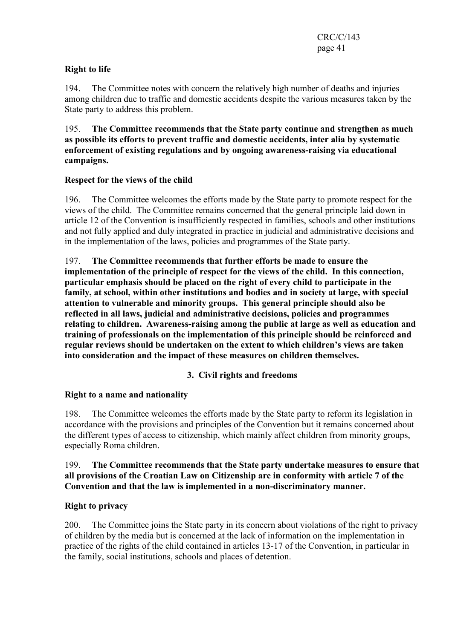# Right to life

194. The Committee notes with concern the relatively high number of deaths and injuries among children due to traffic and domestic accidents despite the various measures taken by the State party to address this problem.

195. The Committee recommends that the State party continue and strengthen as much as possible its efforts to prevent traffic and domestic accidents, inter alia by systematic enforcement of existing regulations and by ongoing awareness-raising via educational campaigns.

## Respect for the views of the child

196. The Committee welcomes the efforts made by the State party to promote respect for the views of the child. The Committee remains concerned that the general principle laid down in article 12 of the Convention is insufficiently respected in families, schools and other institutions and not fully applied and duly integrated in practice in judicial and administrative decisions and in the implementation of the laws, policies and programmes of the State party.

197. The Committee recommends that further efforts be made to ensure the implementation of the principle of respect for the views of the child. In this connection, particular emphasis should be placed on the right of every child to participate in the family, at school, within other institutions and bodies and in society at large, with special attention to vulnerable and minority groups. This general principle should also be reflected in all laws, judicial and administrative decisions, policies and programmes relating to children. Awareness-raising among the public at large as well as education and training of professionals on the implementation of this principle should be reinforced and regular reviews should be undertaken on the extent to which children's views are taken into consideration and the impact of these measures on children themselves.

# 3. Civil rights and freedoms

# Right to a name and nationality

198. The Committee welcomes the efforts made by the State party to reform its legislation in accordance with the provisions and principles of the Convention but it remains concerned about the different types of access to citizenship, which mainly affect children from minority groups, especially Roma children.

## 199. The Committee recommends that the State party undertake measures to ensure that all provisions of the Croatian Law on Citizenship are in conformity with article 7 of the Convention and that the law is implemented in a non-discriminatory manner.

## Right to privacy

200. The Committee joins the State party in its concern about violations of the right to privacy of children by the media but is concerned at the lack of information on the implementation in practice of the rights of the child contained in articles 13-17 of the Convention, in particular in the family, social institutions, schools and places of detention.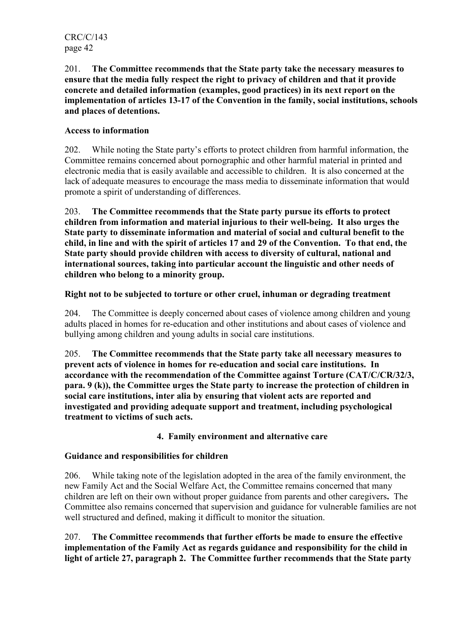201. The Committee recommends that the State party take the necessary measures to ensure that the media fully respect the right to privacy of children and that it provide concrete and detailed information (examples, good practices) in its next report on the implementation of articles 13-17 of the Convention in the family, social institutions, schools and places of detentions.

# Access to information

202. While noting the State party's efforts to protect children from harmful information, the Committee remains concerned about pornographic and other harmful material in printed and electronic media that is easily available and accessible to children. It is also concerned at the lack of adequate measures to encourage the mass media to disseminate information that would promote a spirit of understanding of differences.

203. The Committee recommends that the State party pursue its efforts to protect children from information and material injurious to their well-being. It also urges the State party to disseminate information and material of social and cultural benefit to the child, in line and with the spirit of articles 17 and 29 of the Convention. To that end, the State party should provide children with access to diversity of cultural, national and international sources, taking into particular account the linguistic and other needs of children who belong to a minority group.

## Right not to be subjected to torture or other cruel, inhuman or degrading treatment

204. The Committee is deeply concerned about cases of violence among children and young adults placed in homes for re-education and other institutions and about cases of violence and bullying among children and young adults in social care institutions.

205. The Committee recommends that the State party take all necessary measures to prevent acts of violence in homes for re-education and social care institutions. In accordance with the recommendation of the Committee against Torture (CAT/C/CR/32/3, para. 9 (k)), the Committee urges the State party to increase the protection of children in social care institutions, inter alia by ensuring that violent acts are reported and investigated and providing adequate support and treatment, including psychological treatment to victims of such acts.

## 4. Family environment and alternative care

## Guidance and responsibilities for children

206. While taking note of the legislation adopted in the area of the family environment, the new Family Act and the Social Welfare Act, the Committee remains concerned that many children are left on their own without proper guidance from parents and other caregivers. The Committee also remains concerned that supervision and guidance for vulnerable families are not well structured and defined, making it difficult to monitor the situation.

207. The Committee recommends that further efforts be made to ensure the effective implementation of the Family Act as regards guidance and responsibility for the child in light of article 27, paragraph 2. The Committee further recommends that the State party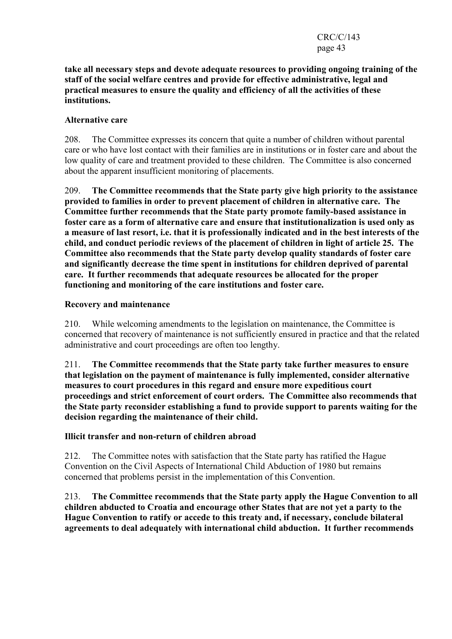#### take all necessary steps and devote adequate resources to providing ongoing training of the staff of the social welfare centres and provide for effective administrative, legal and practical measures to ensure the quality and efficiency of all the activities of these institutions.

## Alternative care

208. The Committee expresses its concern that quite a number of children without parental care or who have lost contact with their families are in institutions or in foster care and about the low quality of care and treatment provided to these children. The Committee is also concerned about the apparent insufficient monitoring of placements.

209. The Committee recommends that the State party give high priority to the assistance provided to families in order to prevent placement of children in alternative care. The Committee further recommends that the State party promote family-based assistance in foster care as a form of alternative care and ensure that institutionalization is used only as a measure of last resort, i.e. that it is professionally indicated and in the best interests of the child, and conduct periodic reviews of the placement of children in light of article 25. The Committee also recommends that the State party develop quality standards of foster care and significantly decrease the time spent in institutions for children deprived of parental care. It further recommends that adequate resources be allocated for the proper functioning and monitoring of the care institutions and foster care.

## Recovery and maintenance

210. While welcoming amendments to the legislation on maintenance, the Committee is concerned that recovery of maintenance is not sufficiently ensured in practice and that the related administrative and court proceedings are often too lengthy.

211. The Committee recommends that the State party take further measures to ensure that legislation on the payment of maintenance is fully implemented, consider alternative measures to court procedures in this regard and ensure more expeditious court proceedings and strict enforcement of court orders. The Committee also recommends that the State party reconsider establishing a fund to provide support to parents waiting for the decision regarding the maintenance of their child.

## Illicit transfer and non-return of children abroad

212. The Committee notes with satisfaction that the State party has ratified the Hague Convention on the Civil Aspects of International Child Abduction of 1980 but remains concerned that problems persist in the implementation of this Convention.

213. The Committee recommends that the State party apply the Hague Convention to all children abducted to Croatia and encourage other States that are not yet a party to the Hague Convention to ratify or accede to this treaty and, if necessary, conclude bilateral agreements to deal adequately with international child abduction. It further recommends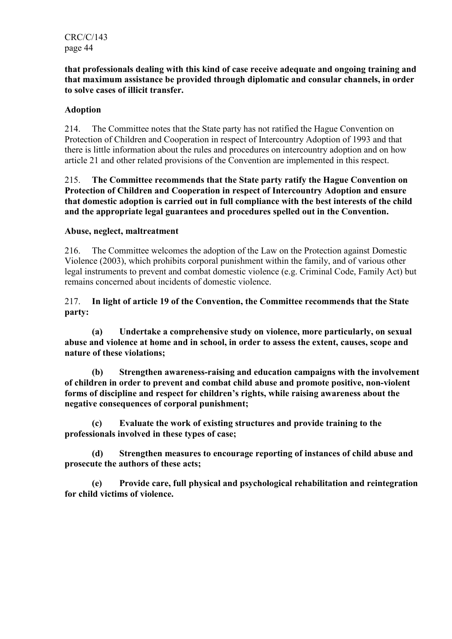that professionals dealing with this kind of case receive adequate and ongoing training and that maximum assistance be provided through diplomatic and consular channels, in order to solve cases of illicit transfer.

# Adoption

214. The Committee notes that the State party has not ratified the Hague Convention on Protection of Children and Cooperation in respect of Intercountry Adoption of 1993 and that there is little information about the rules and procedures on intercountry adoption and on how article 21 and other related provisions of the Convention are implemented in this respect.

#### 215. The Committee recommends that the State party ratify the Hague Convention on Protection of Children and Cooperation in respect of Intercountry Adoption and ensure that domestic adoption is carried out in full compliance with the best interests of the child and the appropriate legal guarantees and procedures spelled out in the Convention.

## Abuse, neglect, maltreatment

216. The Committee welcomes the adoption of the Law on the Protection against Domestic Violence (2003), which prohibits corporal punishment within the family, and of various other legal instruments to prevent and combat domestic violence (e.g. Criminal Code, Family Act) but remains concerned about incidents of domestic violence.

## 217. In light of article 19 of the Convention, the Committee recommends that the State party:

 (a) Undertake a comprehensive study on violence, more particularly, on sexual abuse and violence at home and in school, in order to assess the extent, causes, scope and nature of these violations;

 (b) Strengthen awareness-raising and education campaigns with the involvement of children in order to prevent and combat child abuse and promote positive, non-violent forms of discipline and respect for children's rights, while raising awareness about the negative consequences of corporal punishment;

 (c) Evaluate the work of existing structures and provide training to the professionals involved in these types of case;

 (d) Strengthen measures to encourage reporting of instances of child abuse and prosecute the authors of these acts;

 (e) Provide care, full physical and psychological rehabilitation and reintegration for child victims of violence.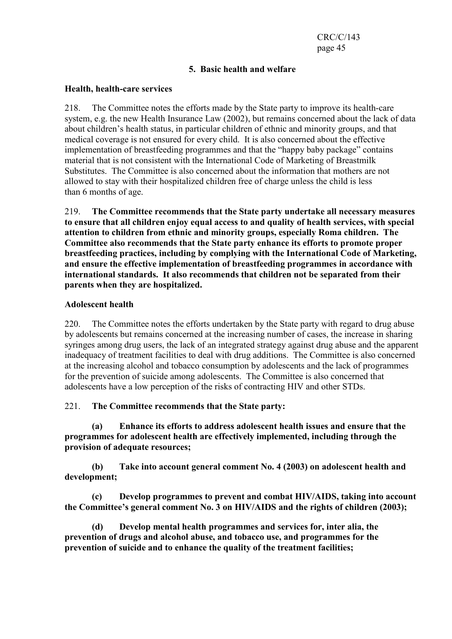# 5. Basic health and welfare

#### Health, health-care services

218. The Committee notes the efforts made by the State party to improve its health-care system, e.g. the new Health Insurance Law (2002), but remains concerned about the lack of data about children's health status, in particular children of ethnic and minority groups, and that medical coverage is not ensured for every child. It is also concerned about the effective implementation of breastfeeding programmes and that the "happy baby package" contains material that is not consistent with the International Code of Marketing of Breastmilk Substitutes. The Committee is also concerned about the information that mothers are not allowed to stay with their hospitalized children free of charge unless the child is less than 6 months of age.

219. The Committee recommends that the State party undertake all necessary measures to ensure that all children enjoy equal access to and quality of health services, with special attention to children from ethnic and minority groups, especially Roma children. The Committee also recommends that the State party enhance its efforts to promote proper breastfeeding practices, including by complying with the International Code of Marketing, and ensure the effective implementation of breastfeeding programmes in accordance with international standards. It also recommends that children not be separated from their parents when they are hospitalized.

#### Adolescent health

220. The Committee notes the efforts undertaken by the State party with regard to drug abuse by adolescents but remains concerned at the increasing number of cases, the increase in sharing syringes among drug users, the lack of an integrated strategy against drug abuse and the apparent inadequacy of treatment facilities to deal with drug additions. The Committee is also concerned at the increasing alcohol and tobacco consumption by adolescents and the lack of programmes for the prevention of suicide among adolescents. The Committee is also concerned that adolescents have a low perception of the risks of contracting HIV and other STDs.

## 221. The Committee recommends that the State party:

 (a) Enhance its efforts to address adolescent health issues and ensure that the programmes for adolescent health are effectively implemented, including through the provision of adequate resources;

 (b) Take into account general comment No. 4 (2003) on adolescent health and development;

 (c) Develop programmes to prevent and combat HIV/AIDS, taking into account the Committee's general comment No. 3 on HIV/AIDS and the rights of children (2003);

 (d) Develop mental health programmes and services for, inter alia, the prevention of drugs and alcohol abuse, and tobacco use, and programmes for the prevention of suicide and to enhance the quality of the treatment facilities;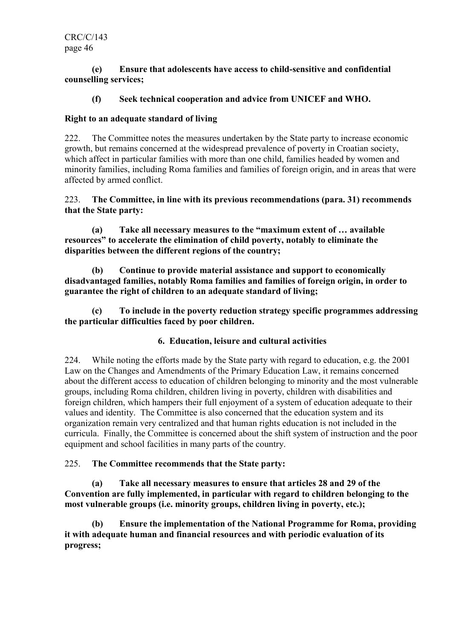CRC/C/143 page 46

#### (e) Ensure that adolescents have access to child-sensitive and confidential counselling services;

# (f) Seek technical cooperation and advice from UNICEF and WHO.

#### Right to an adequate standard of living

222. The Committee notes the measures undertaken by the State party to increase economic growth, but remains concerned at the widespread prevalence of poverty in Croatian society, which affect in particular families with more than one child, families headed by women and minority families, including Roma families and families of foreign origin, and in areas that were affected by armed conflict.

223. The Committee, in line with its previous recommendations (para. 31) recommends that the State party:

 (a) Take all necessary measures to the "maximum extent of … available resources" to accelerate the elimination of child poverty, notably to eliminate the disparities between the different regions of the country;

 (b) Continue to provide material assistance and support to economically disadvantaged families, notably Roma families and families of foreign origin, in order to guarantee the right of children to an adequate standard of living;

 (c) To include in the poverty reduction strategy specific programmes addressing the particular difficulties faced by poor children.

## 6. Education, leisure and cultural activities

224. While noting the efforts made by the State party with regard to education, e.g. the 2001 Law on the Changes and Amendments of the Primary Education Law, it remains concerned about the different access to education of children belonging to minority and the most vulnerable groups, including Roma children, children living in poverty, children with disabilities and foreign children, which hampers their full enjoyment of a system of education adequate to their values and identity. The Committee is also concerned that the education system and its organization remain very centralized and that human rights education is not included in the curricula. Finally, the Committee is concerned about the shift system of instruction and the poor equipment and school facilities in many parts of the country.

## 225. The Committee recommends that the State party:

 (a) Take all necessary measures to ensure that articles 28 and 29 of the Convention are fully implemented, in particular with regard to children belonging to the most vulnerable groups (i.e. minority groups, children living in poverty, etc.);

 (b) Ensure the implementation of the National Programme for Roma, providing it with adequate human and financial resources and with periodic evaluation of its progress;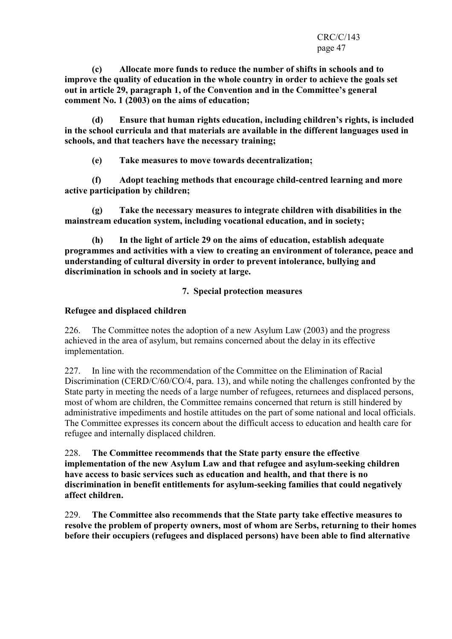(c) Allocate more funds to reduce the number of shifts in schools and to improve the quality of education in the whole country in order to achieve the goals set out in article 29, paragraph 1, of the Convention and in the Committee's general comment No. 1 (2003) on the aims of education;

 (d) Ensure that human rights education, including children's rights, is included in the school curricula and that materials are available in the different languages used in schools, and that teachers have the necessary training;

(e) Take measures to move towards decentralization;

 (f) Adopt teaching methods that encourage child-centred learning and more active participation by children;

 (g) Take the necessary measures to integrate children with disabilities in the mainstream education system, including vocational education, and in society;

 (h) In the light of article 29 on the aims of education, establish adequate programmes and activities with a view to creating an environment of tolerance, peace and understanding of cultural diversity in order to prevent intolerance, bullying and discrimination in schools and in society at large.

# 7. Special protection measures

## Refugee and displaced children

226. The Committee notes the adoption of a new Asylum Law (2003) and the progress achieved in the area of asylum, but remains concerned about the delay in its effective implementation.

227. In line with the recommendation of the Committee on the Elimination of Racial Discrimination (CERD/C/60/CO/4, para. 13), and while noting the challenges confronted by the State party in meeting the needs of a large number of refugees, returnees and displaced persons, most of whom are children, the Committee remains concerned that return is still hindered by administrative impediments and hostile attitudes on the part of some national and local officials. The Committee expresses its concern about the difficult access to education and health care for refugee and internally displaced children.

228. The Committee recommends that the State party ensure the effective implementation of the new Asylum Law and that refugee and asylum-seeking children have access to basic services such as education and health, and that there is no discrimination in benefit entitlements for asylum-seeking families that could negatively affect children.

229. The Committee also recommends that the State party take effective measures to resolve the problem of property owners, most of whom are Serbs, returning to their homes before their occupiers (refugees and displaced persons) have been able to find alternative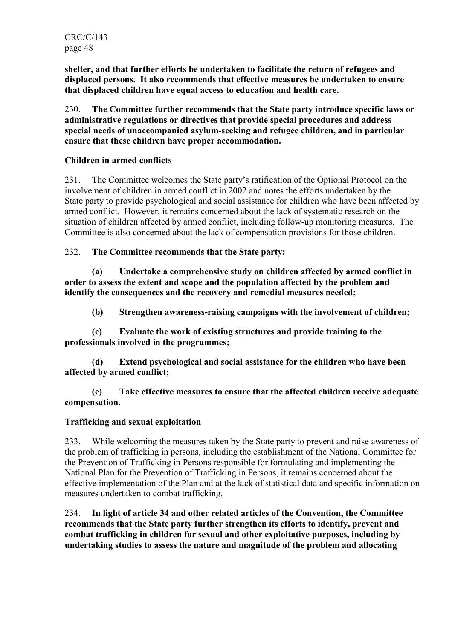shelter, and that further efforts be undertaken to facilitate the return of refugees and displaced persons. It also recommends that effective measures be undertaken to ensure that displaced children have equal access to education and health care.

230. The Committee further recommends that the State party introduce specific laws or administrative regulations or directives that provide special procedures and address special needs of unaccompanied asylum-seeking and refugee children, and in particular ensure that these children have proper accommodation.

# Children in armed conflicts

231. The Committee welcomes the State party's ratification of the Optional Protocol on the involvement of children in armed conflict in 2002 and notes the efforts undertaken by the State party to provide psychological and social assistance for children who have been affected by armed conflict. However, it remains concerned about the lack of systematic research on the situation of children affected by armed conflict, including follow-up monitoring measures. The Committee is also concerned about the lack of compensation provisions for those children.

232. The Committee recommends that the State party:

 (a) Undertake a comprehensive study on children affected by armed conflict in order to assess the extent and scope and the population affected by the problem and identify the consequences and the recovery and remedial measures needed;

(b) Strengthen awareness-raising campaigns with the involvement of children;

 (c) Evaluate the work of existing structures and provide training to the professionals involved in the programmes;

 (d) Extend psychological and social assistance for the children who have been affected by armed conflict;

 (e) Take effective measures to ensure that the affected children receive adequate compensation.

# Trafficking and sexual exploitation

233. While welcoming the measures taken by the State party to prevent and raise awareness of the problem of trafficking in persons, including the establishment of the National Committee for the Prevention of Trafficking in Persons responsible for formulating and implementing the National Plan for the Prevention of Trafficking in Persons, it remains concerned about the effective implementation of the Plan and at the lack of statistical data and specific information on measures undertaken to combat trafficking.

234. In light of article 34 and other related articles of the Convention, the Committee recommends that the State party further strengthen its efforts to identify, prevent and combat trafficking in children for sexual and other exploitative purposes, including by undertaking studies to assess the nature and magnitude of the problem and allocating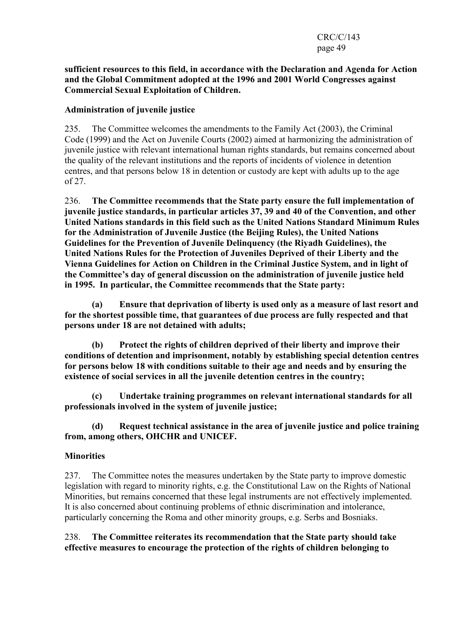#### CRC/C/143 page 49

#### sufficient resources to this field, in accordance with the Declaration and Agenda for Action and the Global Commitment adopted at the 1996 and 2001 World Congresses against Commercial Sexual Exploitation of Children.

## Administration of juvenile justice

235. The Committee welcomes the amendments to the Family Act (2003), the Criminal Code (1999) and the Act on Juvenile Courts (2002) aimed at harmonizing the administration of juvenile justice with relevant international human rights standards, but remains concerned about the quality of the relevant institutions and the reports of incidents of violence in detention centres, and that persons below 18 in detention or custody are kept with adults up to the age of 27.

236. The Committee recommends that the State party ensure the full implementation of juvenile justice standards, in particular articles 37, 39 and 40 of the Convention, and other United Nations standards in this field such as the United Nations Standard Minimum Rules for the Administration of Juvenile Justice (the Beijing Rules), the United Nations Guidelines for the Prevention of Juvenile Delinquency (the Riyadh Guidelines), the United Nations Rules for the Protection of Juveniles Deprived of their Liberty and the Vienna Guidelines for Action on Children in the Criminal Justice System, and in light of the Committee's day of general discussion on the administration of juvenile justice held in 1995. In particular, the Committee recommends that the State party:

 (a) Ensure that deprivation of liberty is used only as a measure of last resort and for the shortest possible time, that guarantees of due process are fully respected and that persons under 18 are not detained with adults;

 (b) Protect the rights of children deprived of their liberty and improve their conditions of detention and imprisonment, notably by establishing special detention centres for persons below 18 with conditions suitable to their age and needs and by ensuring the existence of social services in all the juvenile detention centres in the country;

 (c) Undertake training programmes on relevant international standards for all professionals involved in the system of juvenile justice;

 (d) Request technical assistance in the area of juvenile justice and police training from, among others, OHCHR and UNICEF.

## **Minorities**

237. The Committee notes the measures undertaken by the State party to improve domestic legislation with regard to minority rights, e.g. the Constitutional Law on the Rights of National Minorities, but remains concerned that these legal instruments are not effectively implemented. It is also concerned about continuing problems of ethnic discrimination and intolerance, particularly concerning the Roma and other minority groups, e.g. Serbs and Bosniaks.

238. The Committee reiterates its recommendation that the State party should take effective measures to encourage the protection of the rights of children belonging to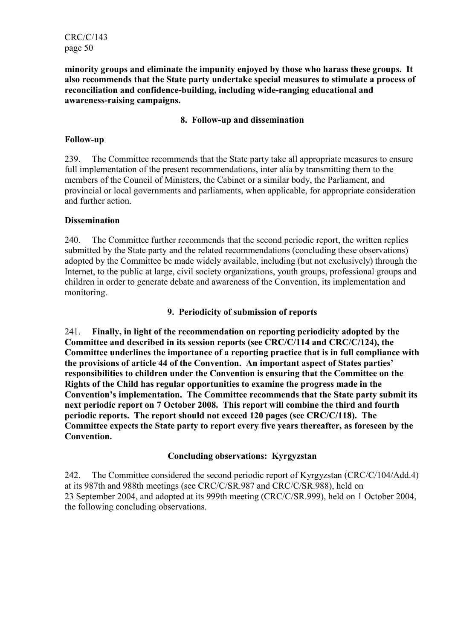CRC/C/143 page 50

minority groups and eliminate the impunity enjoyed by those who harass these groups. It also recommends that the State party undertake special measures to stimulate a process of reconciliation and confidence-building, including wide-ranging educational and awareness-raising campaigns.

#### 8. Follow-up and dissemination

#### Follow-up

239. The Committee recommends that the State party take all appropriate measures to ensure full implementation of the present recommendations, inter alia by transmitting them to the members of the Council of Ministers, the Cabinet or a similar body, the Parliament, and provincial or local governments and parliaments, when applicable, for appropriate consideration and further action.

#### **Dissemination**

240. The Committee further recommends that the second periodic report, the written replies submitted by the State party and the related recommendations (concluding these observations) adopted by the Committee be made widely available, including (but not exclusively) through the Internet, to the public at large, civil society organizations, youth groups, professional groups and children in order to generate debate and awareness of the Convention, its implementation and monitoring.

## 9. Periodicity of submission of reports

241. Finally, in light of the recommendation on reporting periodicity adopted by the Committee and described in its session reports (see CRC/C/114 and CRC/C/124), the Committee underlines the importance of a reporting practice that is in full compliance with the provisions of article 44 of the Convention. An important aspect of States parties' responsibilities to children under the Convention is ensuring that the Committee on the Rights of the Child has regular opportunities to examine the progress made in the Convention's implementation. The Committee recommends that the State party submit its next periodic report on 7 October 2008. This report will combine the third and fourth periodic reports. The report should not exceed 120 pages (see CRC/C/118). The Committee expects the State party to report every five years thereafter, as foreseen by the Convention.

## Concluding observations: Kyrgyzstan

242. The Committee considered the second periodic report of Kyrgyzstan (CRC/C/104/Add.4) at its 987th and 988th meetings (see CRC/C/SR.987 and CRC/C/SR.988), held on 23 September 2004, and adopted at its 999th meeting (CRC/C/SR.999), held on 1 October 2004, the following concluding observations.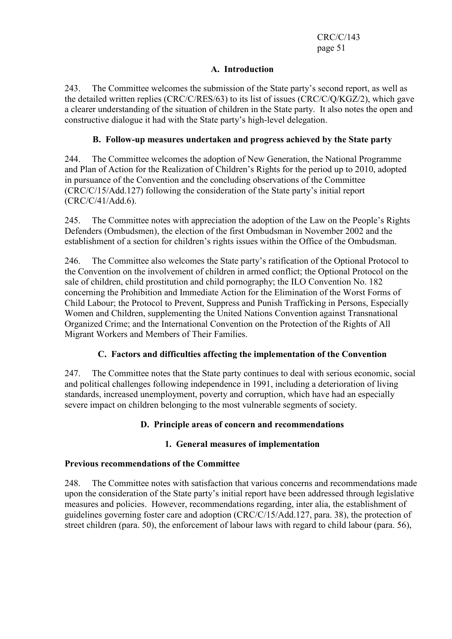# A. Introduction

243. The Committee welcomes the submission of the State party's second report, as well as the detailed written replies (CRC/C/RES/63) to its list of issues (CRC/C/Q/KGZ/2), which gave a clearer understanding of the situation of children in the State party. It also notes the open and constructive dialogue it had with the State party's high-level delegation.

# B. Follow-up measures undertaken and progress achieved by the State party

244. The Committee welcomes the adoption of New Generation, the National Programme and Plan of Action for the Realization of Children's Rights for the period up to 2010, adopted in pursuance of the Convention and the concluding observations of the Committee (CRC/C/15/Add.127) following the consideration of the State party's initial report (CRC/C/41/Add.6).

245. The Committee notes with appreciation the adoption of the Law on the People's Rights Defenders (Ombudsmen), the election of the first Ombudsman in November 2002 and the establishment of a section for children's rights issues within the Office of the Ombudsman.

246. The Committee also welcomes the State party's ratification of the Optional Protocol to the Convention on the involvement of children in armed conflict; the Optional Protocol on the sale of children, child prostitution and child pornography; the ILO Convention No. 182 concerning the Prohibition and Immediate Action for the Elimination of the Worst Forms of Child Labour; the Protocol to Prevent, Suppress and Punish Trafficking in Persons, Especially Women and Children, supplementing the United Nations Convention against Transnational Organized Crime; and the International Convention on the Protection of the Rights of All Migrant Workers and Members of Their Families.

# C. Factors and difficulties affecting the implementation of the Convention

247. The Committee notes that the State party continues to deal with serious economic, social and political challenges following independence in 1991, including a deterioration of living standards, increased unemployment, poverty and corruption, which have had an especially severe impact on children belonging to the most vulnerable segments of society.

## D. Principle areas of concern and recommendations

## 1. General measures of implementation

## Previous recommendations of the Committee

248. The Committee notes with satisfaction that various concerns and recommendations made upon the consideration of the State party's initial report have been addressed through legislative measures and policies. However, recommendations regarding, inter alia, the establishment of guidelines governing foster care and adoption (CRC/C/15/Add.127, para. 38), the protection of street children (para. 50), the enforcement of labour laws with regard to child labour (para. 56),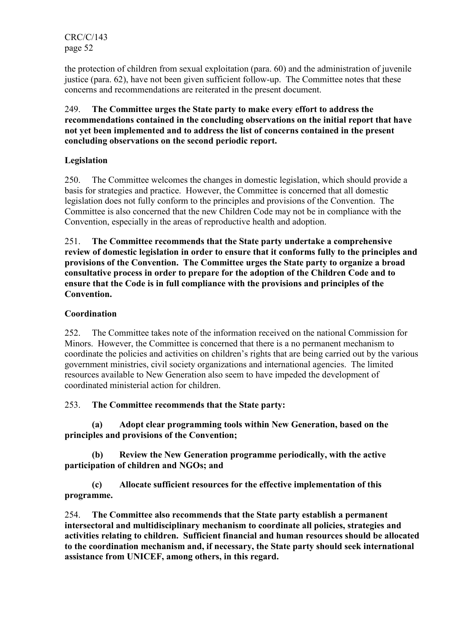CRC/C/143 page 52

the protection of children from sexual exploitation (para. 60) and the administration of juvenile justice (para. 62), have not been given sufficient follow-up. The Committee notes that these concerns and recommendations are reiterated in the present document.

## 249. The Committee urges the State party to make every effort to address the recommendations contained in the concluding observations on the initial report that have not yet been implemented and to address the list of concerns contained in the present concluding observations on the second periodic report.

# Legislation

250. The Committee welcomes the changes in domestic legislation, which should provide a basis for strategies and practice. However, the Committee is concerned that all domestic legislation does not fully conform to the principles and provisions of the Convention. The Committee is also concerned that the new Children Code may not be in compliance with the Convention, especially in the areas of reproductive health and adoption.

251. The Committee recommends that the State party undertake a comprehensive review of domestic legislation in order to ensure that it conforms fully to the principles and provisions of the Convention. The Committee urges the State party to organize a broad consultative process in order to prepare for the adoption of the Children Code and to ensure that the Code is in full compliance with the provisions and principles of the Convention.

# **Coordination**

252. The Committee takes note of the information received on the national Commission for Minors. However, the Committee is concerned that there is a no permanent mechanism to coordinate the policies and activities on children's rights that are being carried out by the various government ministries, civil society organizations and international agencies. The limited resources available to New Generation also seem to have impeded the development of coordinated ministerial action for children.

253. The Committee recommends that the State party:

 (a) Adopt clear programming tools within New Generation, based on the principles and provisions of the Convention;

 (b) Review the New Generation programme periodically, with the active participation of children and NGOs; and

 (c) Allocate sufficient resources for the effective implementation of this programme.

254. The Committee also recommends that the State party establish a permanent intersectoral and multidisciplinary mechanism to coordinate all policies, strategies and activities relating to children. Sufficient financial and human resources should be allocated to the coordination mechanism and, if necessary, the State party should seek international assistance from UNICEF, among others, in this regard.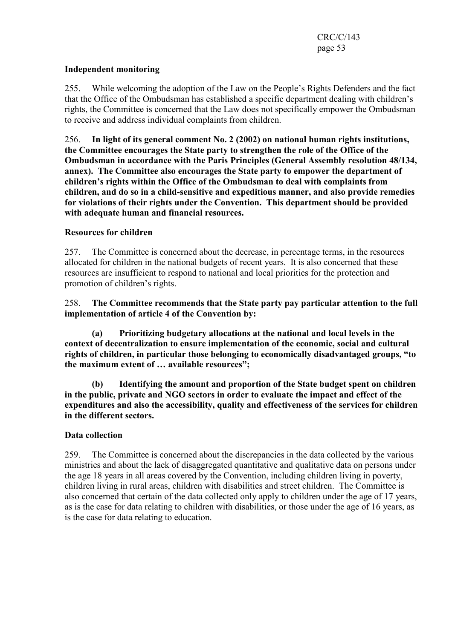## Independent monitoring

255. While welcoming the adoption of the Law on the People's Rights Defenders and the fact that the Office of the Ombudsman has established a specific department dealing with children's rights, the Committee is concerned that the Law does not specifically empower the Ombudsman to receive and address individual complaints from children.

256. In light of its general comment No. 2 (2002) on national human rights institutions, the Committee encourages the State party to strengthen the role of the Office of the Ombudsman in accordance with the Paris Principles (General Assembly resolution 48/134, annex). The Committee also encourages the State party to empower the department of children's rights within the Office of the Ombudsman to deal with complaints from children, and do so in a child-sensitive and expeditious manner, and also provide remedies for violations of their rights under the Convention. This department should be provided with adequate human and financial resources.

# Resources for children

257. The Committee is concerned about the decrease, in percentage terms, in the resources allocated for children in the national budgets of recent years. It is also concerned that these resources are insufficient to respond to national and local priorities for the protection and promotion of children's rights.

258. The Committee recommends that the State party pay particular attention to the full implementation of article 4 of the Convention by:

 (a) Prioritizing budgetary allocations at the national and local levels in the context of decentralization to ensure implementation of the economic, social and cultural rights of children, in particular those belonging to economically disadvantaged groups, "to the maximum extent of … available resources";

 (b) Identifying the amount and proportion of the State budget spent on children in the public, private and NGO sectors in order to evaluate the impact and effect of the expenditures and also the accessibility, quality and effectiveness of the services for children in the different sectors.

## Data collection

259. The Committee is concerned about the discrepancies in the data collected by the various ministries and about the lack of disaggregated quantitative and qualitative data on persons under the age 18 years in all areas covered by the Convention, including children living in poverty, children living in rural areas, children with disabilities and street children. The Committee is also concerned that certain of the data collected only apply to children under the age of 17 years, as is the case for data relating to children with disabilities, or those under the age of 16 years, as is the case for data relating to education.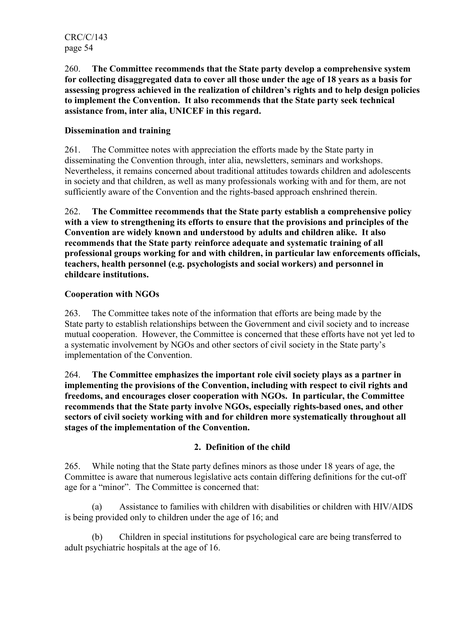260. The Committee recommends that the State party develop a comprehensive system for collecting disaggregated data to cover all those under the age of 18 years as a basis for assessing progress achieved in the realization of children's rights and to help design policies to implement the Convention. It also recommends that the State party seek technical assistance from, inter alia, UNICEF in this regard.

# Dissemination and training

261. The Committee notes with appreciation the efforts made by the State party in disseminating the Convention through, inter alia, newsletters, seminars and workshops. Nevertheless, it remains concerned about traditional attitudes towards children and adolescents in society and that children, as well as many professionals working with and for them, are not sufficiently aware of the Convention and the rights-based approach enshrined therein.

262. The Committee recommends that the State party establish a comprehensive policy with a view to strengthening its efforts to ensure that the provisions and principles of the Convention are widely known and understood by adults and children alike. It also recommends that the State party reinforce adequate and systematic training of all professional groups working for and with children, in particular law enforcements officials, teachers, health personnel (e.g. psychologists and social workers) and personnel in childcare institutions.

## Cooperation with NGOs

263. The Committee takes note of the information that efforts are being made by the State party to establish relationships between the Government and civil society and to increase mutual cooperation. However, the Committee is concerned that these efforts have not yet led to a systematic involvement by NGOs and other sectors of civil society in the State party's implementation of the Convention.

264. The Committee emphasizes the important role civil society plays as a partner in implementing the provisions of the Convention, including with respect to civil rights and freedoms, and encourages closer cooperation with NGOs. In particular, the Committee recommends that the State party involve NGOs, especially rights-based ones, and other sectors of civil society working with and for children more systematically throughout all stages of the implementation of the Convention.

## 2. Definition of the child

265. While noting that the State party defines minors as those under 18 years of age, the Committee is aware that numerous legislative acts contain differing definitions for the cut-off age for a "minor". The Committee is concerned that:

 (a) Assistance to families with children with disabilities or children with HIV/AIDS is being provided only to children under the age of 16; and

 (b) Children in special institutions for psychological care are being transferred to adult psychiatric hospitals at the age of 16.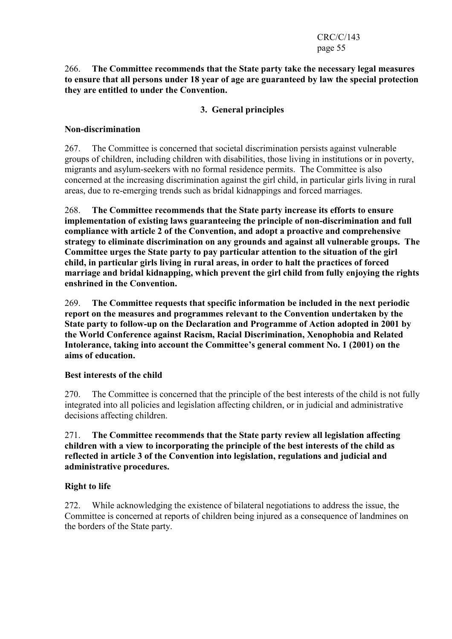#### 266. The Committee recommends that the State party take the necessary legal measures to ensure that all persons under 18 year of age are guaranteed by law the special protection they are entitled to under the Convention.

# 3. General principles

## Non-discrimination

267. The Committee is concerned that societal discrimination persists against vulnerable groups of children, including children with disabilities, those living in institutions or in poverty, migrants and asylum-seekers with no formal residence permits. The Committee is also concerned at the increasing discrimination against the girl child, in particular girls living in rural areas, due to re-emerging trends such as bridal kidnappings and forced marriages.

268. The Committee recommends that the State party increase its efforts to ensure implementation of existing laws guaranteeing the principle of non-discrimination and full compliance with article 2 of the Convention, and adopt a proactive and comprehensive strategy to eliminate discrimination on any grounds and against all vulnerable groups. The Committee urges the State party to pay particular attention to the situation of the girl child, in particular girls living in rural areas, in order to halt the practices of forced marriage and bridal kidnapping, which prevent the girl child from fully enjoying the rights enshrined in the Convention.

269. The Committee requests that specific information be included in the next periodic report on the measures and programmes relevant to the Convention undertaken by the State party to follow-up on the Declaration and Programme of Action adopted in 2001 by the World Conference against Racism, Racial Discrimination, Xenophobia and Related Intolerance, taking into account the Committee's general comment No. 1 (2001) on the aims of education.

## Best interests of the child

270. The Committee is concerned that the principle of the best interests of the child is not fully integrated into all policies and legislation affecting children, or in judicial and administrative decisions affecting children.

271. The Committee recommends that the State party review all legislation affecting children with a view to incorporating the principle of the best interests of the child as reflected in article 3 of the Convention into legislation, regulations and judicial and administrative procedures.

## Right to life

272. While acknowledging the existence of bilateral negotiations to address the issue, the Committee is concerned at reports of children being injured as a consequence of landmines on the borders of the State party.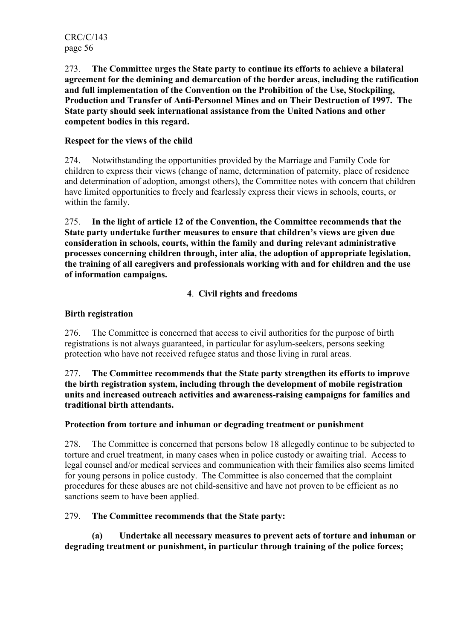273. The Committee urges the State party to continue its efforts to achieve a bilateral agreement for the demining and demarcation of the border areas, including the ratification and full implementation of the Convention on the Prohibition of the Use, Stockpiling, Production and Transfer of Anti-Personnel Mines and on Their Destruction of 1997. The State party should seek international assistance from the United Nations and other competent bodies in this regard.

# Respect for the views of the child

274. Notwithstanding the opportunities provided by the Marriage and Family Code for children to express their views (change of name, determination of paternity, place of residence and determination of adoption, amongst others), the Committee notes with concern that children have limited opportunities to freely and fearlessly express their views in schools, courts, or within the family.

275. In the light of article 12 of the Convention, the Committee recommends that the State party undertake further measures to ensure that children's views are given due consideration in schools, courts, within the family and during relevant administrative processes concerning children through, inter alia, the adoption of appropriate legislation, the training of all caregivers and professionals working with and for children and the use of information campaigns.

# 4. Civil rights and freedoms

# Birth registration

276. The Committee is concerned that access to civil authorities for the purpose of birth registrations is not always guaranteed, in particular for asylum-seekers, persons seeking protection who have not received refugee status and those living in rural areas.

277. The Committee recommends that the State party strengthen its efforts to improve the birth registration system, including through the development of mobile registration units and increased outreach activities and awareness-raising campaigns for families and traditional birth attendants.

## Protection from torture and inhuman or degrading treatment or punishment

278. The Committee is concerned that persons below 18 allegedly continue to be subjected to torture and cruel treatment, in many cases when in police custody or awaiting trial. Access to legal counsel and/or medical services and communication with their families also seems limited for young persons in police custody. The Committee is also concerned that the complaint procedures for these abuses are not child-sensitive and have not proven to be efficient as no sanctions seem to have been applied.

## 279. The Committee recommends that the State party:

 (a) Undertake all necessary measures to prevent acts of torture and inhuman or degrading treatment or punishment, in particular through training of the police forces;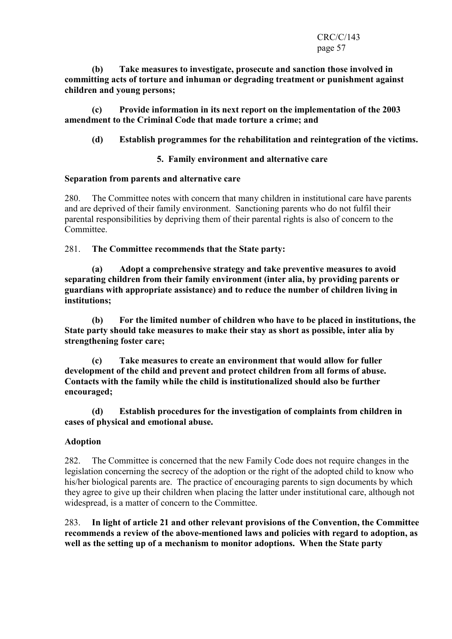#### CRC/C/143 page 57

 (b) Take measures to investigate, prosecute and sanction those involved in committing acts of torture and inhuman or degrading treatment or punishment against children and young persons;

 (c) Provide information in its next report on the implementation of the 2003 amendment to the Criminal Code that made torture a crime; and

## (d) Establish programmes for the rehabilitation and reintegration of the victims.

#### 5. Family environment and alternative care

#### Separation from parents and alternative care

280. The Committee notes with concern that many children in institutional care have parents and are deprived of their family environment. Sanctioning parents who do not fulfil their parental responsibilities by depriving them of their parental rights is also of concern to the Committee.

281. The Committee recommends that the State party:

(a) Adopt a comprehensive strategy and take preventive measures to avoid separating children from their family environment (inter alia, by providing parents or guardians with appropriate assistance) and to reduce the number of children living in institutions;

(b) For the limited number of children who have to be placed in institutions, the State party should take measures to make their stay as short as possible, inter alia by strengthening foster care;

 (c) Take measures to create an environment that would allow for fuller development of the child and prevent and protect children from all forms of abuse. Contacts with the family while the child is institutionalized should also be further encouraged;

 (d) Establish procedures for the investigation of complaints from children in cases of physical and emotional abuse.

## Adoption

282. The Committee is concerned that the new Family Code does not require changes in the legislation concerning the secrecy of the adoption or the right of the adopted child to know who his/her biological parents are. The practice of encouraging parents to sign documents by which they agree to give up their children when placing the latter under institutional care, although not widespread, is a matter of concern to the Committee.

283. In light of article 21 and other relevant provisions of the Convention, the Committee recommends a review of the above-mentioned laws and policies with regard to adoption, as well as the setting up of a mechanism to monitor adoptions. When the State party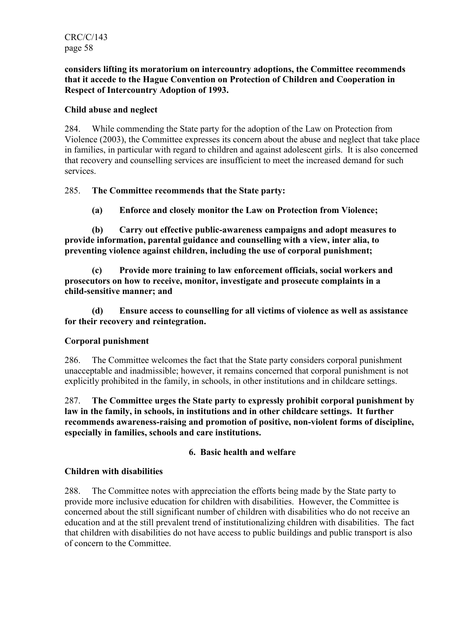#### considers lifting its moratorium on intercountry adoptions, the Committee recommends that it accede to the Hague Convention on Protection of Children and Cooperation in Respect of Intercountry Adoption of 1993.

## Child abuse and neglect

284. While commending the State party for the adoption of the Law on Protection from Violence (2003), the Committee expresses its concern about the abuse and neglect that take place in families, in particular with regard to children and against adolescent girls. It is also concerned that recovery and counselling services are insufficient to meet the increased demand for such services.

# 285. The Committee recommends that the State party:

(a) Enforce and closely monitor the Law on Protection from Violence;

 (b) Carry out effective public-awareness campaigns and adopt measures to provide information, parental guidance and counselling with a view, inter alia, to preventing violence against children, including the use of corporal punishment;

 (c) Provide more training to law enforcement officials, social workers and prosecutors on how to receive, monitor, investigate and prosecute complaints in a child-sensitive manner; and

 (d) Ensure access to counselling for all victims of violence as well as assistance for their recovery and reintegration.

## Corporal punishment

286. The Committee welcomes the fact that the State party considers corporal punishment unacceptable and inadmissible; however, it remains concerned that corporal punishment is not explicitly prohibited in the family, in schools, in other institutions and in childcare settings.

287. The Committee urges the State party to expressly prohibit corporal punishment by law in the family, in schools, in institutions and in other childcare settings. It further recommends awareness-raising and promotion of positive, non-violent forms of discipline, especially in families, schools and care institutions.

## 6. Basic health and welfare

## Children with disabilities

288. The Committee notes with appreciation the efforts being made by the State party to provide more inclusive education for children with disabilities. However, the Committee is concerned about the still significant number of children with disabilities who do not receive an education and at the still prevalent trend of institutionalizing children with disabilities. The fact that children with disabilities do not have access to public buildings and public transport is also of concern to the Committee.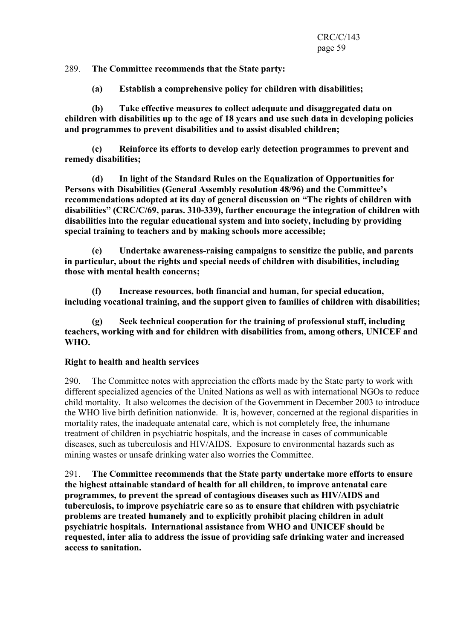289. The Committee recommends that the State party:

(a) Establish a comprehensive policy for children with disabilities;

 (b) Take effective measures to collect adequate and disaggregated data on children with disabilities up to the age of 18 years and use such data in developing policies and programmes to prevent disabilities and to assist disabled children;

 (c) Reinforce its efforts to develop early detection programmes to prevent and remedy disabilities;

 (d) In light of the Standard Rules on the Equalization of Opportunities for Persons with Disabilities (General Assembly resolution 48/96) and the Committee's recommendations adopted at its day of general discussion on "The rights of children with disabilities" (CRC/C/69, paras. 310-339), further encourage the integration of children with disabilities into the regular educational system and into society, including by providing special training to teachers and by making schools more accessible;

 (e) Undertake awareness-raising campaigns to sensitize the public, and parents in particular, about the rights and special needs of children with disabilities, including those with mental health concerns;

 (f) Increase resources, both financial and human, for special education, including vocational training, and the support given to families of children with disabilities;

 (g) Seek technical cooperation for the training of professional staff, including teachers, working with and for children with disabilities from, among others, UNICEF and WHO.

#### Right to health and health services

290. The Committee notes with appreciation the efforts made by the State party to work with different specialized agencies of the United Nations as well as with international NGOs to reduce child mortality. It also welcomes the decision of the Government in December 2003 to introduce the WHO live birth definition nationwide. It is, however, concerned at the regional disparities in mortality rates, the inadequate antenatal care, which is not completely free, the inhumane treatment of children in psychiatric hospitals, and the increase in cases of communicable diseases, such as tuberculosis and HIV/AIDS. Exposure to environmental hazards such as mining wastes or unsafe drinking water also worries the Committee.

291. The Committee recommends that the State party undertake more efforts to ensure the highest attainable standard of health for all children, to improve antenatal care programmes, to prevent the spread of contagious diseases such as HIV/AIDS and tuberculosis, to improve psychiatric care so as to ensure that children with psychiatric problems are treated humanely and to explicitly prohibit placing children in adult psychiatric hospitals. International assistance from WHO and UNICEF should be requested, inter alia to address the issue of providing safe drinking water and increased access to sanitation.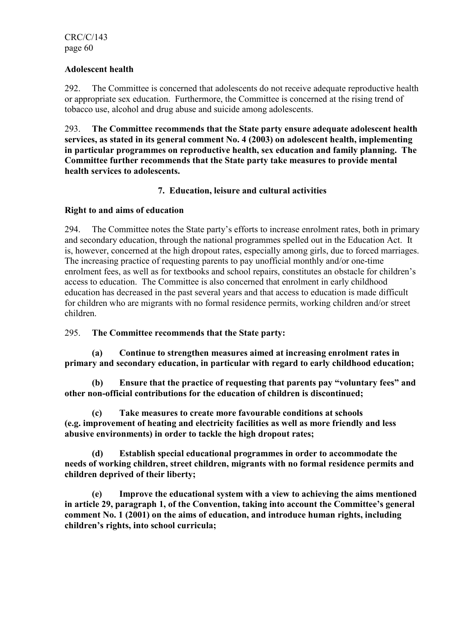## Adolescent health

292. The Committee is concerned that adolescents do not receive adequate reproductive health or appropriate sex education. Furthermore, the Committee is concerned at the rising trend of tobacco use, alcohol and drug abuse and suicide among adolescents.

293. The Committee recommends that the State party ensure adequate adolescent health services, as stated in its general comment No. 4 (2003) on adolescent health, implementing in particular programmes on reproductive health, sex education and family planning. The Committee further recommends that the State party take measures to provide mental health services to adolescents.

# 7. Education, leisure and cultural activities

# Right to and aims of education

294. The Committee notes the State party's efforts to increase enrolment rates, both in primary and secondary education, through the national programmes spelled out in the Education Act. It is, however, concerned at the high dropout rates, especially among girls, due to forced marriages. The increasing practice of requesting parents to pay unofficial monthly and/or one-time enrolment fees, as well as for textbooks and school repairs, constitutes an obstacle for children's access to education. The Committee is also concerned that enrolment in early childhood education has decreased in the past several years and that access to education is made difficult for children who are migrants with no formal residence permits, working children and/or street children.

295. The Committee recommends that the State party:

 (a) Continue to strengthen measures aimed at increasing enrolment rates in primary and secondary education, in particular with regard to early childhood education;

 (b) Ensure that the practice of requesting that parents pay "voluntary fees" and other non-official contributions for the education of children is discontinued;

 (c) Take measures to create more favourable conditions at schools (e.g. improvement of heating and electricity facilities as well as more friendly and less abusive environments) in order to tackle the high dropout rates;

 (d) Establish special educational programmes in order to accommodate the needs of working children, street children, migrants with no formal residence permits and children deprived of their liberty;

 (e) Improve the educational system with a view to achieving the aims mentioned in article 29, paragraph 1, of the Convention, taking into account the Committee's general comment No. 1 (2001) on the aims of education, and introduce human rights, including children's rights, into school curricula;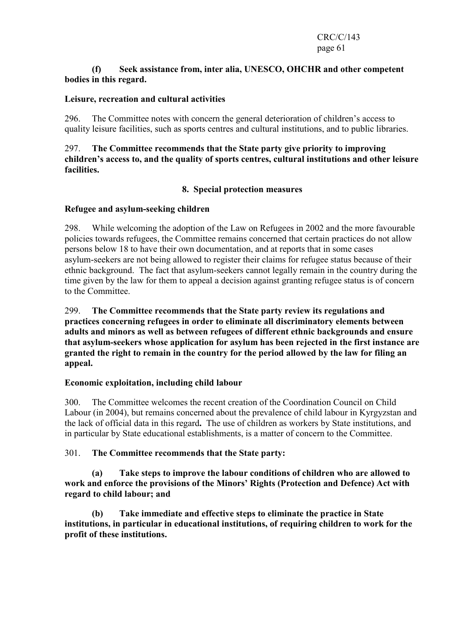#### (f) Seek assistance from, inter alia, UNESCO, OHCHR and other competent bodies in this regard.

#### Leisure, recreation and cultural activities

296. The Committee notes with concern the general deterioration of children's access to quality leisure facilities, such as sports centres and cultural institutions, and to public libraries.

#### 297. The Committee recommends that the State party give priority to improving children's access to, and the quality of sports centres, cultural institutions and other leisure facilities.

#### 8. Special protection measures

#### Refugee and asylum-seeking children

298. While welcoming the adoption of the Law on Refugees in 2002 and the more favourable policies towards refugees, the Committee remains concerned that certain practices do not allow persons below 18 to have their own documentation, and at reports that in some cases asylum-seekers are not being allowed to register their claims for refugee status because of their ethnic background. The fact that asylum-seekers cannot legally remain in the country during the time given by the law for them to appeal a decision against granting refugee status is of concern to the Committee.

299. The Committee recommends that the State party review its regulations and practices concerning refugees in order to eliminate all discriminatory elements between adults and minors as well as between refugees of different ethnic backgrounds and ensure that asylum-seekers whose application for asylum has been rejected in the first instance are granted the right to remain in the country for the period allowed by the law for filing an appeal.

#### Economic exploitation, including child labour

300. The Committee welcomes the recent creation of the Coordination Council on Child Labour (in 2004), but remains concerned about the prevalence of child labour in Kyrgyzstan and the lack of official data in this regard. The use of children as workers by State institutions, and in particular by State educational establishments, is a matter of concern to the Committee.

#### 301. The Committee recommends that the State party:

 (a) Take steps to improve the labour conditions of children who are allowed to work and enforce the provisions of the Minors' Rights (Protection and Defence) Act with regard to child labour; and

 (b) Take immediate and effective steps to eliminate the practice in State institutions, in particular in educational institutions, of requiring children to work for the profit of these institutions.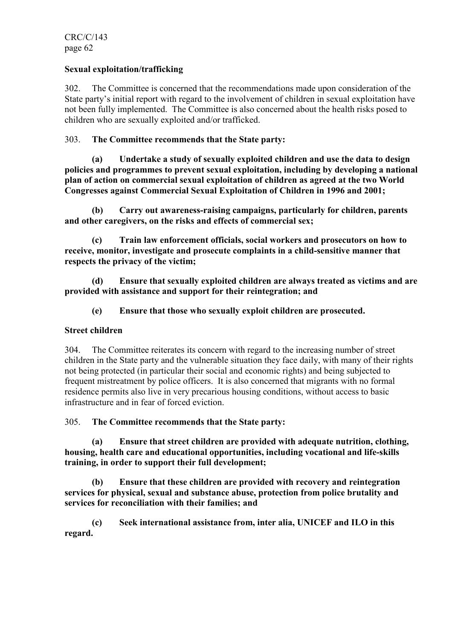## Sexual exploitation/trafficking

302. The Committee is concerned that the recommendations made upon consideration of the State party's initial report with regard to the involvement of children in sexual exploitation have not been fully implemented. The Committee is also concerned about the health risks posed to children who are sexually exploited and/or trafficked.

## 303. The Committee recommends that the State party:

 (a) Undertake a study of sexually exploited children and use the data to design policies and programmes to prevent sexual exploitation, including by developing a national plan of action on commercial sexual exploitation of children as agreed at the two World Congresses against Commercial Sexual Exploitation of Children in 1996 and 2001;

 (b) Carry out awareness-raising campaigns, particularly for children, parents and other caregivers, on the risks and effects of commercial sex;

 (c) Train law enforcement officials, social workers and prosecutors on how to receive, monitor, investigate and prosecute complaints in a child-sensitive manner that respects the privacy of the victim;

 (d) Ensure that sexually exploited children are always treated as victims and are provided with assistance and support for their reintegration; and

(e) Ensure that those who sexually exploit children are prosecuted.

## Street children

304. The Committee reiterates its concern with regard to the increasing number of street children in the State party and the vulnerable situation they face daily, with many of their rights not being protected (in particular their social and economic rights) and being subjected to frequent mistreatment by police officers. It is also concerned that migrants with no formal residence permits also live in very precarious housing conditions, without access to basic infrastructure and in fear of forced eviction.

## 305. The Committee recommends that the State party:

 (a) Ensure that street children are provided with adequate nutrition, clothing, housing, health care and educational opportunities, including vocational and life-skills training, in order to support their full development;

 (b) Ensure that these children are provided with recovery and reintegration services for physical, sexual and substance abuse, protection from police brutality and services for reconciliation with their families; and

 (c) Seek international assistance from, inter alia, UNICEF and ILO in this regard.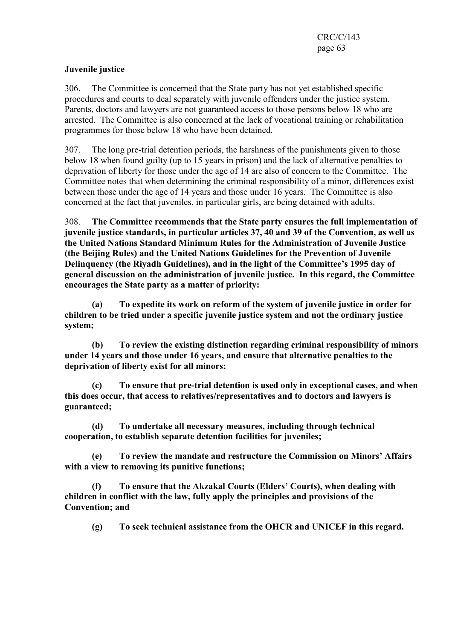# Juvenile justice

306. The Committee is concerned that the State party has not yet established specific procedures and courts to deal separately with juvenile offenders under the justice system. Parents, doctors and lawyers are not guaranteed access to those persons below 18 who are arrested. The Committee is also concerned at the lack of vocational training or rehabilitation programmes for those below 18 who have been detained.

307. The long pre-trial detention periods, the harshness of the punishments given to those below 18 when found guilty (up to 15 years in prison) and the lack of alternative penalties to deprivation of liberty for those under the age of 14 are also of concern to the Committee. The Committee notes that when determining the criminal responsibility of a minor, differences exist between those under the age of 14 years and those under 16 years. The Committee is also concerned at the fact that juveniles, in particular girls, are being detained with adults.

308. The Committee recommends that the State party ensures the full implementation of juvenile justice standards, in particular articles 37, 40 and 39 of the Convention, as well as the United Nations Standard Minimum Rules for the Administration of Juvenile Justice (the Beijing Rules) and the United Nations Guidelines for the Prevention of Juvenile Delinquency (the Riyadh Guidelines), and in the light of the Committee's 1995 day of general discussion on the administration of juvenile justice. In this regard, the Committee encourages the State party as a matter of priority:

 (a) To expedite its work on reform of the system of juvenile justice in order for children to be tried under a specific juvenile justice system and not the ordinary justice system;

 (b) To review the existing distinction regarding criminal responsibility of minors under 14 years and those under 16 years, and ensure that alternative penalties to the deprivation of liberty exist for all minors;

 (c) To ensure that pre-trial detention is used only in exceptional cases, and when this does occur, that access to relatives/representatives and to doctors and lawyers is guaranteed;

 (d) To undertake all necessary measures, including through technical cooperation, to establish separate detention facilities for juveniles;

 (e) To review the mandate and restructure the Commission on Minors' Affairs with a view to removing its punitive functions;

 (f) To ensure that the Akzakal Courts (Elders' Courts), when dealing with children in conflict with the law, fully apply the principles and provisions of the Convention; and

(g) To seek technical assistance from the OHCR and UNICEF in this regard.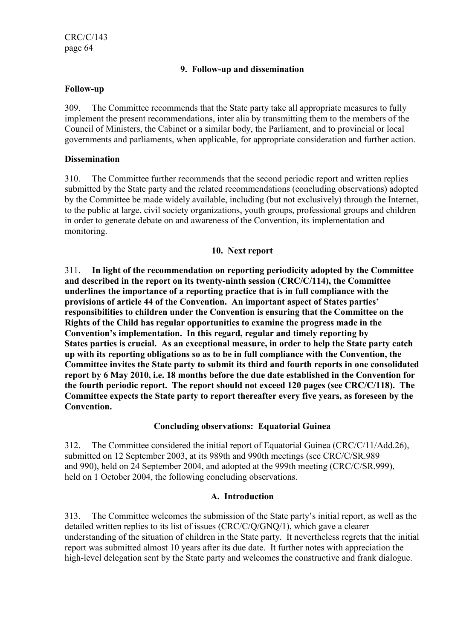## 9. Follow-up and dissemination

#### Follow-up

309. The Committee recommends that the State party take all appropriate measures to fully implement the present recommendations, inter alia by transmitting them to the members of the Council of Ministers, the Cabinet or a similar body, the Parliament, and to provincial or local governments and parliaments, when applicable, for appropriate consideration and further action.

#### **Dissemination**

310. The Committee further recommends that the second periodic report and written replies submitted by the State party and the related recommendations (concluding observations) adopted by the Committee be made widely available, including (but not exclusively) through the Internet, to the public at large, civil society organizations, youth groups, professional groups and children in order to generate debate on and awareness of the Convention, its implementation and monitoring.

#### 10. Next report

311. In light of the recommendation on reporting periodicity adopted by the Committee and described in the report on its twenty-ninth session (CRC/C/114), the Committee underlines the importance of a reporting practice that is in full compliance with the provisions of article 44 of the Convention. An important aspect of States parties' responsibilities to children under the Convention is ensuring that the Committee on the Rights of the Child has regular opportunities to examine the progress made in the Convention's implementation. In this regard, regular and timely reporting by States parties is crucial. As an exceptional measure, in order to help the State party catch up with its reporting obligations so as to be in full compliance with the Convention, the Committee invites the State party to submit its third and fourth reports in one consolidated report by 6 May 2010, i.e. 18 months before the due date established in the Convention for the fourth periodic report. The report should not exceed 120 pages (see CRC/C/118). The Committee expects the State party to report thereafter every five years, as foreseen by the Convention.

## Concluding observations: Equatorial Guinea

312. The Committee considered the initial report of Equatorial Guinea (CRC/C/11/Add.26), submitted on 12 September 2003, at its 989th and 990th meetings (see CRC/C/SR.989 and 990), held on 24 September 2004, and adopted at the 999th meeting (CRC/C/SR.999), held on 1 October 2004, the following concluding observations.

## A. Introduction

313. The Committee welcomes the submission of the State party's initial report, as well as the detailed written replies to its list of issues (CRC/C/Q/GNQ/1), which gave a clearer understanding of the situation of children in the State party. It nevertheless regrets that the initial report was submitted almost 10 years after its due date. It further notes with appreciation the high-level delegation sent by the State party and welcomes the constructive and frank dialogue.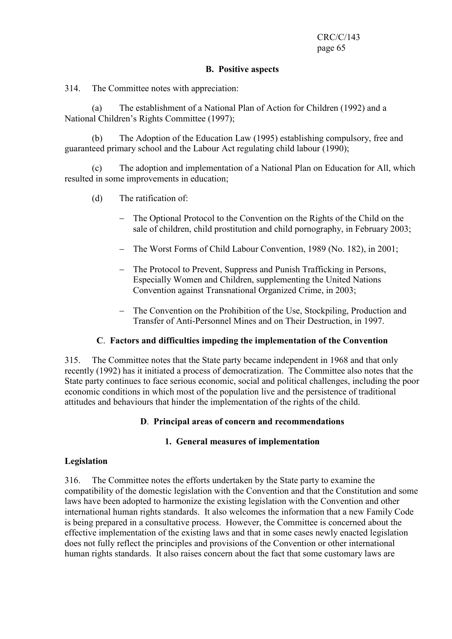#### B. Positive aspects

314. The Committee notes with appreciation:

 (a) The establishment of a National Plan of Action for Children (1992) and a National Children's Rights Committee (1997);

 (b) The Adoption of the Education Law (1995) establishing compulsory, free and guaranteed primary school and the Labour Act regulating child labour (1990);

 (c) The adoption and implementation of a National Plan on Education for All, which resulted in some improvements in education;

- (d) The ratification of:
	- The Optional Protocol to the Convention on the Rights of the Child on the sale of children, child prostitution and child pornography, in February 2003;
	- − The Worst Forms of Child Labour Convention, 1989 (No. 182), in 2001;
	- − The Protocol to Prevent, Suppress and Punish Trafficking in Persons, Especially Women and Children, supplementing the United Nations Convention against Transnational Organized Crime, in 2003;
	- − The Convention on the Prohibition of the Use, Stockpiling, Production and Transfer of Anti-Personnel Mines and on Their Destruction, in 1997.

#### C. Factors and difficulties impeding the implementation of the Convention

315. The Committee notes that the State party became independent in 1968 and that only recently (1992) has it initiated a process of democratization. The Committee also notes that the State party continues to face serious economic, social and political challenges, including the poor economic conditions in which most of the population live and the persistence of traditional attitudes and behaviours that hinder the implementation of the rights of the child.

#### D. Principal areas of concern and recommendations

#### 1. General measures of implementation

#### Legislation

316. The Committee notes the efforts undertaken by the State party to examine the compatibility of the domestic legislation with the Convention and that the Constitution and some laws have been adopted to harmonize the existing legislation with the Convention and other international human rights standards. It also welcomes the information that a new Family Code is being prepared in a consultative process. However, the Committee is concerned about the effective implementation of the existing laws and that in some cases newly enacted legislation does not fully reflect the principles and provisions of the Convention or other international human rights standards. It also raises concern about the fact that some customary laws are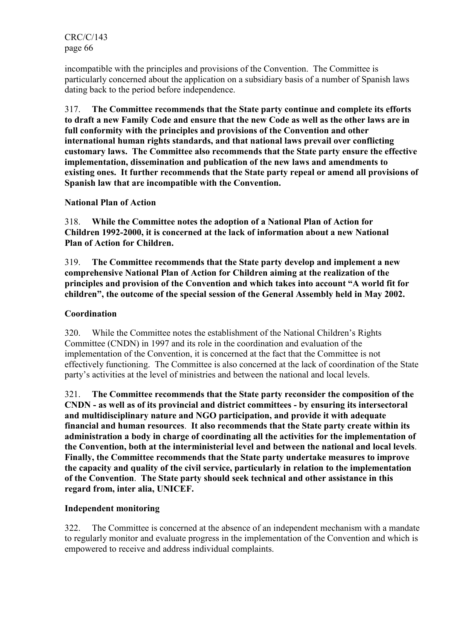incompatible with the principles and provisions of the Convention. The Committee is particularly concerned about the application on a subsidiary basis of a number of Spanish laws dating back to the period before independence.

317. The Committee recommends that the State party continue and complete its efforts to draft a new Family Code and ensure that the new Code as well as the other laws are in full conformity with the principles and provisions of the Convention and other international human rights standards, and that national laws prevail over conflicting customary laws. The Committee also recommends that the State party ensure the effective implementation, dissemination and publication of the new laws and amendments to existing ones. It further recommends that the State party repeal or amend all provisions of Spanish law that are incompatible with the Convention.

## National Plan of Action

318. While the Committee notes the adoption of a National Plan of Action for Children 1992-2000, it is concerned at the lack of information about a new National Plan of Action for Children.

319. The Committee recommends that the State party develop and implement a new comprehensive National Plan of Action for Children aiming at the realization of the principles and provision of the Convention and which takes into account "A world fit for children", the outcome of the special session of the General Assembly held in May 2002.

# **Coordination**

320. While the Committee notes the establishment of the National Children's Rights Committee (CNDN) in 1997 and its role in the coordination and evaluation of the implementation of the Convention, it is concerned at the fact that the Committee is not effectively functioning. The Committee is also concerned at the lack of coordination of the State party's activities at the level of ministries and between the national and local levels.

321. The Committee recommends that the State party reconsider the composition of the CNDN - as well as of its provincial and district committees - by ensuring its intersectoral and multidisciplinary nature and NGO participation, and provide it with adequate financial and human resources. It also recommends that the State party create within its administration a body in charge of coordinating all the activities for the implementation of the Convention, both at the interministerial level and between the national and local levels. Finally, the Committee recommends that the State party undertake measures to improve the capacity and quality of the civil service, particularly in relation to the implementation of the Convention. The State party should seek technical and other assistance in this regard from, inter alia, UNICEF.

## Independent monitoring

322. The Committee is concerned at the absence of an independent mechanism with a mandate to regularly monitor and evaluate progress in the implementation of the Convention and which is empowered to receive and address individual complaints.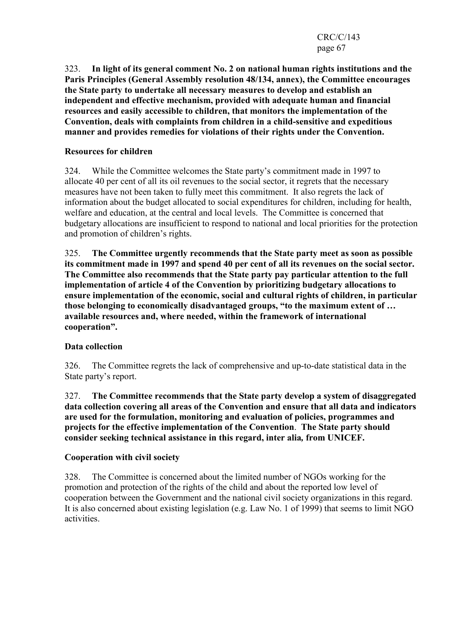CRC/C/143 page 67

323. In light of its general comment No. 2 on national human rights institutions and the Paris Principles (General Assembly resolution 48/134, annex), the Committee encourages the State party to undertake all necessary measures to develop and establish an independent and effective mechanism, provided with adequate human and financial resources and easily accessible to children, that monitors the implementation of the Convention, deals with complaints from children in a child-sensitive and expeditious manner and provides remedies for violations of their rights under the Convention.

#### Resources for children

324. While the Committee welcomes the State party's commitment made in 1997 to allocate 40 per cent of all its oil revenues to the social sector, it regrets that the necessary measures have not been taken to fully meet this commitment. It also regrets the lack of information about the budget allocated to social expenditures for children, including for health, welfare and education, at the central and local levels. The Committee is concerned that budgetary allocations are insufficient to respond to national and local priorities for the protection and promotion of children's rights.

325. The Committee urgently recommends that the State party meet as soon as possible its commitment made in 1997 and spend 40 per cent of all its revenues on the social sector. The Committee also recommends that the State party pay particular attention to the full implementation of article 4 of the Convention by prioritizing budgetary allocations to ensure implementation of the economic, social and cultural rights of children, in particular those belonging to economically disadvantaged groups, "to the maximum extent of … available resources and, where needed, within the framework of international cooperation".

## Data collection

326. The Committee regrets the lack of comprehensive and up-to-date statistical data in the State party's report.

327. The Committee recommends that the State party develop a system of disaggregated data collection covering all areas of the Convention and ensure that all data and indicators are used for the formulation, monitoring and evaluation of policies, programmes and projects for the effective implementation of the Convention. The State party should consider seeking technical assistance in this regard, inter alia, from UNICEF.

#### Cooperation with civil society

328. The Committee is concerned about the limited number of NGOs working for the promotion and protection of the rights of the child and about the reported low level of cooperation between the Government and the national civil society organizations in this regard. It is also concerned about existing legislation (e.g. Law No. 1 of 1999) that seems to limit NGO activities.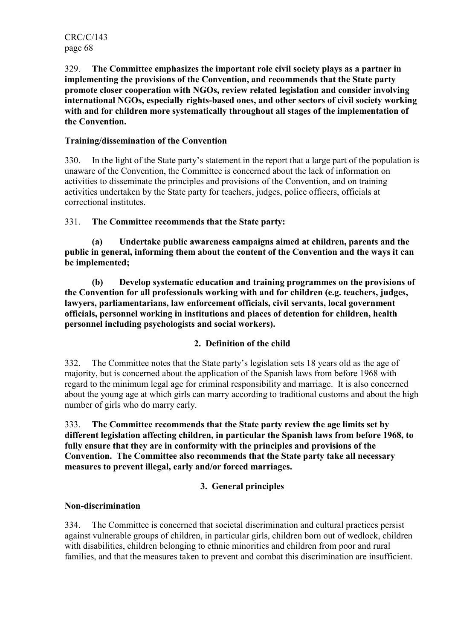329. The Committee emphasizes the important role civil society plays as a partner in implementing the provisions of the Convention, and recommends that the State party promote closer cooperation with NGOs, review related legislation and consider involving international NGOs, especially rights-based ones, and other sectors of civil society working with and for children more systematically throughout all stages of the implementation of the Convention.

# Training/dissemination of the Convention

330. In the light of the State party's statement in the report that a large part of the population is unaware of the Convention, the Committee is concerned about the lack of information on activities to disseminate the principles and provisions of the Convention, and on training activities undertaken by the State party for teachers, judges, police officers, officials at correctional institutes.

## 331. The Committee recommends that the State party:

 (a) Undertake public awareness campaigns aimed at children, parents and the public in general, informing them about the content of the Convention and the ways it can be implemented;

 (b) Develop systematic education and training programmes on the provisions of the Convention for all professionals working with and for children (e.g. teachers, judges, lawyers, parliamentarians, law enforcement officials, civil servants, local government officials, personnel working in institutions and places of detention for children, health personnel including psychologists and social workers).

## 2. Definition of the child

332. The Committee notes that the State party's legislation sets 18 years old as the age of majority, but is concerned about the application of the Spanish laws from before 1968 with regard to the minimum legal age for criminal responsibility and marriage. It is also concerned about the young age at which girls can marry according to traditional customs and about the high number of girls who do marry early.

333. The Committee recommends that the State party review the age limits set by different legislation affecting children, in particular the Spanish laws from before 1968, to fully ensure that they are in conformity with the principles and provisions of the Convention. The Committee also recommends that the State party take all necessary measures to prevent illegal, early and/or forced marriages.

# 3. General principles

## Non-discrimination

334. The Committee is concerned that societal discrimination and cultural practices persist against vulnerable groups of children, in particular girls, children born out of wedlock, children with disabilities, children belonging to ethnic minorities and children from poor and rural families, and that the measures taken to prevent and combat this discrimination are insufficient.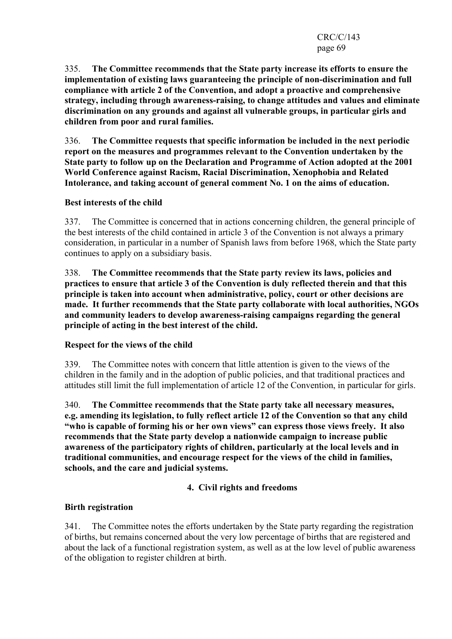335. The Committee recommends that the State party increase its efforts to ensure the implementation of existing laws guaranteeing the principle of non-discrimination and full compliance with article 2 of the Convention, and adopt a proactive and comprehensive strategy, including through awareness-raising, to change attitudes and values and eliminate discrimination on any grounds and against all vulnerable groups, in particular girls and children from poor and rural families.

336. The Committee requests that specific information be included in the next periodic report on the measures and programmes relevant to the Convention undertaken by the State party to follow up on the Declaration and Programme of Action adopted at the 2001 World Conference against Racism, Racial Discrimination, Xenophobia and Related Intolerance, and taking account of general comment No. 1 on the aims of education.

# Best interests of the child

337. The Committee is concerned that in actions concerning children, the general principle of the best interests of the child contained in article 3 of the Convention is not always a primary consideration, in particular in a number of Spanish laws from before 1968, which the State party continues to apply on a subsidiary basis.

338. The Committee recommends that the State party review its laws, policies and practices to ensure that article 3 of the Convention is duly reflected therein and that this principle is taken into account when administrative, policy, court or other decisions are made. It further recommends that the State party collaborate with local authorities, NGOs and community leaders to develop awareness-raising campaigns regarding the general principle of acting in the best interest of the child.

## Respect for the views of the child

339. The Committee notes with concern that little attention is given to the views of the children in the family and in the adoption of public policies, and that traditional practices and attitudes still limit the full implementation of article 12 of the Convention, in particular for girls.

340. The Committee recommends that the State party take all necessary measures, e.g. amending its legislation, to fully reflect article 12 of the Convention so that any child "who is capable of forming his or her own views" can express those views freely. It also recommends that the State party develop a nationwide campaign to increase public awareness of the participatory rights of children, particularly at the local levels and in traditional communities, and encourage respect for the views of the child in families, schools, and the care and judicial systems.

# 4. Civil rights and freedoms

## Birth registration

341. The Committee notes the efforts undertaken by the State party regarding the registration of births, but remains concerned about the very low percentage of births that are registered and about the lack of a functional registration system, as well as at the low level of public awareness of the obligation to register children at birth.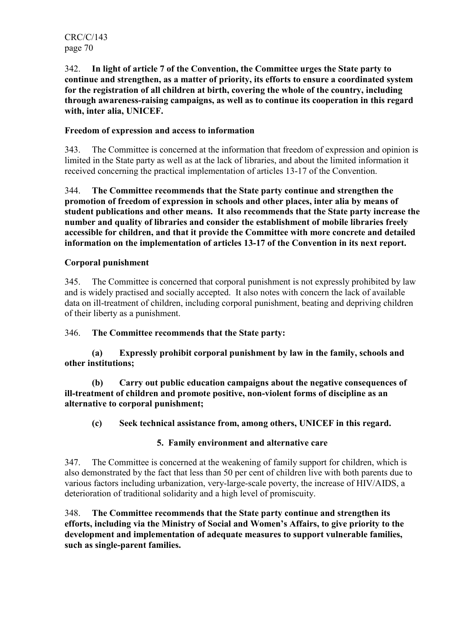342. In light of article 7 of the Convention, the Committee urges the State party to continue and strengthen, as a matter of priority, its efforts to ensure a coordinated system for the registration of all children at birth, covering the whole of the country, including through awareness-raising campaigns, as well as to continue its cooperation in this regard with, inter alia, UNICEF.

## Freedom of expression and access to information

343. The Committee is concerned at the information that freedom of expression and opinion is limited in the State party as well as at the lack of libraries, and about the limited information it received concerning the practical implementation of articles 13-17 of the Convention.

344. The Committee recommends that the State party continue and strengthen the promotion of freedom of expression in schools and other places, inter alia by means of student publications and other means. It also recommends that the State party increase the number and quality of libraries and consider the establishment of mobile libraries freely accessible for children, and that it provide the Committee with more concrete and detailed information on the implementation of articles 13-17 of the Convention in its next report.

## Corporal punishment

345. The Committee is concerned that corporal punishment is not expressly prohibited by law and is widely practised and socially accepted. It also notes with concern the lack of available data on ill-treatment of children, including corporal punishment, beating and depriving children of their liberty as a punishment.

346. The Committee recommends that the State party:

 (a) Expressly prohibit corporal punishment by law in the family, schools and other institutions;

 (b) Carry out public education campaigns about the negative consequences of ill-treatment of children and promote positive, non-violent forms of discipline as an alternative to corporal punishment;

(c) Seek technical assistance from, among others, UNICEF in this regard.

## 5. Family environment and alternative care

347. The Committee is concerned at the weakening of family support for children, which is also demonstrated by the fact that less than 50 per cent of children live with both parents due to various factors including urbanization, very-large-scale poverty, the increase of HIV/AIDS, a deterioration of traditional solidarity and a high level of promiscuity.

348. The Committee recommends that the State party continue and strengthen its efforts, including via the Ministry of Social and Women's Affairs, to give priority to the development and implementation of adequate measures to support vulnerable families, such as single-parent families.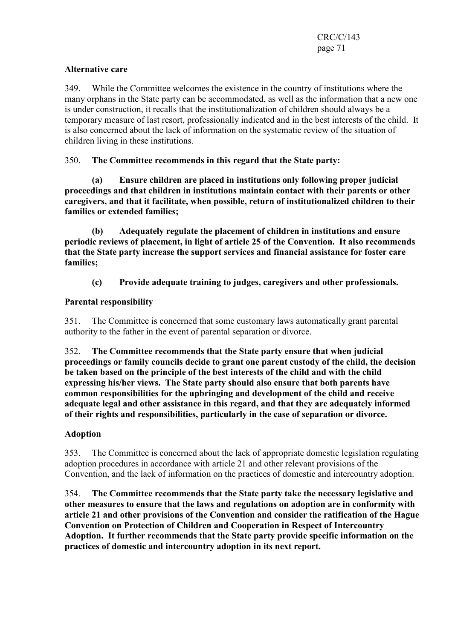# Alternative care

349. While the Committee welcomes the existence in the country of institutions where the many orphans in the State party can be accommodated, as well as the information that a new one is under construction, it recalls that the institutionalization of children should always be a temporary measure of last resort, professionally indicated and in the best interests of the child. It is also concerned about the lack of information on the systematic review of the situation of children living in these institutions.

350. The Committee recommends in this regard that the State party:

 (a) Ensure children are placed in institutions only following proper judicial proceedings and that children in institutions maintain contact with their parents or other caregivers, and that it facilitate, when possible, return of institutionalized children to their families or extended families;

 (b) Adequately regulate the placement of children in institutions and ensure periodic reviews of placement, in light of article 25 of the Convention. It also recommends that the State party increase the support services and financial assistance for foster care families;

(c) Provide adequate training to judges, caregivers and other professionals.

# Parental responsibility

351. The Committee is concerned that some customary laws automatically grant parental authority to the father in the event of parental separation or divorce.

352. The Committee recommends that the State party ensure that when judicial proceedings or family councils decide to grant one parent custody of the child, the decision be taken based on the principle of the best interests of the child and with the child expressing his/her views. The State party should also ensure that both parents have common responsibilities for the upbringing and development of the child and receive adequate legal and other assistance in this regard, and that they are adequately informed of their rights and responsibilities, particularly in the case of separation or divorce.

## Adoption

353. The Committee is concerned about the lack of appropriate domestic legislation regulating adoption procedures in accordance with article 21 and other relevant provisions of the Convention, and the lack of information on the practices of domestic and intercountry adoption.

354. The Committee recommends that the State party take the necessary legislative and other measures to ensure that the laws and regulations on adoption are in conformity with article 21 and other provisions of the Convention and consider the ratification of the Hague Convention on Protection of Children and Cooperation in Respect of Intercountry Adoption. It further recommends that the State party provide specific information on the practices of domestic and intercountry adoption in its next report.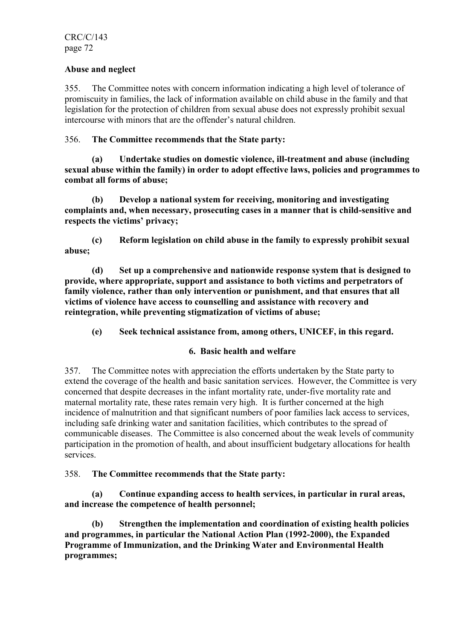#### Abuse and neglect

355. The Committee notes with concern information indicating a high level of tolerance of promiscuity in families, the lack of information available on child abuse in the family and that legislation for the protection of children from sexual abuse does not expressly prohibit sexual intercourse with minors that are the offender's natural children.

## 356. The Committee recommends that the State party:

 (a) Undertake studies on domestic violence, ill-treatment and abuse (including sexual abuse within the family) in order to adopt effective laws, policies and programmes to combat all forms of abuse;

 (b) Develop a national system for receiving, monitoring and investigating complaints and, when necessary, prosecuting cases in a manner that is child-sensitive and respects the victims' privacy;

 (c) Reform legislation on child abuse in the family to expressly prohibit sexual abuse;

 (d) Set up a comprehensive and nationwide response system that is designed to provide, where appropriate, support and assistance to both victims and perpetrators of family violence, rather than only intervention or punishment, and that ensures that all victims of violence have access to counselling and assistance with recovery and reintegration, while preventing stigmatization of victims of abuse;

(e) Seek technical assistance from, among others, UNICEF, in this regard.

## 6. Basic health and welfare

357. The Committee notes with appreciation the efforts undertaken by the State party to extend the coverage of the health and basic sanitation services. However, the Committee is very concerned that despite decreases in the infant mortality rate, under-five mortality rate and maternal mortality rate, these rates remain very high. It is further concerned at the high incidence of malnutrition and that significant numbers of poor families lack access to services, including safe drinking water and sanitation facilities, which contributes to the spread of communicable diseases. The Committee is also concerned about the weak levels of community participation in the promotion of health, and about insufficient budgetary allocations for health services.

## 358. The Committee recommends that the State party:

 (a) Continue expanding access to health services, in particular in rural areas, and increase the competence of health personnel;

 (b) Strengthen the implementation and coordination of existing health policies and programmes, in particular the National Action Plan (1992-2000), the Expanded Programme of Immunization, and the Drinking Water and Environmental Health programmes;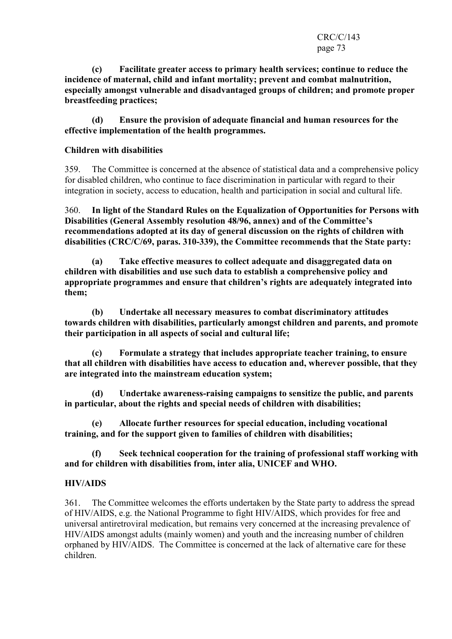(c) Facilitate greater access to primary health services; continue to reduce the incidence of maternal, child and infant mortality; prevent and combat malnutrition, especially amongst vulnerable and disadvantaged groups of children; and promote proper breastfeeding practices;

 (d) Ensure the provision of adequate financial and human resources for the effective implementation of the health programmes.

# Children with disabilities

359. The Committee is concerned at the absence of statistical data and a comprehensive policy for disabled children, who continue to face discrimination in particular with regard to their integration in society, access to education, health and participation in social and cultural life.

360. In light of the Standard Rules on the Equalization of Opportunities for Persons with Disabilities (General Assembly resolution 48/96, annex) and of the Committee's recommendations adopted at its day of general discussion on the rights of children with disabilities (CRC/C/69, paras. 310-339), the Committee recommends that the State party:

 (a) Take effective measures to collect adequate and disaggregated data on children with disabilities and use such data to establish a comprehensive policy and appropriate programmes and ensure that children's rights are adequately integrated into them;

 (b) Undertake all necessary measures to combat discriminatory attitudes towards children with disabilities, particularly amongst children and parents, and promote their participation in all aspects of social and cultural life;

 (c) Formulate a strategy that includes appropriate teacher training, to ensure that all children with disabilities have access to education and, wherever possible, that they are integrated into the mainstream education system;

 (d) Undertake awareness-raising campaigns to sensitize the public, and parents in particular, about the rights and special needs of children with disabilities;

Allocate further resources for special education, including vocational training, and for the support given to families of children with disabilities;

 (f) Seek technical cooperation for the training of professional staff working with and for children with disabilities from, inter alia, UNICEF and WHO.

# HIV/AIDS

361. The Committee welcomes the efforts undertaken by the State party to address the spread of HIV/AIDS, e.g. the National Programme to fight HIV/AIDS, which provides for free and universal antiretroviral medication, but remains very concerned at the increasing prevalence of HIV/AIDS amongst adults (mainly women) and youth and the increasing number of children orphaned by HIV/AIDS. The Committee is concerned at the lack of alternative care for these children.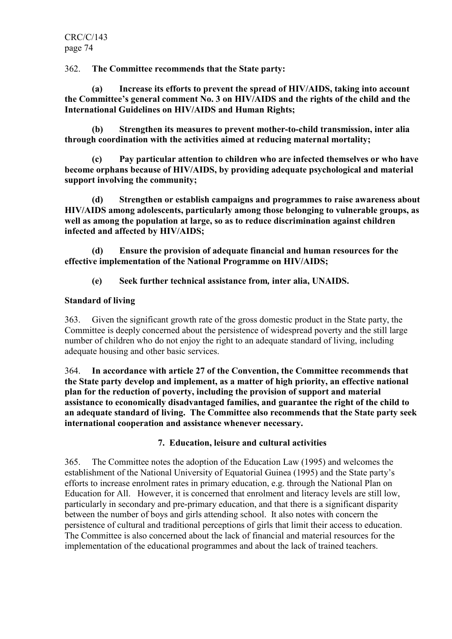362. The Committee recommends that the State party:

 (a) Increase its efforts to prevent the spread of HIV/AIDS, taking into account the Committee's general comment No. 3 on HIV/AIDS and the rights of the child and the International Guidelines on HIV/AIDS and Human Rights;

 (b) Strengthen its measures to prevent mother-to-child transmission, inter alia through coordination with the activities aimed at reducing maternal mortality;

 (c) Pay particular attention to children who are infected themselves or who have become orphans because of HIV/AIDS, by providing adequate psychological and material support involving the community;

 (d) Strengthen or establish campaigns and programmes to raise awareness about HIV/AIDS among adolescents, particularly among those belonging to vulnerable groups, as well as among the population at large, so as to reduce discrimination against children infected and affected by HIV/AIDS;

 (d) Ensure the provision of adequate financial and human resources for the effective implementation of the National Programme on HIV/AIDS;

(e) Seek further technical assistance from, inter alia, UNAIDS.

# Standard of living

363. Given the significant growth rate of the gross domestic product in the State party, the Committee is deeply concerned about the persistence of widespread poverty and the still large number of children who do not enjoy the right to an adequate standard of living, including adequate housing and other basic services.

364. In accordance with article 27 of the Convention, the Committee recommends that the State party develop and implement, as a matter of high priority, an effective national plan for the reduction of poverty, including the provision of support and material assistance to economically disadvantaged families, and guarantee the right of the child to an adequate standard of living. The Committee also recommends that the State party seek international cooperation and assistance whenever necessary.

# 7. Education, leisure and cultural activities

365. The Committee notes the adoption of the Education Law (1995) and welcomes the establishment of the National University of Equatorial Guinea (1995) and the State party's efforts to increase enrolment rates in primary education, e.g. through the National Plan on Education for All. However, it is concerned that enrolment and literacy levels are still low, particularly in secondary and pre-primary education, and that there is a significant disparity between the number of boys and girls attending school. It also notes with concern the persistence of cultural and traditional perceptions of girls that limit their access to education. The Committee is also concerned about the lack of financial and material resources for the implementation of the educational programmes and about the lack of trained teachers.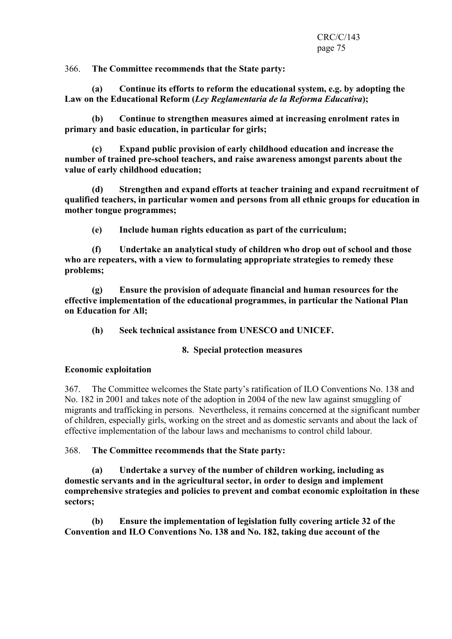366. The Committee recommends that the State party:

 (a) Continue its efforts to reform the educational system, e.g. by adopting the Law on the Educational Reform (Ley Reglamentaria de la Reforma Educativa);

 (b) Continue to strengthen measures aimed at increasing enrolment rates in primary and basic education, in particular for girls;

 (c) Expand public provision of early childhood education and increase the number of trained pre-school teachers, and raise awareness amongst parents about the value of early childhood education;

 (d) Strengthen and expand efforts at teacher training and expand recruitment of qualified teachers, in particular women and persons from all ethnic groups for education in mother tongue programmes;

(e) Include human rights education as part of the curriculum;

 (f) Undertake an analytical study of children who drop out of school and those who are repeaters, with a view to formulating appropriate strategies to remedy these problems;

 (g) Ensure the provision of adequate financial and human resources for the effective implementation of the educational programmes, in particular the National Plan on Education for All;

(h) Seek technical assistance from UNESCO and UNICEF.

# 8. Special protection measures

# Economic exploitation

367. The Committee welcomes the State party's ratification of ILO Conventions No. 138 and No. 182 in 2001 and takes note of the adoption in 2004 of the new law against smuggling of migrants and trafficking in persons. Nevertheless, it remains concerned at the significant number of children, especially girls, working on the street and as domestic servants and about the lack of effective implementation of the labour laws and mechanisms to control child labour.

368. The Committee recommends that the State party:

 (a) Undertake a survey of the number of children working, including as domestic servants and in the agricultural sector, in order to design and implement comprehensive strategies and policies to prevent and combat economic exploitation in these sectors;

 (b) Ensure the implementation of legislation fully covering article 32 of the Convention and ILO Conventions No. 138 and No. 182, taking due account of the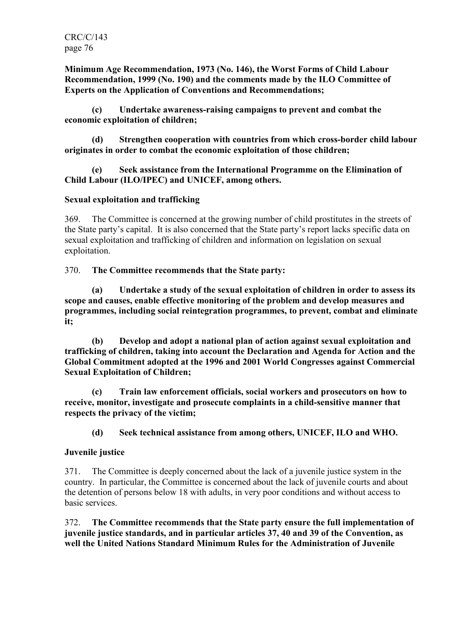Minimum Age Recommendation, 1973 (No. 146), the Worst Forms of Child Labour Recommendation, 1999 (No. 190) and the comments made by the ILO Committee of Experts on the Application of Conventions and Recommendations;

 (c) Undertake awareness-raising campaigns to prevent and combat the economic exploitation of children;

 (d) Strengthen cooperation with countries from which cross-border child labour originates in order to combat the economic exploitation of those children;

 (e) Seek assistance from the International Programme on the Elimination of Child Labour (ILO/IPEC) and UNICEF, among others.

### Sexual exploitation and trafficking

369. The Committee is concerned at the growing number of child prostitutes in the streets of the State party's capital. It is also concerned that the State party's report lacks specific data on sexual exploitation and trafficking of children and information on legislation on sexual exploitation.

#### 370. The Committee recommends that the State party:

 (a) Undertake a study of the sexual exploitation of children in order to assess its scope and causes, enable effective monitoring of the problem and develop measures and programmes, including social reintegration programmes, to prevent, combat and eliminate it;

 (b) Develop and adopt a national plan of action against sexual exploitation and trafficking of children, taking into account the Declaration and Agenda for Action and the Global Commitment adopted at the 1996 and 2001 World Congresses against Commercial Sexual Exploitation of Children;

 (c) Train law enforcement officials, social workers and prosecutors on how to receive, monitor, investigate and prosecute complaints in a child-sensitive manner that respects the privacy of the victim;

(d) Seek technical assistance from among others, UNICEF, ILO and WHO.

#### Juvenile justice

371. The Committee is deeply concerned about the lack of a juvenile justice system in the country. In particular, the Committee is concerned about the lack of juvenile courts and about the detention of persons below 18 with adults, in very poor conditions and without access to basic services.

372. The Committee recommends that the State party ensure the full implementation of juvenile justice standards, and in particular articles 37, 40 and 39 of the Convention, as well the United Nations Standard Minimum Rules for the Administration of Juvenile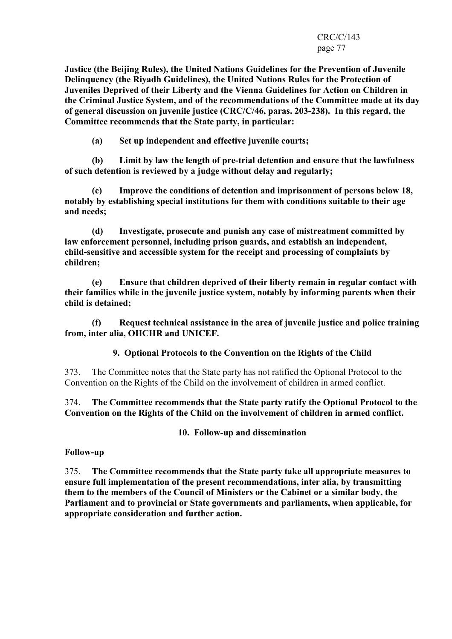#### CRC/C/143 page 77

Justice (the Beijing Rules), the United Nations Guidelines for the Prevention of Juvenile Delinquency (the Riyadh Guidelines), the United Nations Rules for the Protection of Juveniles Deprived of their Liberty and the Vienna Guidelines for Action on Children in the Criminal Justice System, and of the recommendations of the Committee made at its day of general discussion on juvenile justice (CRC/C/46, paras. 203-238). In this regard, the Committee recommends that the State party, in particular:

(a) Set up independent and effective juvenile courts;

 (b) Limit by law the length of pre-trial detention and ensure that the lawfulness of such detention is reviewed by a judge without delay and regularly;

 (c) Improve the conditions of detention and imprisonment of persons below 18, notably by establishing special institutions for them with conditions suitable to their age and needs;

 (d) Investigate, prosecute and punish any case of mistreatment committed by law enforcement personnel, including prison guards, and establish an independent, child-sensitive and accessible system for the receipt and processing of complaints by children;

 (e) Ensure that children deprived of their liberty remain in regular contact with their families while in the juvenile justice system, notably by informing parents when their child is detained;

 (f) Request technical assistance in the area of juvenile justice and police training from, inter alia, OHCHR and UNICEF.

9. Optional Protocols to the Convention on the Rights of the Child

373. The Committee notes that the State party has not ratified the Optional Protocol to the Convention on the Rights of the Child on the involvement of children in armed conflict.

374. The Committee recommends that the State party ratify the Optional Protocol to the Convention on the Rights of the Child on the involvement of children in armed conflict.

10. Follow-up and dissemination

# Follow-up

375. The Committee recommends that the State party take all appropriate measures to ensure full implementation of the present recommendations, inter alia, by transmitting them to the members of the Council of Ministers or the Cabinet or a similar body, the Parliament and to provincial or State governments and parliaments, when applicable, for appropriate consideration and further action.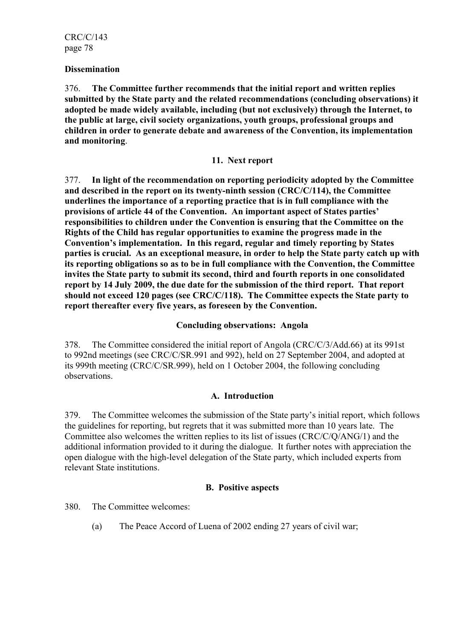#### **Dissemination**

376. The Committee further recommends that the initial report and written replies submitted by the State party and the related recommendations (concluding observations) it adopted be made widely available, including (but not exclusively) through the Internet, to the public at large, civil society organizations, youth groups, professional groups and children in order to generate debate and awareness of the Convention, its implementation and monitoring.

#### 11. Next report

377. In light of the recommendation on reporting periodicity adopted by the Committee and described in the report on its twenty-ninth session (CRC/C/114), the Committee underlines the importance of a reporting practice that is in full compliance with the provisions of article 44 of the Convention. An important aspect of States parties' responsibilities to children under the Convention is ensuring that the Committee on the Rights of the Child has regular opportunities to examine the progress made in the Convention's implementation. In this regard, regular and timely reporting by States parties is crucial. As an exceptional measure, in order to help the State party catch up with its reporting obligations so as to be in full compliance with the Convention, the Committee invites the State party to submit its second, third and fourth reports in one consolidated report by 14 July 2009, the due date for the submission of the third report. That report should not exceed 120 pages (see CRC/C/118). The Committee expects the State party to report thereafter every five years, as foreseen by the Convention.

# Concluding observations: Angola

378. The Committee considered the initial report of Angola (CRC/C/3/Add.66) at its 991st to 992nd meetings (see CRC/C/SR.991 and 992), held on 27 September 2004, and adopted at its 999th meeting (CRC/C/SR.999), held on 1 October 2004, the following concluding observations.

# A. Introduction

379. The Committee welcomes the submission of the State party's initial report, which follows the guidelines for reporting, but regrets that it was submitted more than 10 years late. The Committee also welcomes the written replies to its list of issues (CRC/C/Q/ANG/1) and the additional information provided to it during the dialogue. It further notes with appreciation the open dialogue with the high-level delegation of the State party, which included experts from relevant State institutions.

# B. Positive aspects

380. The Committee welcomes:

(a) The Peace Accord of Luena of 2002 ending 27 years of civil war;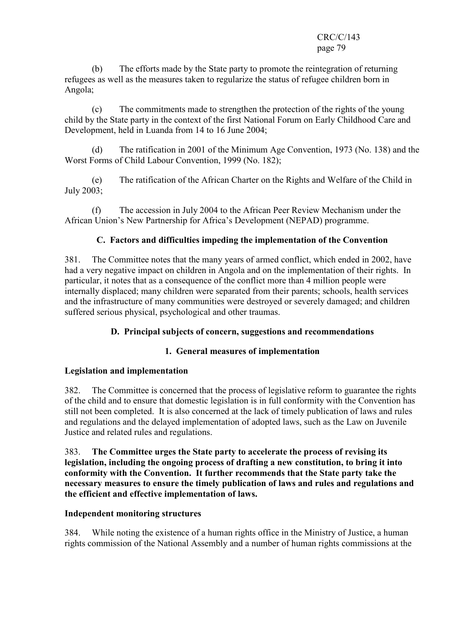#### CRC/C/143 page 79

 (b) The efforts made by the State party to promote the reintegration of returning refugees as well as the measures taken to regularize the status of refugee children born in Angola;

 (c) The commitments made to strengthen the protection of the rights of the young child by the State party in the context of the first National Forum on Early Childhood Care and Development, held in Luanda from 14 to 16 June 2004;

 (d) The ratification in 2001 of the Minimum Age Convention, 1973 (No. 138) and the Worst Forms of Child Labour Convention, 1999 (No. 182);

 (e) The ratification of the African Charter on the Rights and Welfare of the Child in July 2003;

 (f) The accession in July 2004 to the African Peer Review Mechanism under the African Union's New Partnership for Africa's Development (NEPAD) programme.

# C. Factors and difficulties impeding the implementation of the Convention

381. The Committee notes that the many years of armed conflict, which ended in 2002, have had a very negative impact on children in Angola and on the implementation of their rights. In particular, it notes that as a consequence of the conflict more than 4 million people were internally displaced; many children were separated from their parents; schools, health services and the infrastructure of many communities were destroyed or severely damaged; and children suffered serious physical, psychological and other traumas.

# D. Principal subjects of concern, suggestions and recommendations

# 1. General measures of implementation

# Legislation and implementation

382. The Committee is concerned that the process of legislative reform to guarantee the rights of the child and to ensure that domestic legislation is in full conformity with the Convention has still not been completed. It is also concerned at the lack of timely publication of laws and rules and regulations and the delayed implementation of adopted laws, such as the Law on Juvenile Justice and related rules and regulations.

383. The Committee urges the State party to accelerate the process of revising its legislation, including the ongoing process of drafting a new constitution, to bring it into conformity with the Convention. It further recommends that the State party take the necessary measures to ensure the timely publication of laws and rules and regulations and the efficient and effective implementation of laws.

# Independent monitoring structures

384. While noting the existence of a human rights office in the Ministry of Justice, a human rights commission of the National Assembly and a number of human rights commissions at the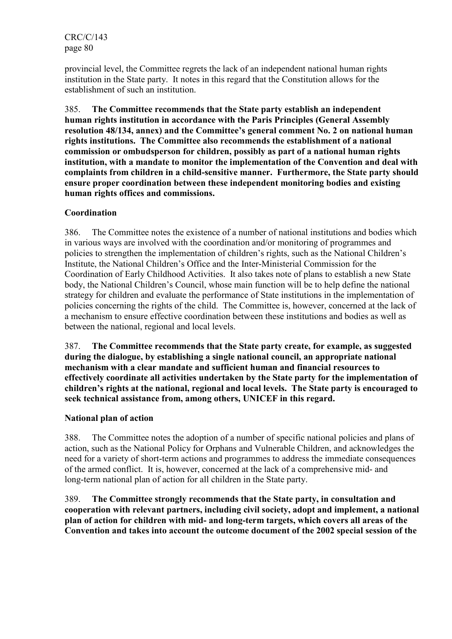provincial level, the Committee regrets the lack of an independent national human rights institution in the State party. It notes in this regard that the Constitution allows for the establishment of such an institution.

385. The Committee recommends that the State party establish an independent human rights institution in accordance with the Paris Principles (General Assembly resolution 48/134, annex) and the Committee's general comment No. 2 on national human rights institutions. The Committee also recommends the establishment of a national commission or ombudsperson for children, possibly as part of a national human rights institution, with a mandate to monitor the implementation of the Convention and deal with complaints from children in a child-sensitive manner. Furthermore, the State party should ensure proper coordination between these independent monitoring bodies and existing human rights offices and commissions.

# Coordination

386. The Committee notes the existence of a number of national institutions and bodies which in various ways are involved with the coordination and/or monitoring of programmes and policies to strengthen the implementation of children's rights, such as the National Children's Institute, the National Children's Office and the Inter-Ministerial Commission for the Coordination of Early Childhood Activities. It also takes note of plans to establish a new State body, the National Children's Council, whose main function will be to help define the national strategy for children and evaluate the performance of State institutions in the implementation of policies concerning the rights of the child. The Committee is, however, concerned at the lack of a mechanism to ensure effective coordination between these institutions and bodies as well as between the national, regional and local levels.

387. The Committee recommends that the State party create, for example, as suggested during the dialogue, by establishing a single national council, an appropriate national mechanism with a clear mandate and sufficient human and financial resources to effectively coordinate all activities undertaken by the State party for the implementation of children's rights at the national, regional and local levels. The State party is encouraged to seek technical assistance from, among others, UNICEF in this regard.

# National plan of action

388. The Committee notes the adoption of a number of specific national policies and plans of action, such as the National Policy for Orphans and Vulnerable Children, and acknowledges the need for a variety of short-term actions and programmes to address the immediate consequences of the armed conflict. It is, however, concerned at the lack of a comprehensive mid- and long-term national plan of action for all children in the State party.

389. The Committee strongly recommends that the State party, in consultation and cooperation with relevant partners, including civil society, adopt and implement, a national plan of action for children with mid- and long-term targets, which covers all areas of the Convention and takes into account the outcome document of the 2002 special session of the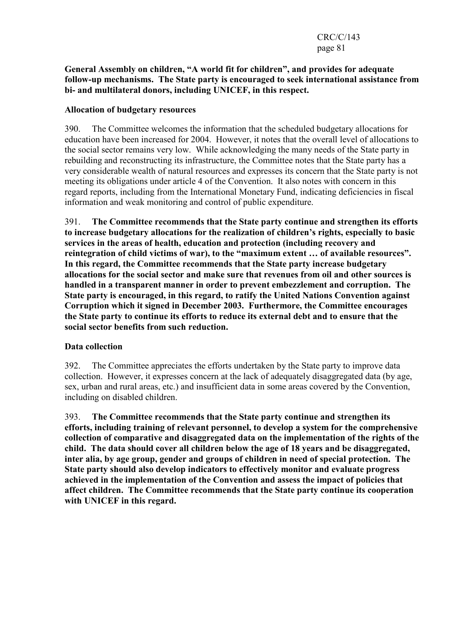### General Assembly on children, "A world fit for children", and provides for adequate follow-up mechanisms. The State party is encouraged to seek international assistance from bi- and multilateral donors, including UNICEF, in this respect.

### Allocation of budgetary resources

390. The Committee welcomes the information that the scheduled budgetary allocations for education have been increased for 2004. However, it notes that the overall level of allocations to the social sector remains very low. While acknowledging the many needs of the State party in rebuilding and reconstructing its infrastructure, the Committee notes that the State party has a very considerable wealth of natural resources and expresses its concern that the State party is not meeting its obligations under article 4 of the Convention. It also notes with concern in this regard reports, including from the International Monetary Fund, indicating deficiencies in fiscal information and weak monitoring and control of public expenditure.

391. The Committee recommends that the State party continue and strengthen its efforts to increase budgetary allocations for the realization of children's rights, especially to basic services in the areas of health, education and protection (including recovery and reintegration of child victims of war), to the "maximum extent … of available resources". In this regard, the Committee recommends that the State party increase budgetary allocations for the social sector and make sure that revenues from oil and other sources is handled in a transparent manner in order to prevent embezzlement and corruption. The State party is encouraged, in this regard, to ratify the United Nations Convention against Corruption which it signed in December 2003. Furthermore, the Committee encourages the State party to continue its efforts to reduce its external debt and to ensure that the social sector benefits from such reduction.

# Data collection

392. The Committee appreciates the efforts undertaken by the State party to improve data collection. However, it expresses concern at the lack of adequately disaggregated data (by age, sex, urban and rural areas, etc.) and insufficient data in some areas covered by the Convention, including on disabled children.

393. The Committee recommends that the State party continue and strengthen its efforts, including training of relevant personnel, to develop a system for the comprehensive collection of comparative and disaggregated data on the implementation of the rights of the child. The data should cover all children below the age of 18 years and be disaggregated, inter alia, by age group, gender and groups of children in need of special protection. The State party should also develop indicators to effectively monitor and evaluate progress achieved in the implementation of the Convention and assess the impact of policies that affect children. The Committee recommends that the State party continue its cooperation with UNICEF in this regard.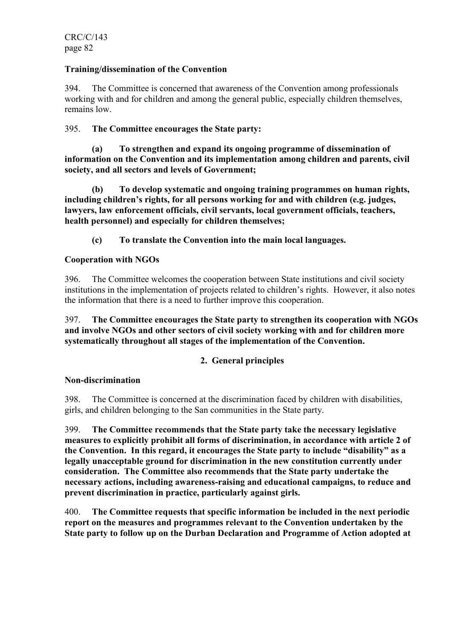# Training/dissemination of the Convention

394. The Committee is concerned that awareness of the Convention among professionals working with and for children and among the general public, especially children themselves, remains low.

# 395. The Committee encourages the State party:

 (a) To strengthen and expand its ongoing programme of dissemination of information on the Convention and its implementation among children and parents, civil society, and all sectors and levels of Government;

 (b) To develop systematic and ongoing training programmes on human rights, including children's rights, for all persons working for and with children (e.g. judges, lawyers, law enforcement officials, civil servants, local government officials, teachers, health personnel) and especially for children themselves;

(c) To translate the Convention into the main local languages.

# Cooperation with NGOs

396. The Committee welcomes the cooperation between State institutions and civil society institutions in the implementation of projects related to children's rights. However, it also notes the information that there is a need to further improve this cooperation.

397. The Committee encourages the State party to strengthen its cooperation with NGOs and involve NGOs and other sectors of civil society working with and for children more systematically throughout all stages of the implementation of the Convention.

# 2. General principles

#### Non-discrimination

398. The Committee is concerned at the discrimination faced by children with disabilities, girls, and children belonging to the San communities in the State party.

399. The Committee recommends that the State party take the necessary legislative measures to explicitly prohibit all forms of discrimination, in accordance with article 2 of the Convention. In this regard, it encourages the State party to include "disability" as a legally unacceptable ground for discrimination in the new constitution currently under consideration. The Committee also recommends that the State party undertake the necessary actions, including awareness-raising and educational campaigns, to reduce and prevent discrimination in practice, particularly against girls.

400. The Committee requests that specific information be included in the next periodic report on the measures and programmes relevant to the Convention undertaken by the State party to follow up on the Durban Declaration and Programme of Action adopted at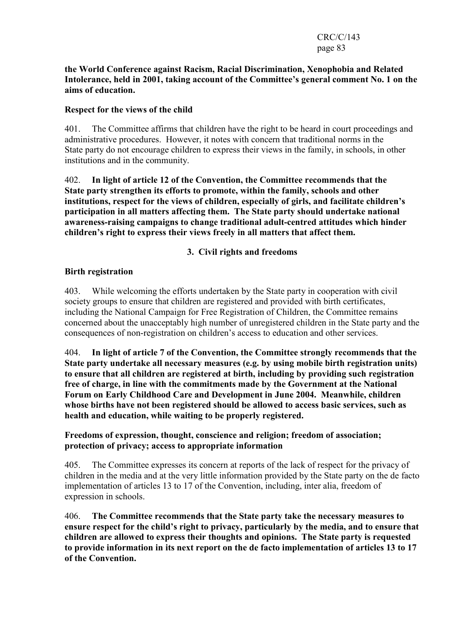#### CRC/C/143 page 83

### the World Conference against Racism, Racial Discrimination, Xenophobia and Related Intolerance, held in 2001, taking account of the Committee's general comment No. 1 on the aims of education.

# Respect for the views of the child

401. The Committee affirms that children have the right to be heard in court proceedings and administrative procedures. However, it notes with concern that traditional norms in the State party do not encourage children to express their views in the family, in schools, in other institutions and in the community.

402. In light of article 12 of the Convention, the Committee recommends that the State party strengthen its efforts to promote, within the family, schools and other institutions, respect for the views of children, especially of girls, and facilitate children's participation in all matters affecting them. The State party should undertake national awareness-raising campaigns to change traditional adult-centred attitudes which hinder children's right to express their views freely in all matters that affect them.

3. Civil rights and freedoms

# Birth registration

403. While welcoming the efforts undertaken by the State party in cooperation with civil society groups to ensure that children are registered and provided with birth certificates, including the National Campaign for Free Registration of Children, the Committee remains concerned about the unacceptably high number of unregistered children in the State party and the consequences of non-registration on children's access to education and other services.

404. In light of article 7 of the Convention, the Committee strongly recommends that the State party undertake all necessary measures (e.g. by using mobile birth registration units) to ensure that all children are registered at birth, including by providing such registration free of charge, in line with the commitments made by the Government at the National Forum on Early Childhood Care and Development in June 2004. Meanwhile, children whose births have not been registered should be allowed to access basic services, such as health and education, while waiting to be properly registered.

# Freedoms of expression, thought, conscience and religion; freedom of association; protection of privacy; access to appropriate information

405. The Committee expresses its concern at reports of the lack of respect for the privacy of children in the media and at the very little information provided by the State party on the de facto implementation of articles 13 to 17 of the Convention, including, inter alia, freedom of expression in schools.

406. The Committee recommends that the State party take the necessary measures to ensure respect for the child's right to privacy, particularly by the media, and to ensure that children are allowed to express their thoughts and opinions. The State party is requested to provide information in its next report on the de facto implementation of articles 13 to 17 of the Convention.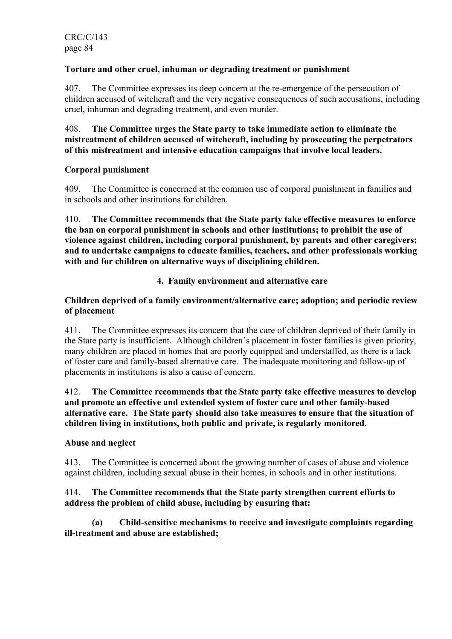# Torture and other cruel, inhuman or degrading treatment or punishment

407. The Committee expresses its deep concern at the re-emergence of the persecution of children accused of witchcraft and the very negative consequences of such accusations, including cruel, inhuman and degrading treatment, and even murder.

408. The Committee urges the State party to take immediate action to eliminate the mistreatment of children accused of witchcraft, including by prosecuting the perpetrators of this mistreatment and intensive education campaigns that involve local leaders.

# Corporal punishment

409. The Committee is concerned at the common use of corporal punishment in families and in schools and other institutions for children.

410. The Committee recommends that the State party take effective measures to enforce the ban on corporal punishment in schools and other institutions; to prohibit the use of violence against children, including corporal punishment, by parents and other caregivers; and to undertake campaigns to educate families, teachers, and other professionals working with and for children on alternative ways of disciplining children.

# 4. Family environment and alternative care

# Children deprived of a family environment/alternative care; adoption; and periodic review of placement

411. The Committee expresses its concern that the care of children deprived of their family in the State party is insufficient. Although children's placement in foster families is given priority, many children are placed in homes that are poorly equipped and understaffed, as there is a lack of foster care and family-based alternative care. The inadequate monitoring and follow-up of placements in institutions is also a cause of concern.

### 412. The Committee recommends that the State party take effective measures to develop and promote an effective and extended system of foster care and other family-based alternative care. The State party should also take measures to ensure that the situation of children living in institutions, both public and private, is regularly monitored.

# Abuse and neglect

413. The Committee is concerned about the growing number of cases of abuse and violence against children, including sexual abuse in their homes, in schools and in other institutions.

# 414. The Committee recommends that the State party strengthen current efforts to address the problem of child abuse, including by ensuring that:

 (a) Child-sensitive mechanisms to receive and investigate complaints regarding ill-treatment and abuse are established;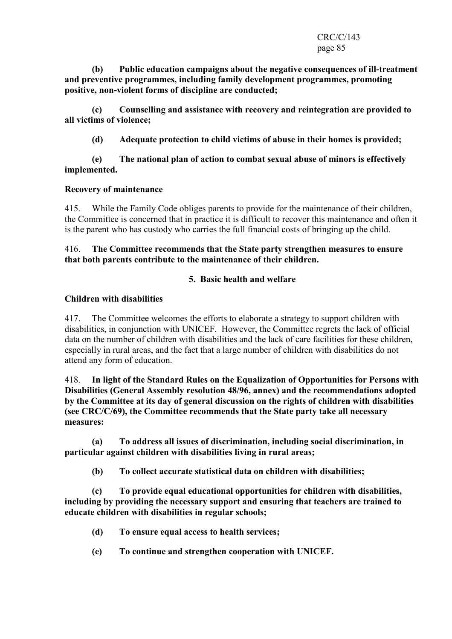### CRC/C/143 page 85

 (b) Public education campaigns about the negative consequences of ill-treatment and preventive programmes, including family development programmes, promoting positive, non-violent forms of discipline are conducted;

 (c) Counselling and assistance with recovery and reintegration are provided to all victims of violence;

(d) Adequate protection to child victims of abuse in their homes is provided;

### (e) The national plan of action to combat sexual abuse of minors is effectively implemented.

# Recovery of maintenance

415. While the Family Code obliges parents to provide for the maintenance of their children, the Committee is concerned that in practice it is difficult to recover this maintenance and often it is the parent who has custody who carries the full financial costs of bringing up the child.

# 416. The Committee recommends that the State party strengthen measures to ensure that both parents contribute to the maintenance of their children.

# 5. Basic health and welfare

### Children with disabilities

417. The Committee welcomes the efforts to elaborate a strategy to support children with disabilities, in conjunction with UNICEF. However, the Committee regrets the lack of official data on the number of children with disabilities and the lack of care facilities for these children, especially in rural areas, and the fact that a large number of children with disabilities do not attend any form of education.

418. In light of the Standard Rules on the Equalization of Opportunities for Persons with Disabilities (General Assembly resolution 48/96, annex) and the recommendations adopted by the Committee at its day of general discussion on the rights of children with disabilities (see CRC/C/69), the Committee recommends that the State party take all necessary measures:

 (a) To address all issues of discrimination, including social discrimination, in particular against children with disabilities living in rural areas;

(b) To collect accurate statistical data on children with disabilities;

 (c) To provide equal educational opportunities for children with disabilities, including by providing the necessary support and ensuring that teachers are trained to educate children with disabilities in regular schools;

- (d) To ensure equal access to health services;
- (e) To continue and strengthen cooperation with UNICEF.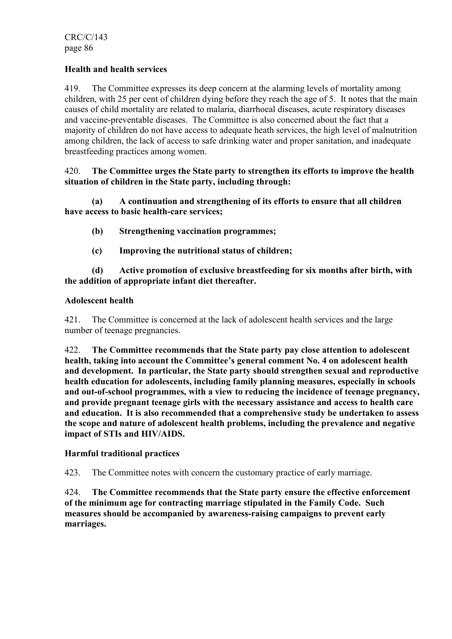# Health and health services

419. The Committee expresses its deep concern at the alarming levels of mortality among children, with 25 per cent of children dying before they reach the age of 5. It notes that the main causes of child mortality are related to malaria, diarrhoeal diseases, acute respiratory diseases and vaccine-preventable diseases. The Committee is also concerned about the fact that a majority of children do not have access to adequate heath services, the high level of malnutrition among children, the lack of access to safe drinking water and proper sanitation, and inadequate breastfeeding practices among women.

### 420. The Committee urges the State party to strengthen its efforts to improve the health situation of children in the State party, including through:

 (a) A continuation and strengthening of its efforts to ensure that all children have access to basic health-care services;

- (b) Strengthening vaccination programmes;
- (c) Improving the nutritional status of children;

 (d) Active promotion of exclusive breastfeeding for six months after birth, with the addition of appropriate infant diet thereafter.

### Adolescent health

421. The Committee is concerned at the lack of adolescent health services and the large number of teenage pregnancies.

422. The Committee recommends that the State party pay close attention to adolescent health, taking into account the Committee's general comment No. 4 on adolescent health and development. In particular, the State party should strengthen sexual and reproductive health education for adolescents, including family planning measures, especially in schools and out-of-school programmes, with a view to reducing the incidence of teenage pregnancy, and provide pregnant teenage girls with the necessary assistance and access to health care and education. It is also recommended that a comprehensive study be undertaken to assess the scope and nature of adolescent health problems, including the prevalence and negative impact of STIs and HIV/AIDS.

# Harmful traditional practices

423. The Committee notes with concern the customary practice of early marriage.

424. The Committee recommends that the State party ensure the effective enforcement of the minimum age for contracting marriage stipulated in the Family Code. Such measures should be accompanied by awareness-raising campaigns to prevent early marriages.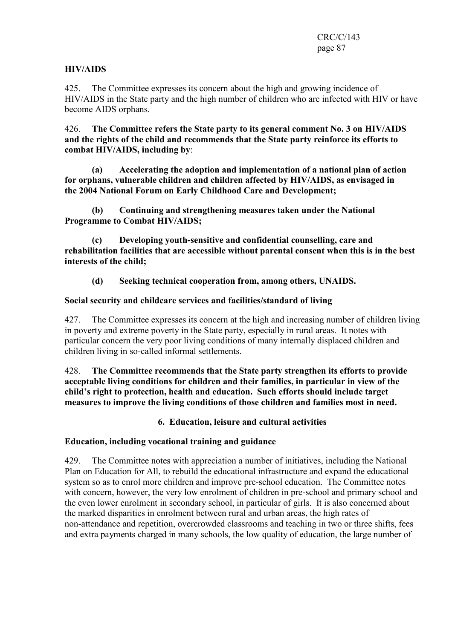# HIV/AIDS

425. The Committee expresses its concern about the high and growing incidence of HIV/AIDS in the State party and the high number of children who are infected with HIV or have become AIDS orphans.

426. The Committee refers the State party to its general comment No. 3 on HIV/AIDS and the rights of the child and recommends that the State party reinforce its efforts to combat HIV/AIDS, including by:

 (a) Accelerating the adoption and implementation of a national plan of action for orphans, vulnerable children and children affected by HIV/AIDS, as envisaged in the 2004 National Forum on Early Childhood Care and Development;

 (b) Continuing and strengthening measures taken under the National Programme to Combat HIV/AIDS;

 (c) Developing youth-sensitive and confidential counselling, care and rehabilitation facilities that are accessible without parental consent when this is in the best interests of the child;

(d) Seeking technical cooperation from, among others, UNAIDS.

# Social security and childcare services and facilities/standard of living

427. The Committee expresses its concern at the high and increasing number of children living in poverty and extreme poverty in the State party, especially in rural areas. It notes with particular concern the very poor living conditions of many internally displaced children and children living in so-called informal settlements.

428. The Committee recommends that the State party strengthen its efforts to provide acceptable living conditions for children and their families, in particular in view of the child's right to protection, health and education. Such efforts should include target measures to improve the living conditions of those children and families most in need.

6. Education, leisure and cultural activities

# Education, including vocational training and guidance

429. The Committee notes with appreciation a number of initiatives, including the National Plan on Education for All, to rebuild the educational infrastructure and expand the educational system so as to enrol more children and improve pre-school education. The Committee notes with concern, however, the very low enrolment of children in pre-school and primary school and the even lower enrolment in secondary school, in particular of girls. It is also concerned about the marked disparities in enrolment between rural and urban areas, the high rates of non-attendance and repetition, overcrowded classrooms and teaching in two or three shifts, fees and extra payments charged in many schools, the low quality of education, the large number of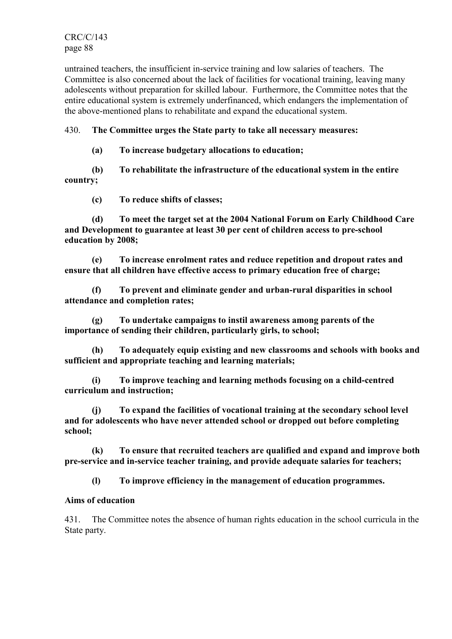CRC/C/143 page 88

untrained teachers, the insufficient in-service training and low salaries of teachers. The Committee is also concerned about the lack of facilities for vocational training, leaving many adolescents without preparation for skilled labour. Furthermore, the Committee notes that the entire educational system is extremely underfinanced, which endangers the implementation of the above-mentioned plans to rehabilitate and expand the educational system.

# 430. The Committee urges the State party to take all necessary measures:

(a) To increase budgetary allocations to education;

 (b) To rehabilitate the infrastructure of the educational system in the entire country;

(c) To reduce shifts of classes;

 (d) To meet the target set at the 2004 National Forum on Early Childhood Care and Development to guarantee at least 30 per cent of children access to pre-school education by 2008;

 (e) To increase enrolment rates and reduce repetition and dropout rates and ensure that all children have effective access to primary education free of charge;

 (f) To prevent and eliminate gender and urban-rural disparities in school attendance and completion rates;

 (g) To undertake campaigns to instil awareness among parents of the importance of sending their children, particularly girls, to school;

 (h) To adequately equip existing and new classrooms and schools with books and sufficient and appropriate teaching and learning materials;

 (i) To improve teaching and learning methods focusing on a child-centred curriculum and instruction;

 (j) To expand the facilities of vocational training at the secondary school level and for adolescents who have never attended school or dropped out before completing school;

 (k) To ensure that recruited teachers are qualified and expand and improve both pre-service and in-service teacher training, and provide adequate salaries for teachers;

(l) To improve efficiency in the management of education programmes.

# Aims of education

431. The Committee notes the absence of human rights education in the school curricula in the State party.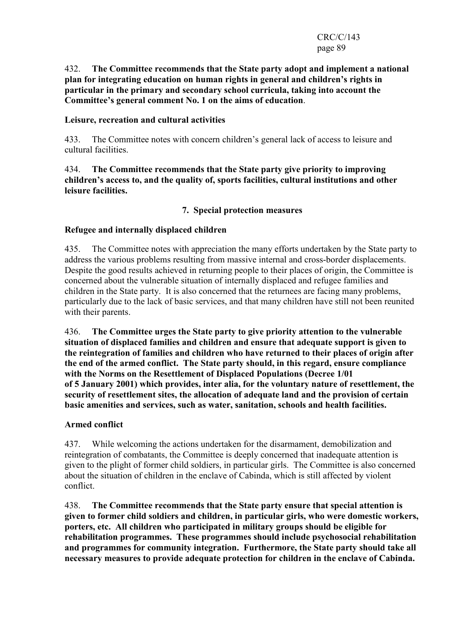### 432. The Committee recommends that the State party adopt and implement a national plan for integrating education on human rights in general and children's rights in particular in the primary and secondary school curricula, taking into account the Committee's general comment No. 1 on the aims of education.

# Leisure, recreation and cultural activities

433. The Committee notes with concern children's general lack of access to leisure and cultural facilities.

434. The Committee recommends that the State party give priority to improving children's access to, and the quality of, sports facilities, cultural institutions and other leisure facilities.

### 7. Special protection measures

### Refugee and internally displaced children

435. The Committee notes with appreciation the many efforts undertaken by the State party to address the various problems resulting from massive internal and cross-border displacements. Despite the good results achieved in returning people to their places of origin, the Committee is concerned about the vulnerable situation of internally displaced and refugee families and children in the State party. It is also concerned that the returnees are facing many problems, particularly due to the lack of basic services, and that many children have still not been reunited with their parents.

436. The Committee urges the State party to give priority attention to the vulnerable situation of displaced families and children and ensure that adequate support is given to the reintegration of families and children who have returned to their places of origin after the end of the armed conflict. The State party should, in this regard, ensure compliance with the Norms on the Resettlement of Displaced Populations (Decree 1/01 of 5 January 2001) which provides, inter alia, for the voluntary nature of resettlement, the security of resettlement sites, the allocation of adequate land and the provision of certain basic amenities and services, such as water, sanitation, schools and health facilities.

# Armed conflict

437. While welcoming the actions undertaken for the disarmament, demobilization and reintegration of combatants, the Committee is deeply concerned that inadequate attention is given to the plight of former child soldiers, in particular girls. The Committee is also concerned about the situation of children in the enclave of Cabinda, which is still affected by violent conflict.

438. The Committee recommends that the State party ensure that special attention is given to former child soldiers and children, in particular girls, who were domestic workers, porters, etc. All children who participated in military groups should be eligible for rehabilitation programmes. These programmes should include psychosocial rehabilitation and programmes for community integration. Furthermore, the State party should take all necessary measures to provide adequate protection for children in the enclave of Cabinda.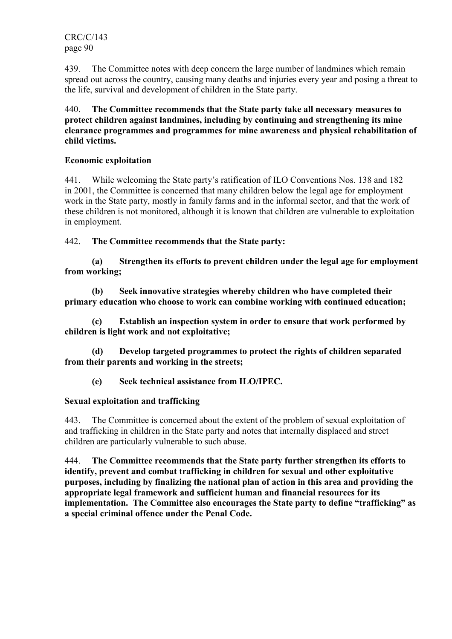CRC/C/143 page 90

439. The Committee notes with deep concern the large number of landmines which remain spread out across the country, causing many deaths and injuries every year and posing a threat to the life, survival and development of children in the State party.

440. The Committee recommends that the State party take all necessary measures to protect children against landmines, including by continuing and strengthening its mine clearance programmes and programmes for mine awareness and physical rehabilitation of child victims.

### Economic exploitation

441. While welcoming the State party's ratification of ILO Conventions Nos. 138 and 182 in 2001, the Committee is concerned that many children below the legal age for employment work in the State party, mostly in family farms and in the informal sector, and that the work of these children is not monitored, although it is known that children are vulnerable to exploitation in employment.

# 442. The Committee recommends that the State party:

 (a) Strengthen its efforts to prevent children under the legal age for employment from working;

 (b) Seek innovative strategies whereby children who have completed their primary education who choose to work can combine working with continued education;

Establish an inspection system in order to ensure that work performed by children is light work and not exploitative;

 (d) Develop targeted programmes to protect the rights of children separated from their parents and working in the streets;

(e) Seek technical assistance from ILO/IPEC.

# Sexual exploitation and trafficking

443. The Committee is concerned about the extent of the problem of sexual exploitation of and trafficking in children in the State party and notes that internally displaced and street children are particularly vulnerable to such abuse.

444. The Committee recommends that the State party further strengthen its efforts to identify, prevent and combat trafficking in children for sexual and other exploitative purposes, including by finalizing the national plan of action in this area and providing the appropriate legal framework and sufficient human and financial resources for its implementation. The Committee also encourages the State party to define "trafficking" as a special criminal offence under the Penal Code.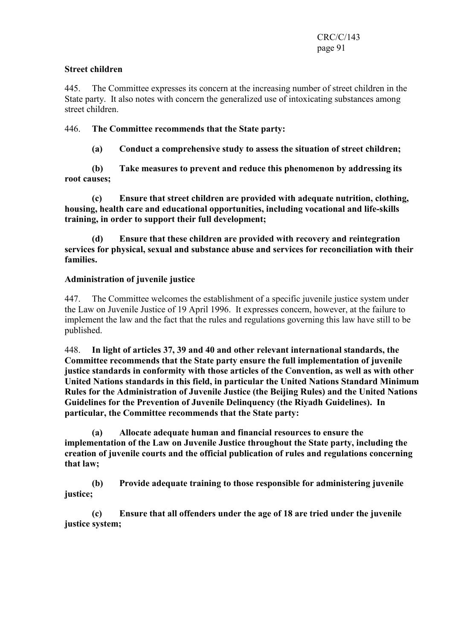# Street children

445. The Committee expresses its concern at the increasing number of street children in the State party. It also notes with concern the generalized use of intoxicating substances among street children.

# 446. The Committee recommends that the State party:

(a) Conduct a comprehensive study to assess the situation of street children;

 (b) Take measures to prevent and reduce this phenomenon by addressing its root causes;

 (c) Ensure that street children are provided with adequate nutrition, clothing, housing, health care and educational opportunities, including vocational and life-skills training, in order to support their full development;

 (d) Ensure that these children are provided with recovery and reintegration services for physical, sexual and substance abuse and services for reconciliation with their families.

# Administration of juvenile justice

447. The Committee welcomes the establishment of a specific juvenile justice system under the Law on Juvenile Justice of 19 April 1996. It expresses concern, however, at the failure to implement the law and the fact that the rules and regulations governing this law have still to be published.

448. In light of articles 37, 39 and 40 and other relevant international standards, the Committee recommends that the State party ensure the full implementation of juvenile justice standards in conformity with those articles of the Convention, as well as with other United Nations standards in this field, in particular the United Nations Standard Minimum Rules for the Administration of Juvenile Justice (the Beijing Rules) and the United Nations Guidelines for the Prevention of Juvenile Delinquency (the Riyadh Guidelines). In particular, the Committee recommends that the State party:

 (a) Allocate adequate human and financial resources to ensure the implementation of the Law on Juvenile Justice throughout the State party, including the creation of juvenile courts and the official publication of rules and regulations concerning that law;

 (b) Provide adequate training to those responsible for administering juvenile justice;

 (c) Ensure that all offenders under the age of 18 are tried under the juvenile justice system;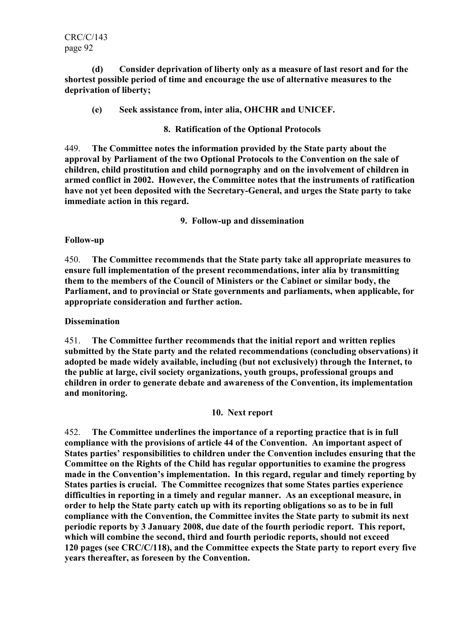CRC/C/143 page 92

 (d) Consider deprivation of liberty only as a measure of last resort and for the shortest possible period of time and encourage the use of alternative measures to the deprivation of liberty;

(e) Seek assistance from, inter alia, OHCHR and UNICEF.

8. Ratification of the Optional Protocols

449. The Committee notes the information provided by the State party about the approval by Parliament of the two Optional Protocols to the Convention on the sale of children, child prostitution and child pornography and on the involvement of children in armed conflict in 2002. However, the Committee notes that the instruments of ratification have not yet been deposited with the Secretary-General, and urges the State party to take immediate action in this regard.

9. Follow-up and dissemination

#### Follow-up

450. The Committee recommends that the State party take all appropriate measures to ensure full implementation of the present recommendations, inter alia by transmitting them to the members of the Council of Ministers or the Cabinet or similar body, the Parliament, and to provincial or State governments and parliaments, when applicable, for appropriate consideration and further action.

#### **Dissemination**

451. The Committee further recommends that the initial report and written replies submitted by the State party and the related recommendations (concluding observations) it adopted be made widely available, including (but not exclusively) through the Internet, to the public at large, civil society organizations, youth groups, professional groups and children in order to generate debate and awareness of the Convention, its implementation and monitoring.

#### 10. Next report

452. The Committee underlines the importance of a reporting practice that is in full compliance with the provisions of article 44 of the Convention. An important aspect of States parties' responsibilities to children under the Convention includes ensuring that the Committee on the Rights of the Child has regular opportunities to examine the progress made in the Convention's implementation. In this regard, regular and timely reporting by States parties is crucial. The Committee recognizes that some States parties experience difficulties in reporting in a timely and regular manner. As an exceptional measure, in order to help the State party catch up with its reporting obligations so as to be in full compliance with the Convention, the Committee invites the State party to submit its next periodic reports by 3 January 2008, due date of the fourth periodic report. This report, which will combine the second, third and fourth periodic reports, should not exceed 120 pages (see CRC/C/118), and the Committee expects the State party to report every five years thereafter, as foreseen by the Convention.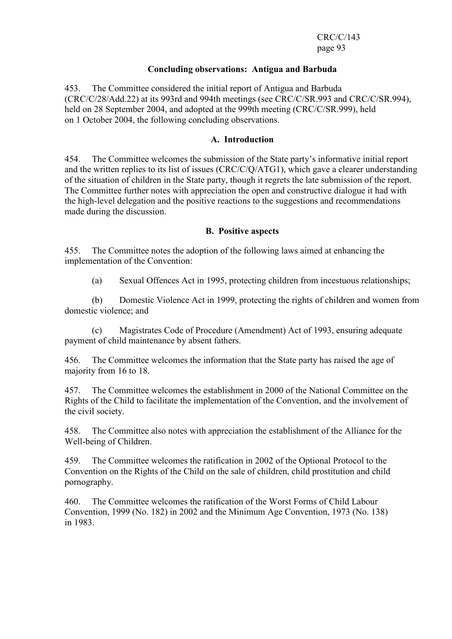CRC/C/143 page 93

#### Concluding observations: Antigua and Barbuda

453. The Committee considered the initial report of Antigua and Barbuda (CRC/C/28/Add.22) at its 993rd and 994th meetings (see CRC/C/SR.993 and CRC/C/SR.994), held on 28 September 2004, and adopted at the 999th meeting (CRC/C/SR.999), held on 1 October 2004, the following concluding observations.

### A. Introduction

454. The Committee welcomes the submission of the State party's informative initial report and the written replies to its list of issues (CRC/C/Q/ATG1), which gave a clearer understanding of the situation of children in the State party, though it regrets the late submission of the report. The Committee further notes with appreciation the open and constructive dialogue it had with the high-level delegation and the positive reactions to the suggestions and recommendations made during the discussion.

#### B. Positive aspects

455. The Committee notes the adoption of the following laws aimed at enhancing the implementation of the Convention:

(a) Sexual Offences Act in 1995, protecting children from incestuous relationships;

 (b) Domestic Violence Act in 1999, protecting the rights of children and women from domestic violence; and

 (c) Magistrates Code of Procedure (Amendment) Act of 1993, ensuring adequate payment of child maintenance by absent fathers.

456. The Committee welcomes the information that the State party has raised the age of majority from 16 to 18.

457. The Committee welcomes the establishment in 2000 of the National Committee on the Rights of the Child to facilitate the implementation of the Convention, and the involvement of the civil society.

458. The Committee also notes with appreciation the establishment of the Alliance for the Well-being of Children.

459. The Committee welcomes the ratification in 2002 of the Optional Protocol to the Convention on the Rights of the Child on the sale of children, child prostitution and child pornography.

460. The Committee welcomes the ratification of the Worst Forms of Child Labour Convention, 1999 (No. 182) in 2002 and the Minimum Age Convention, 1973 (No. 138) in 1983.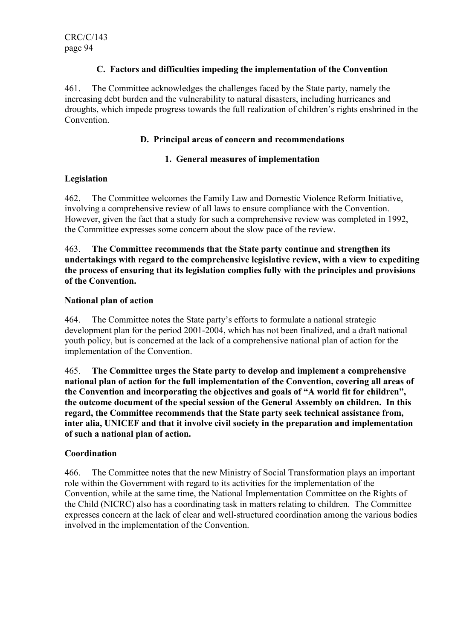# C. Factors and difficulties impeding the implementation of the Convention

461. The Committee acknowledges the challenges faced by the State party, namely the increasing debt burden and the vulnerability to natural disasters, including hurricanes and droughts, which impede progress towards the full realization of children's rights enshrined in the **Convention** 

# D. Principal areas of concern and recommendations

### 1. General measures of implementation

# Legislation

462. The Committee welcomes the Family Law and Domestic Violence Reform Initiative, involving a comprehensive review of all laws to ensure compliance with the Convention. However, given the fact that a study for such a comprehensive review was completed in 1992, the Committee expresses some concern about the slow pace of the review.

463. The Committee recommends that the State party continue and strengthen its undertakings with regard to the comprehensive legislative review, with a view to expediting the process of ensuring that its legislation complies fully with the principles and provisions of the Convention.

# National plan of action

464. The Committee notes the State party's efforts to formulate a national strategic development plan for the period 2001-2004, which has not been finalized, and a draft national youth policy, but is concerned at the lack of a comprehensive national plan of action for the implementation of the Convention.

465. The Committee urges the State party to develop and implement a comprehensive national plan of action for the full implementation of the Convention, covering all areas of the Convention and incorporating the objectives and goals of "A world fit for children", the outcome document of the special session of the General Assembly on children. In this regard, the Committee recommends that the State party seek technical assistance from, inter alia, UNICEF and that it involve civil society in the preparation and implementation of such a national plan of action.

# **Coordination**

466. The Committee notes that the new Ministry of Social Transformation plays an important role within the Government with regard to its activities for the implementation of the Convention, while at the same time, the National Implementation Committee on the Rights of the Child (NICRC) also has a coordinating task in matters relating to children. The Committee expresses concern at the lack of clear and well-structured coordination among the various bodies involved in the implementation of the Convention.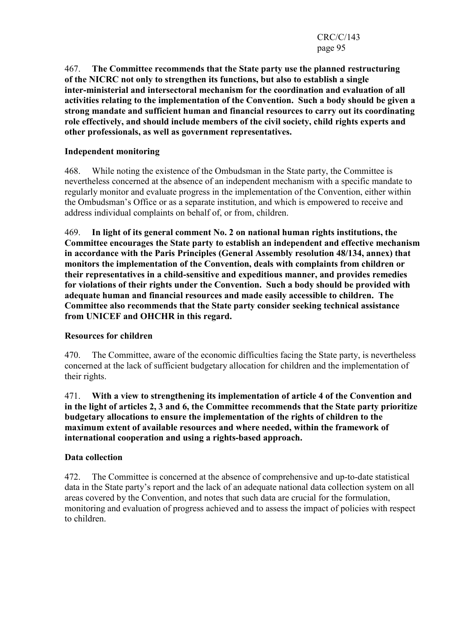467. The Committee recommends that the State party use the planned restructuring of the NICRC not only to strengthen its functions, but also to establish a single inter-ministerial and intersectoral mechanism for the coordination and evaluation of all activities relating to the implementation of the Convention. Such a body should be given a strong mandate and sufficient human and financial resources to carry out its coordinating role effectively, and should include members of the civil society, child rights experts and other professionals, as well as government representatives.

# Independent monitoring

468. While noting the existence of the Ombudsman in the State party, the Committee is nevertheless concerned at the absence of an independent mechanism with a specific mandate to regularly monitor and evaluate progress in the implementation of the Convention, either within the Ombudsman's Office or as a separate institution, and which is empowered to receive and address individual complaints on behalf of, or from, children.

469. In light of its general comment No. 2 on national human rights institutions, the Committee encourages the State party to establish an independent and effective mechanism in accordance with the Paris Principles (General Assembly resolution 48/134, annex) that monitors the implementation of the Convention, deals with complaints from children or their representatives in a child-sensitive and expeditious manner, and provides remedies for violations of their rights under the Convention. Such a body should be provided with adequate human and financial resources and made easily accessible to children. The Committee also recommends that the State party consider seeking technical assistance from UNICEF and OHCHR in this regard.

# Resources for children

470. The Committee, aware of the economic difficulties facing the State party, is nevertheless concerned at the lack of sufficient budgetary allocation for children and the implementation of their rights.

471. With a view to strengthening its implementation of article 4 of the Convention and in the light of articles 2, 3 and 6, the Committee recommends that the State party prioritize budgetary allocations to ensure the implementation of the rights of children to the maximum extent of available resources and where needed, within the framework of international cooperation and using a rights-based approach.

#### Data collection

472. The Committee is concerned at the absence of comprehensive and up-to-date statistical data in the State party's report and the lack of an adequate national data collection system on all areas covered by the Convention, and notes that such data are crucial for the formulation, monitoring and evaluation of progress achieved and to assess the impact of policies with respect to children.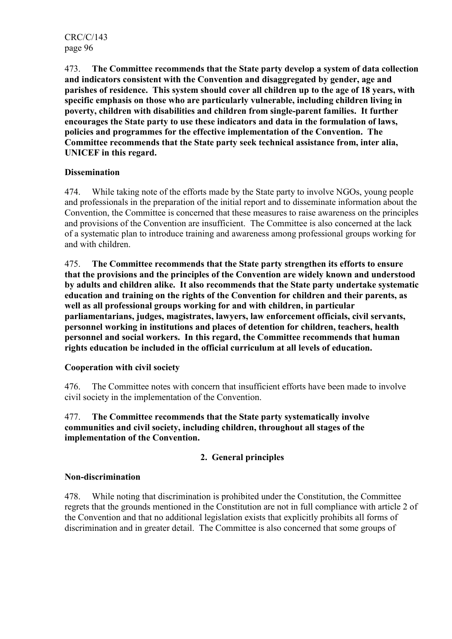473. The Committee recommends that the State party develop a system of data collection and indicators consistent with the Convention and disaggregated by gender, age and parishes of residence. This system should cover all children up to the age of 18 years, with specific emphasis on those who are particularly vulnerable, including children living in poverty, children with disabilities and children from single-parent families. It further encourages the State party to use these indicators and data in the formulation of laws, policies and programmes for the effective implementation of the Convention. The Committee recommends that the State party seek technical assistance from, inter alia, UNICEF in this regard.

# **Dissemination**

474. While taking note of the efforts made by the State party to involve NGOs, young people and professionals in the preparation of the initial report and to disseminate information about the Convention, the Committee is concerned that these measures to raise awareness on the principles and provisions of the Convention are insufficient. The Committee is also concerned at the lack of a systematic plan to introduce training and awareness among professional groups working for and with children.

475. The Committee recommends that the State party strengthen its efforts to ensure that the provisions and the principles of the Convention are widely known and understood by adults and children alike. It also recommends that the State party undertake systematic education and training on the rights of the Convention for children and their parents, as well as all professional groups working for and with children, in particular parliamentarians, judges, magistrates, lawyers, law enforcement officials, civil servants, personnel working in institutions and places of detention for children, teachers, health personnel and social workers. In this regard, the Committee recommends that human rights education be included in the official curriculum at all levels of education.

# Cooperation with civil society

476. The Committee notes with concern that insufficient efforts have been made to involve civil society in the implementation of the Convention.

# 477. The Committee recommends that the State party systematically involve communities and civil society, including children, throughout all stages of the implementation of the Convention.

# 2. General principles

# Non-discrimination

478. While noting that discrimination is prohibited under the Constitution, the Committee regrets that the grounds mentioned in the Constitution are not in full compliance with article 2 of the Convention and that no additional legislation exists that explicitly prohibits all forms of discrimination and in greater detail. The Committee is also concerned that some groups of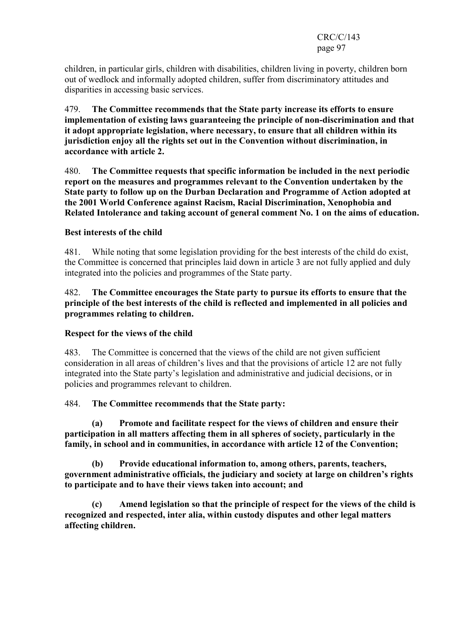children, in particular girls, children with disabilities, children living in poverty, children born out of wedlock and informally adopted children, suffer from discriminatory attitudes and disparities in accessing basic services.

479. The Committee recommends that the State party increase its efforts to ensure implementation of existing laws guaranteeing the principle of non-discrimination and that it adopt appropriate legislation, where necessary, to ensure that all children within its jurisdiction enjoy all the rights set out in the Convention without discrimination, in accordance with article 2.

480. The Committee requests that specific information be included in the next periodic report on the measures and programmes relevant to the Convention undertaken by the State party to follow up on the Durban Declaration and Programme of Action adopted at the 2001 World Conference against Racism, Racial Discrimination, Xenophobia and Related Intolerance and taking account of general comment No. 1 on the aims of education.

### Best interests of the child

481. While noting that some legislation providing for the best interests of the child do exist, the Committee is concerned that principles laid down in article 3 are not fully applied and duly integrated into the policies and programmes of the State party.

482. The Committee encourages the State party to pursue its efforts to ensure that the principle of the best interests of the child is reflected and implemented in all policies and programmes relating to children.

#### Respect for the views of the child

483. The Committee is concerned that the views of the child are not given sufficient consideration in all areas of children's lives and that the provisions of article 12 are not fully integrated into the State party's legislation and administrative and judicial decisions, or in policies and programmes relevant to children.

#### 484. The Committee recommends that the State party:

 (a) Promote and facilitate respect for the views of children and ensure their participation in all matters affecting them in all spheres of society, particularly in the family, in school and in communities, in accordance with article 12 of the Convention;

 (b) Provide educational information to, among others, parents, teachers, government administrative officials, the judiciary and society at large on children's rights to participate and to have their views taken into account; and

 (c) Amend legislation so that the principle of respect for the views of the child is recognized and respected, inter alia, within custody disputes and other legal matters affecting children.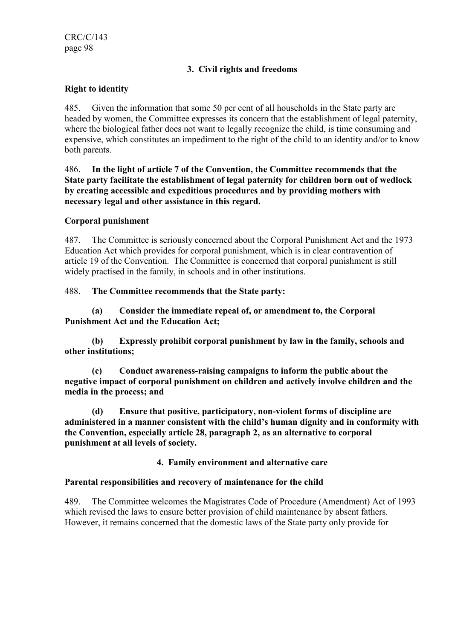CRC/C/143 page 98

# 3. Civil rights and freedoms

# Right to identity

485. Given the information that some 50 per cent of all households in the State party are headed by women, the Committee expresses its concern that the establishment of legal paternity, where the biological father does not want to legally recognize the child, is time consuming and expensive, which constitutes an impediment to the right of the child to an identity and/or to know both parents.

486. In the light of article 7 of the Convention, the Committee recommends that the State party facilitate the establishment of legal paternity for children born out of wedlock by creating accessible and expeditious procedures and by providing mothers with necessary legal and other assistance in this regard.

### Corporal punishment

487. The Committee is seriously concerned about the Corporal Punishment Act and the 1973 Education Act which provides for corporal punishment, which is in clear contravention of article 19 of the Convention. The Committee is concerned that corporal punishment is still widely practised in the family, in schools and in other institutions.

### 488. The Committee recommends that the State party:

 (a) Consider the immediate repeal of, or amendment to, the Corporal Punishment Act and the Education Act;

 (b) Expressly prohibit corporal punishment by law in the family, schools and other institutions;

 (c) Conduct awareness-raising campaigns to inform the public about the negative impact of corporal punishment on children and actively involve children and the media in the process; and

 (d) Ensure that positive, participatory, non-violent forms of discipline are administered in a manner consistent with the child's human dignity and in conformity with the Convention, especially article 28, paragraph 2, as an alternative to corporal punishment at all levels of society.

4. Family environment and alternative care

#### Parental responsibilities and recovery of maintenance for the child

489. The Committee welcomes the Magistrates Code of Procedure (Amendment) Act of 1993 which revised the laws to ensure better provision of child maintenance by absent fathers. However, it remains concerned that the domestic laws of the State party only provide for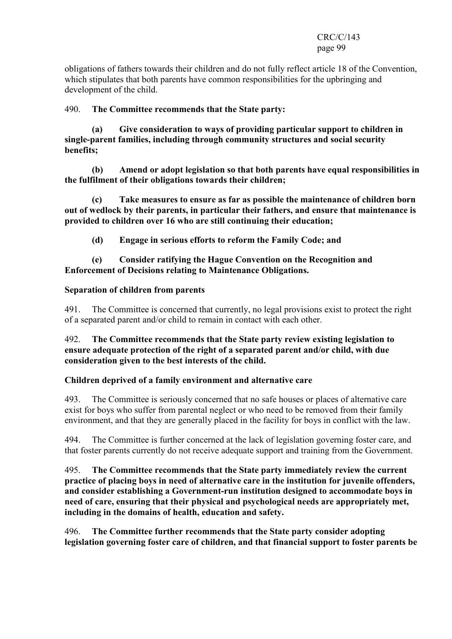obligations of fathers towards their children and do not fully reflect article 18 of the Convention, which stipulates that both parents have common responsibilities for the upbringing and development of the child.

### 490. The Committee recommends that the State party:

 (a) Give consideration to ways of providing particular support to children in single-parent families, including through community structures and social security benefits;

 (b) Amend or adopt legislation so that both parents have equal responsibilities in the fulfilment of their obligations towards their children;

 (c) Take measures to ensure as far as possible the maintenance of children born out of wedlock by their parents, in particular their fathers, and ensure that maintenance is provided to children over 16 who are still continuing their education;

(d) Engage in serious efforts to reform the Family Code; and

### (e) Consider ratifying the Hague Convention on the Recognition and Enforcement of Decisions relating to Maintenance Obligations.

#### Separation of children from parents

491. The Committee is concerned that currently, no legal provisions exist to protect the right of a separated parent and/or child to remain in contact with each other.

### 492. The Committee recommends that the State party review existing legislation to ensure adequate protection of the right of a separated parent and/or child, with due consideration given to the best interests of the child.

#### Children deprived of a family environment and alternative care

493. The Committee is seriously concerned that no safe houses or places of alternative care exist for boys who suffer from parental neglect or who need to be removed from their family environment, and that they are generally placed in the facility for boys in conflict with the law.

494. The Committee is further concerned at the lack of legislation governing foster care, and that foster parents currently do not receive adequate support and training from the Government.

495. The Committee recommends that the State party immediately review the current practice of placing boys in need of alternative care in the institution for juvenile offenders, and consider establishing a Government-run institution designed to accommodate boys in need of care, ensuring that their physical and psychological needs are appropriately met, including in the domains of health, education and safety.

496. The Committee further recommends that the State party consider adopting legislation governing foster care of children, and that financial support to foster parents be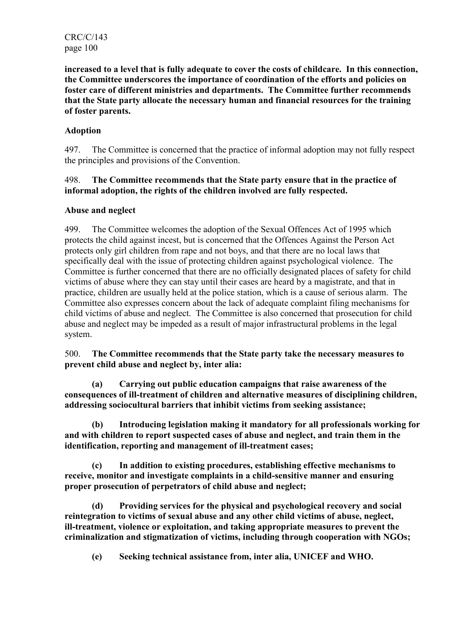CRC/C/143 page 100

increased to a level that is fully adequate to cover the costs of childcare. In this connection, the Committee underscores the importance of coordination of the efforts and policies on foster care of different ministries and departments. The Committee further recommends that the State party allocate the necessary human and financial resources for the training of foster parents.

# Adoption

497. The Committee is concerned that the practice of informal adoption may not fully respect the principles and provisions of the Convention.

### 498. The Committee recommends that the State party ensure that in the practice of informal adoption, the rights of the children involved are fully respected.

# Abuse and neglect

499. The Committee welcomes the adoption of the Sexual Offences Act of 1995 which protects the child against incest, but is concerned that the Offences Against the Person Act protects only girl children from rape and not boys, and that there are no local laws that specifically deal with the issue of protecting children against psychological violence. The Committee is further concerned that there are no officially designated places of safety for child victims of abuse where they can stay until their cases are heard by a magistrate, and that in practice, children are usually held at the police station, which is a cause of serious alarm. The Committee also expresses concern about the lack of adequate complaint filing mechanisms for child victims of abuse and neglect. The Committee is also concerned that prosecution for child abuse and neglect may be impeded as a result of major infrastructural problems in the legal system.

500. The Committee recommends that the State party take the necessary measures to prevent child abuse and neglect by, inter alia:

 (a) Carrying out public education campaigns that raise awareness of the consequences of ill-treatment of children and alternative measures of disciplining children, addressing sociocultural barriers that inhibit victims from seeking assistance;

 (b) Introducing legislation making it mandatory for all professionals working for and with children to report suspected cases of abuse and neglect, and train them in the identification, reporting and management of ill-treatment cases;

 (c) In addition to existing procedures, establishing effective mechanisms to receive, monitor and investigate complaints in a child-sensitive manner and ensuring proper prosecution of perpetrators of child abuse and neglect;

 (d) Providing services for the physical and psychological recovery and social reintegration to victims of sexual abuse and any other child victims of abuse, neglect, ill-treatment, violence or exploitation, and taking appropriate measures to prevent the criminalization and stigmatization of victims, including through cooperation with NGOs;

(e) Seeking technical assistance from, inter alia, UNICEF and WHO.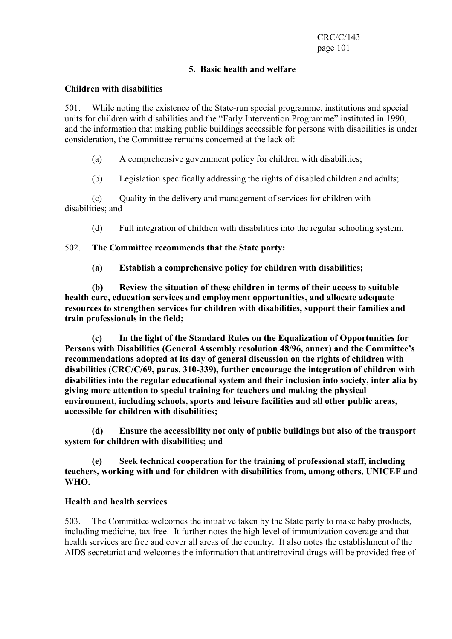# 5. Basic health and welfare

### Children with disabilities

501. While noting the existence of the State-run special programme, institutions and special units for children with disabilities and the "Early Intervention Programme" instituted in 1990, and the information that making public buildings accessible for persons with disabilities is under consideration, the Committee remains concerned at the lack of:

(a) A comprehensive government policy for children with disabilities;

(b) Legislation specifically addressing the rights of disabled children and adults;

 (c) Quality in the delivery and management of services for children with disabilities; and

(d) Full integration of children with disabilities into the regular schooling system.

502. The Committee recommends that the State party:

(a) Establish a comprehensive policy for children with disabilities;

 (b) Review the situation of these children in terms of their access to suitable health care, education services and employment opportunities, and allocate adequate resources to strengthen services for children with disabilities, support their families and train professionals in the field;

 (c) In the light of the Standard Rules on the Equalization of Opportunities for Persons with Disabilities (General Assembly resolution 48/96, annex) and the Committee's recommendations adopted at its day of general discussion on the rights of children with disabilities (CRC/C/69, paras. 310-339), further encourage the integration of children with disabilities into the regular educational system and their inclusion into society, inter alia by giving more attention to special training for teachers and making the physical environment, including schools, sports and leisure facilities and all other public areas, accessible for children with disabilities;

 (d) Ensure the accessibility not only of public buildings but also of the transport system for children with disabilities; and

 (e) Seek technical cooperation for the training of professional staff, including teachers, working with and for children with disabilities from, among others, UNICEF and WHO.

#### Health and health services

503. The Committee welcomes the initiative taken by the State party to make baby products, including medicine, tax free. It further notes the high level of immunization coverage and that health services are free and cover all areas of the country. It also notes the establishment of the AIDS secretariat and welcomes the information that antiretroviral drugs will be provided free of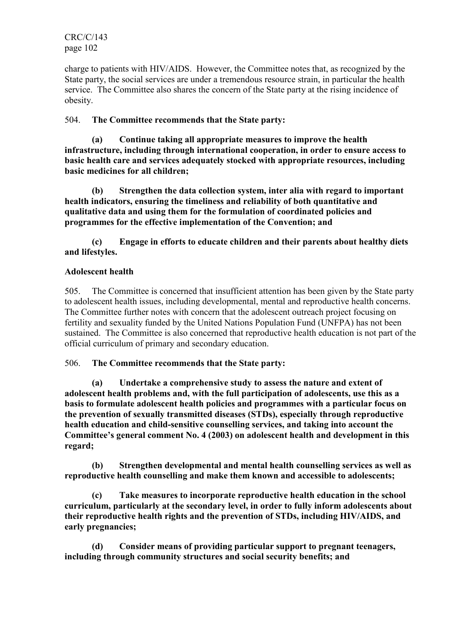charge to patients with HIV/AIDS. However, the Committee notes that, as recognized by the State party, the social services are under a tremendous resource strain, in particular the health service. The Committee also shares the concern of the State party at the rising incidence of obesity.

# 504. The Committee recommends that the State party:

 (a) Continue taking all appropriate measures to improve the health infrastructure, including through international cooperation, in order to ensure access to basic health care and services adequately stocked with appropriate resources, including basic medicines for all children;

 (b) Strengthen the data collection system, inter alia with regard to important health indicators, ensuring the timeliness and reliability of both quantitative and qualitative data and using them for the formulation of coordinated policies and programmes for the effective implementation of the Convention; and

 (c) Engage in efforts to educate children and their parents about healthy diets and lifestyles.

# Adolescent health

505. The Committee is concerned that insufficient attention has been given by the State party to adolescent health issues, including developmental, mental and reproductive health concerns. The Committee further notes with concern that the adolescent outreach project focusing on fertility and sexuality funded by the United Nations Population Fund (UNFPA) has not been sustained. The Committee is also concerned that reproductive health education is not part of the official curriculum of primary and secondary education.

# 506. The Committee recommends that the State party:

 (a) Undertake a comprehensive study to assess the nature and extent of adolescent health problems and, with the full participation of adolescents, use this as a basis to formulate adolescent health policies and programmes with a particular focus on the prevention of sexually transmitted diseases (STDs), especially through reproductive health education and child-sensitive counselling services, and taking into account the Committee's general comment No. 4 (2003) on adolescent health and development in this regard;

 (b) Strengthen developmental and mental health counselling services as well as reproductive health counselling and make them known and accessible to adolescents;

 (c) Take measures to incorporate reproductive health education in the school curriculum, particularly at the secondary level, in order to fully inform adolescents about their reproductive health rights and the prevention of STDs, including HIV/AIDS, and early pregnancies;

 (d) Consider means of providing particular support to pregnant teenagers, including through community structures and social security benefits; and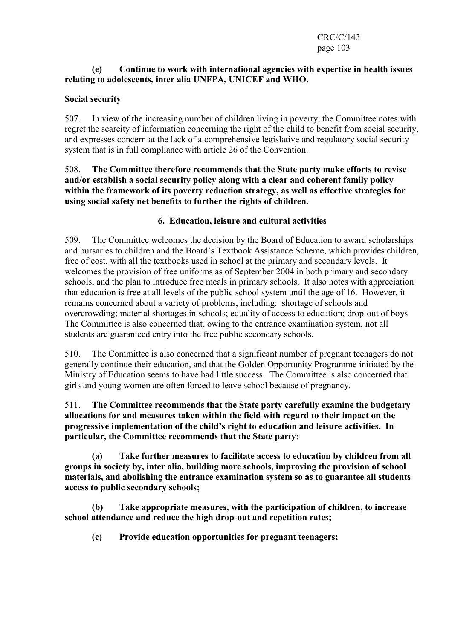# (e) Continue to work with international agencies with expertise in health issues relating to adolescents, inter alia UNFPA, UNICEF and WHO.

# Social security

507. In view of the increasing number of children living in poverty, the Committee notes with regret the scarcity of information concerning the right of the child to benefit from social security, and expresses concern at the lack of a comprehensive legislative and regulatory social security system that is in full compliance with article 26 of the Convention.

508. The Committee therefore recommends that the State party make efforts to revise and/or establish a social security policy along with a clear and coherent family policy within the framework of its poverty reduction strategy, as well as effective strategies for using social safety net benefits to further the rights of children.

# 6. Education, leisure and cultural activities

509. The Committee welcomes the decision by the Board of Education to award scholarships and bursaries to children and the Board's Textbook Assistance Scheme, which provides children, free of cost, with all the textbooks used in school at the primary and secondary levels. It welcomes the provision of free uniforms as of September 2004 in both primary and secondary schools, and the plan to introduce free meals in primary schools. It also notes with appreciation that education is free at all levels of the public school system until the age of 16. However, it remains concerned about a variety of problems, including: shortage of schools and overcrowding; material shortages in schools; equality of access to education; drop-out of boys. The Committee is also concerned that, owing to the entrance examination system, not all students are guaranteed entry into the free public secondary schools.

510. The Committee is also concerned that a significant number of pregnant teenagers do not generally continue their education, and that the Golden Opportunity Programme initiated by the Ministry of Education seems to have had little success. The Committee is also concerned that girls and young women are often forced to leave school because of pregnancy.

### 511. The Committee recommends that the State party carefully examine the budgetary allocations for and measures taken within the field with regard to their impact on the progressive implementation of the child's right to education and leisure activities. In particular, the Committee recommends that the State party:

 (a) Take further measures to facilitate access to education by children from all groups in society by, inter alia, building more schools, improving the provision of school materials, and abolishing the entrance examination system so as to guarantee all students access to public secondary schools;

 (b) Take appropriate measures, with the participation of children, to increase school attendance and reduce the high drop-out and repetition rates;

(c) Provide education opportunities for pregnant teenagers;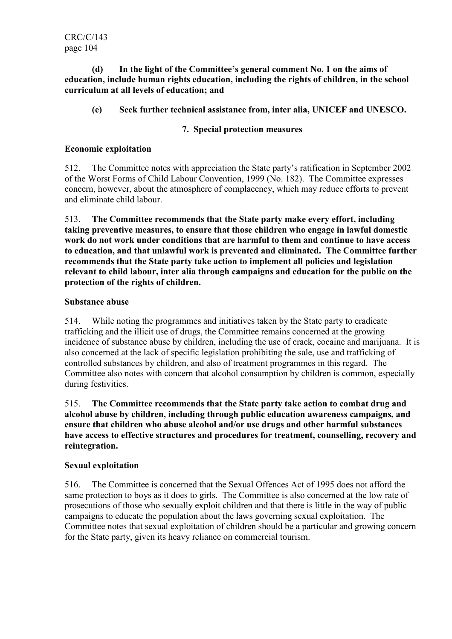CRC/C/143 page 104

 (d) In the light of the Committee's general comment No. 1 on the aims of education, include human rights education, including the rights of children, in the school curriculum at all levels of education; and

# (e) Seek further technical assistance from, inter alia, UNICEF and UNESCO.

# 7. Special protection measures

### Economic exploitation

512. The Committee notes with appreciation the State party's ratification in September 2002 of the Worst Forms of Child Labour Convention, 1999 (No. 182). The Committee expresses concern, however, about the atmosphere of complacency, which may reduce efforts to prevent and eliminate child labour.

513. The Committee recommends that the State party make every effort, including taking preventive measures, to ensure that those children who engage in lawful domestic work do not work under conditions that are harmful to them and continue to have access to education, and that unlawful work is prevented and eliminated. The Committee further recommends that the State party take action to implement all policies and legislation relevant to child labour, inter alia through campaigns and education for the public on the protection of the rights of children.

### Substance abuse

514. While noting the programmes and initiatives taken by the State party to eradicate trafficking and the illicit use of drugs, the Committee remains concerned at the growing incidence of substance abuse by children, including the use of crack, cocaine and marijuana. It is also concerned at the lack of specific legislation prohibiting the sale, use and trafficking of controlled substances by children, and also of treatment programmes in this regard. The Committee also notes with concern that alcohol consumption by children is common, especially during festivities.

515. The Committee recommends that the State party take action to combat drug and alcohol abuse by children, including through public education awareness campaigns, and ensure that children who abuse alcohol and/or use drugs and other harmful substances have access to effective structures and procedures for treatment, counselling, recovery and reintegration.

# Sexual exploitation

516. The Committee is concerned that the Sexual Offences Act of 1995 does not afford the same protection to boys as it does to girls. The Committee is also concerned at the low rate of prosecutions of those who sexually exploit children and that there is little in the way of public campaigns to educate the population about the laws governing sexual exploitation. The Committee notes that sexual exploitation of children should be a particular and growing concern for the State party, given its heavy reliance on commercial tourism.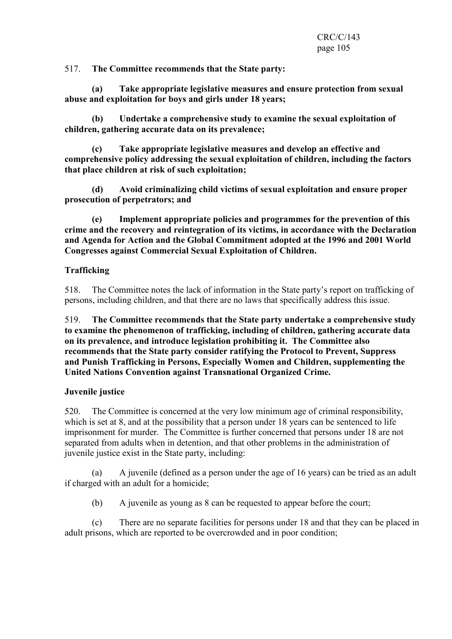517. The Committee recommends that the State party:

 (a) Take appropriate legislative measures and ensure protection from sexual abuse and exploitation for boys and girls under 18 years;

 (b) Undertake a comprehensive study to examine the sexual exploitation of children, gathering accurate data on its prevalence;

 (c) Take appropriate legislative measures and develop an effective and comprehensive policy addressing the sexual exploitation of children, including the factors that place children at risk of such exploitation;

 (d) Avoid criminalizing child victims of sexual exploitation and ensure proper prosecution of perpetrators; and

 (e) Implement appropriate policies and programmes for the prevention of this crime and the recovery and reintegration of its victims, in accordance with the Declaration and Agenda for Action and the Global Commitment adopted at the 1996 and 2001 World Congresses against Commercial Sexual Exploitation of Children.

# Trafficking

518. The Committee notes the lack of information in the State party's report on trafficking of persons, including children, and that there are no laws that specifically address this issue.

519. The Committee recommends that the State party undertake a comprehensive study to examine the phenomenon of trafficking, including of children, gathering accurate data on its prevalence, and introduce legislation prohibiting it. The Committee also recommends that the State party consider ratifying the Protocol to Prevent, Suppress and Punish Trafficking in Persons, Especially Women and Children, supplementing the United Nations Convention against Transnational Organized Crime.

# Juvenile justice

520. The Committee is concerned at the very low minimum age of criminal responsibility, which is set at 8, and at the possibility that a person under 18 years can be sentenced to life imprisonment for murder. The Committee is further concerned that persons under 18 are not separated from adults when in detention, and that other problems in the administration of juvenile justice exist in the State party, including:

 (a) A juvenile (defined as a person under the age of 16 years) can be tried as an adult if charged with an adult for a homicide;

(b) A juvenile as young as 8 can be requested to appear before the court;

 (c) There are no separate facilities for persons under 18 and that they can be placed in adult prisons, which are reported to be overcrowded and in poor condition;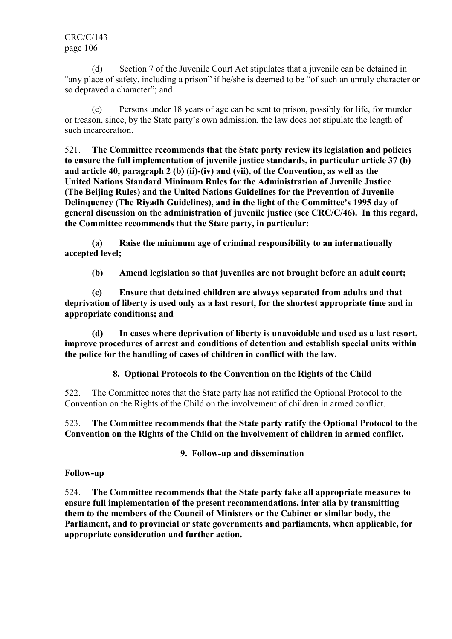(d) Section 7 of the Juvenile Court Act stipulates that a juvenile can be detained in "any place of safety, including a prison" if he/she is deemed to be "of such an unruly character or so depraved a character"; and

 (e) Persons under 18 years of age can be sent to prison, possibly for life, for murder or treason, since, by the State party's own admission, the law does not stipulate the length of such incarceration.

521. The Committee recommends that the State party review its legislation and policies to ensure the full implementation of juvenile justice standards, in particular article 37 (b) and article 40, paragraph 2 (b) (ii)-(iv) and (vii), of the Convention, as well as the United Nations Standard Minimum Rules for the Administration of Juvenile Justice (The Beijing Rules) and the United Nations Guidelines for the Prevention of Juvenile Delinquency (The Riyadh Guidelines), and in the light of the Committee's 1995 day of general discussion on the administration of juvenile justice (see CRC/C/46). In this regard, the Committee recommends that the State party, in particular:

 (a) Raise the minimum age of criminal responsibility to an internationally accepted level;

(b) Amend legislation so that juveniles are not brought before an adult court;

 (c) Ensure that detained children are always separated from adults and that deprivation of liberty is used only as a last resort, for the shortest appropriate time and in appropriate conditions; and

 (d) In cases where deprivation of liberty is unavoidable and used as a last resort, improve procedures of arrest and conditions of detention and establish special units within the police for the handling of cases of children in conflict with the law.

8. Optional Protocols to the Convention on the Rights of the Child

522. The Committee notes that the State party has not ratified the Optional Protocol to the Convention on the Rights of the Child on the involvement of children in armed conflict.

523. The Committee recommends that the State party ratify the Optional Protocol to the Convention on the Rights of the Child on the involvement of children in armed conflict.

9. Follow-up and dissemination

# Follow-up

524. The Committee recommends that the State party take all appropriate measures to ensure full implementation of the present recommendations, inter alia by transmitting them to the members of the Council of Ministers or the Cabinet or similar body, the Parliament, and to provincial or state governments and parliaments, when applicable, for appropriate consideration and further action.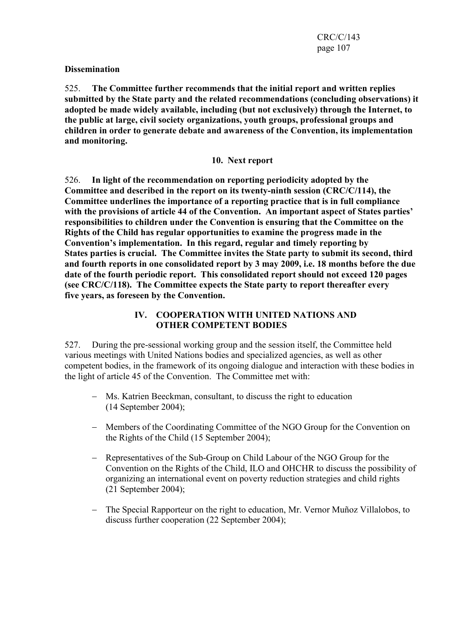### **Dissemination**

525. The Committee further recommends that the initial report and written replies submitted by the State party and the related recommendations (concluding observations) it adopted be made widely available, including (but not exclusively) through the Internet, to the public at large, civil society organizations, youth groups, professional groups and children in order to generate debate and awareness of the Convention, its implementation and monitoring.

#### 10. Next report

526. In light of the recommendation on reporting periodicity adopted by the Committee and described in the report on its twenty-ninth session (CRC/C/114), the Committee underlines the importance of a reporting practice that is in full compliance with the provisions of article 44 of the Convention. An important aspect of States parties' responsibilities to children under the Convention is ensuring that the Committee on the Rights of the Child has regular opportunities to examine the progress made in the Convention's implementation. In this regard, regular and timely reporting by States parties is crucial. The Committee invites the State party to submit its second, third and fourth reports in one consolidated report by 3 may 2009, i.e. 18 months before the due date of the fourth periodic report. This consolidated report should not exceed 120 pages (see CRC/C/118). The Committee expects the State party to report thereafter every five years, as foreseen by the Convention.

### IV. COOPERATION WITH UNITED NATIONS AND OTHER COMPETENT BODIES

527. During the pre-sessional working group and the session itself, the Committee held various meetings with United Nations bodies and specialized agencies, as well as other competent bodies, in the framework of its ongoing dialogue and interaction with these bodies in the light of article 45 of the Convention. The Committee met with:

- − Ms. Katrien Beeckman, consultant, to discuss the right to education (14 September 2004);
- − Members of the Coordinating Committee of the NGO Group for the Convention on the Rights of the Child (15 September 2004);
- − Representatives of the Sub-Group on Child Labour of the NGO Group for the Convention on the Rights of the Child, ILO and OHCHR to discuss the possibility of organizing an international event on poverty reduction strategies and child rights (21 September 2004);
- − The Special Rapporteur on the right to education, Mr. Vernor Muñoz Villalobos, to discuss further cooperation (22 September 2004);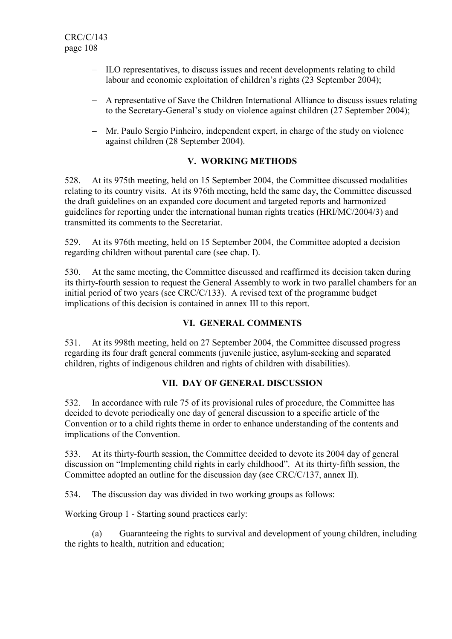- − ILO representatives, to discuss issues and recent developments relating to child labour and economic exploitation of children's rights (23 September 2004);
- − A representative of Save the Children International Alliance to discuss issues relating to the Secretary-General's study on violence against children (27 September 2004);
- − Mr. Paulo Sergio Pinheiro, independent expert, in charge of the study on violence against children (28 September 2004).

# V. WORKING METHODS

528. At its 975th meeting, held on 15 September 2004, the Committee discussed modalities relating to its country visits. At its 976th meeting, held the same day, the Committee discussed the draft guidelines on an expanded core document and targeted reports and harmonized guidelines for reporting under the international human rights treaties (HRI/MC/2004/3) and transmitted its comments to the Secretariat.

529. At its 976th meeting, held on 15 September 2004, the Committee adopted a decision regarding children without parental care (see chap. I).

530. At the same meeting, the Committee discussed and reaffirmed its decision taken during its thirty-fourth session to request the General Assembly to work in two parallel chambers for an initial period of two years (see CRC/C/133). A revised text of the programme budget implications of this decision is contained in annex III to this report.

# VI. GENERAL COMMENTS

531. At its 998th meeting, held on 27 September 2004, the Committee discussed progress regarding its four draft general comments (juvenile justice, asylum-seeking and separated children, rights of indigenous children and rights of children with disabilities).

# VII. DAY OF GENERAL DISCUSSION

532. In accordance with rule 75 of its provisional rules of procedure, the Committee has decided to devote periodically one day of general discussion to a specific article of the Convention or to a child rights theme in order to enhance understanding of the contents and implications of the Convention.

533. At its thirty-fourth session, the Committee decided to devote its 2004 day of general discussion on "Implementing child rights in early childhood". At its thirty-fifth session, the Committee adopted an outline for the discussion day (see CRC/C/137, annex II).

534. The discussion day was divided in two working groups as follows:

Working Group 1 - Starting sound practices early:

 (a) Guaranteeing the rights to survival and development of young children, including the rights to health, nutrition and education;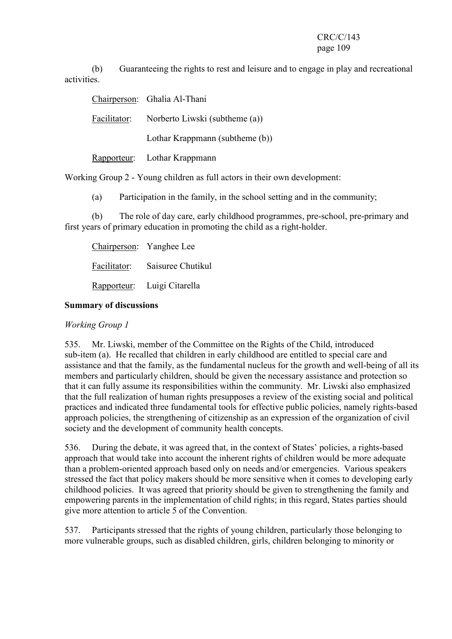(b) Guaranteeing the rights to rest and leisure and to engage in play and recreational activities.

Chairperson: Ghalia Al-Thani

Facilitator: Norberto Liwski (subtheme (a))

Lothar Krappmann (subtheme (b))

Rapporteur: Lothar Krappmann

Working Group 2 - Young children as full actors in their own development:

(a) Participation in the family, in the school setting and in the community;

 (b) The role of day care, early childhood programmes, pre-school, pre-primary and first years of primary education in promoting the child as a right-holder.

Chairperson: Yanghee Lee Facilitator: Saisuree Chutikul Rapporteur: Luigi Citarella

# Summary of discussions

Working Group 1

535. Mr. Liwski, member of the Committee on the Rights of the Child, introduced sub-item (a). He recalled that children in early childhood are entitled to special care and assistance and that the family, as the fundamental nucleus for the growth and well-being of all its members and particularly children, should be given the necessary assistance and protection so that it can fully assume its responsibilities within the community. Mr. Liwski also emphasized that the full realization of human rights presupposes a review of the existing social and political practices and indicated three fundamental tools for effective public policies, namely rights-based approach policies, the strengthening of citizenship as an expression of the organization of civil society and the development of community health concepts.

536. During the debate, it was agreed that, in the context of States' policies, a rights-based approach that would take into account the inherent rights of children would be more adequate than a problem-oriented approach based only on needs and/or emergencies. Various speakers stressed the fact that policy makers should be more sensitive when it comes to developing early childhood policies. It was agreed that priority should be given to strengthening the family and empowering parents in the implementation of child rights; in this regard, States parties should give more attention to article 5 of the Convention.

537. Participants stressed that the rights of young children, particularly those belonging to more vulnerable groups, such as disabled children, girls, children belonging to minority or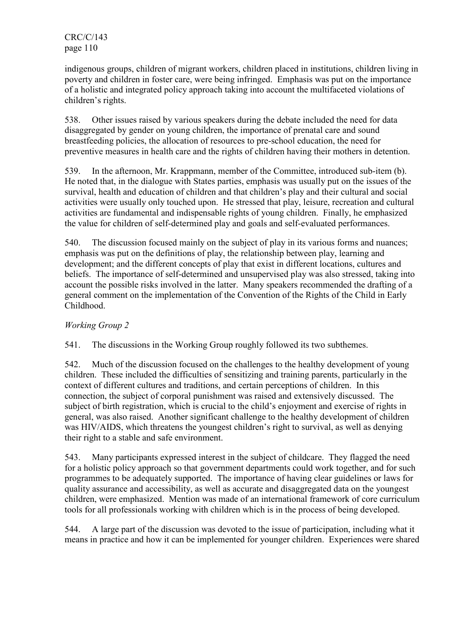indigenous groups, children of migrant workers, children placed in institutions, children living in poverty and children in foster care, were being infringed. Emphasis was put on the importance of a holistic and integrated policy approach taking into account the multifaceted violations of children's rights.

538. Other issues raised by various speakers during the debate included the need for data disaggregated by gender on young children, the importance of prenatal care and sound breastfeeding policies, the allocation of resources to pre-school education, the need for preventive measures in health care and the rights of children having their mothers in detention.

539. In the afternoon, Mr. Krappmann, member of the Committee, introduced sub-item (b). He noted that, in the dialogue with States parties, emphasis was usually put on the issues of the survival, health and education of children and that children's play and their cultural and social activities were usually only touched upon. He stressed that play, leisure, recreation and cultural activities are fundamental and indispensable rights of young children. Finally, he emphasized the value for children of self-determined play and goals and self-evaluated performances.

540. The discussion focused mainly on the subject of play in its various forms and nuances; emphasis was put on the definitions of play, the relationship between play, learning and development; and the different concepts of play that exist in different locations, cultures and beliefs. The importance of self-determined and unsupervised play was also stressed, taking into account the possible risks involved in the latter. Many speakers recommended the drafting of a general comment on the implementation of the Convention of the Rights of the Child in Early Childhood.

# Working Group 2

541. The discussions in the Working Group roughly followed its two subthemes.

542. Much of the discussion focused on the challenges to the healthy development of young children. These included the difficulties of sensitizing and training parents, particularly in the context of different cultures and traditions, and certain perceptions of children. In this connection, the subject of corporal punishment was raised and extensively discussed. The subject of birth registration, which is crucial to the child's enjoyment and exercise of rights in general, was also raised. Another significant challenge to the healthy development of children was HIV/AIDS, which threatens the youngest children's right to survival, as well as denying their right to a stable and safe environment.

543. Many participants expressed interest in the subject of childcare. They flagged the need for a holistic policy approach so that government departments could work together, and for such programmes to be adequately supported. The importance of having clear guidelines or laws for quality assurance and accessibility, as well as accurate and disaggregated data on the youngest children, were emphasized. Mention was made of an international framework of core curriculum tools for all professionals working with children which is in the process of being developed.

544. A large part of the discussion was devoted to the issue of participation, including what it means in practice and how it can be implemented for younger children. Experiences were shared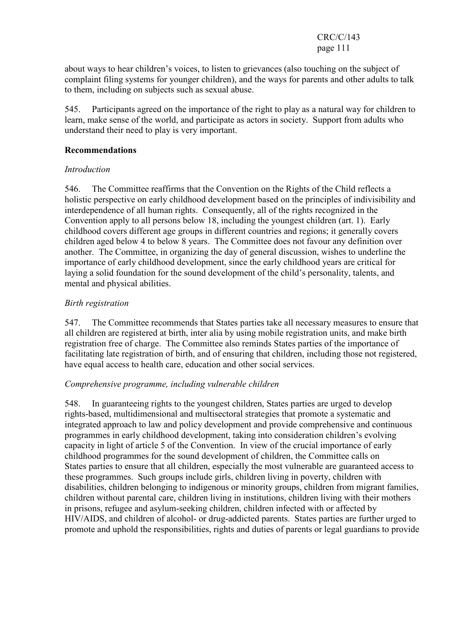about ways to hear children's voices, to listen to grievances (also touching on the subject of complaint filing systems for younger children), and the ways for parents and other adults to talk to them, including on subjects such as sexual abuse.

545. Participants agreed on the importance of the right to play as a natural way for children to learn, make sense of the world, and participate as actors in society. Support from adults who understand their need to play is very important.

#### Recommendations

#### Introduction

546. The Committee reaffirms that the Convention on the Rights of the Child reflects a holistic perspective on early childhood development based on the principles of indivisibility and interdependence of all human rights. Consequently, all of the rights recognized in the Convention apply to all persons below 18, including the youngest children (art. 1). Early childhood covers different age groups in different countries and regions; it generally covers children aged below 4 to below 8 years. The Committee does not favour any definition over another. The Committee, in organizing the day of general discussion, wishes to underline the importance of early childhood development, since the early childhood years are critical for laying a solid foundation for the sound development of the child's personality, talents, and mental and physical abilities.

## Birth registration

547. The Committee recommends that States parties take all necessary measures to ensure that all children are registered at birth, inter alia by using mobile registration units, and make birth registration free of charge. The Committee also reminds States parties of the importance of facilitating late registration of birth, and of ensuring that children, including those not registered, have equal access to health care, education and other social services.

## Comprehensive programme, including vulnerable children

548. In guaranteeing rights to the youngest children, States parties are urged to develop rights-based, multidimensional and multisectoral strategies that promote a systematic and integrated approach to law and policy development and provide comprehensive and continuous programmes in early childhood development, taking into consideration children's evolving capacity in light of article 5 of the Convention. In view of the crucial importance of early childhood programmes for the sound development of children, the Committee calls on States parties to ensure that all children, especially the most vulnerable are guaranteed access to these programmes. Such groups include girls, children living in poverty, children with disabilities, children belonging to indigenous or minority groups, children from migrant families, children without parental care, children living in institutions, children living with their mothers in prisons, refugee and asylum-seeking children, children infected with or affected by HIV/AIDS, and children of alcohol- or drug-addicted parents. States parties are further urged to promote and uphold the responsibilities, rights and duties of parents or legal guardians to provide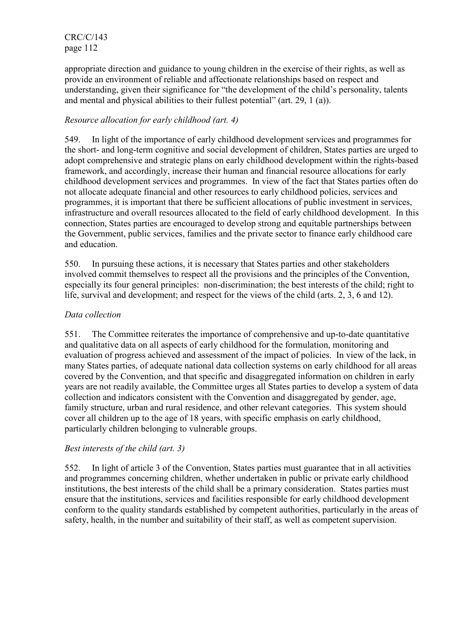appropriate direction and guidance to young children in the exercise of their rights, as well as provide an environment of reliable and affectionate relationships based on respect and understanding, given their significance for "the development of the child's personality, talents and mental and physical abilities to their fullest potential" (art. 29, 1 (a)).

# Resource allocation for early childhood (art. 4)

549. In light of the importance of early childhood development services and programmes for the short- and long-term cognitive and social development of children, States parties are urged to adopt comprehensive and strategic plans on early childhood development within the rights-based framework, and accordingly, increase their human and financial resource allocations for early childhood development services and programmes. In view of the fact that States parties often do not allocate adequate financial and other resources to early childhood policies, services and programmes, it is important that there be sufficient allocations of public investment in services, infrastructure and overall resources allocated to the field of early childhood development. In this connection, States parties are encouraged to develop strong and equitable partnerships between the Government, public services, families and the private sector to finance early childhood care and education.

550. In pursuing these actions, it is necessary that States parties and other stakeholders involved commit themselves to respect all the provisions and the principles of the Convention, especially its four general principles: non-discrimination; the best interests of the child; right to life, survival and development; and respect for the views of the child (arts. 2, 3, 6 and 12).

## Data collection

551. The Committee reiterates the importance of comprehensive and up-to-date quantitative and qualitative data on all aspects of early childhood for the formulation, monitoring and evaluation of progress achieved and assessment of the impact of policies. In view of the lack, in many States parties, of adequate national data collection systems on early childhood for all areas covered by the Convention, and that specific and disaggregated information on children in early years are not readily available, the Committee urges all States parties to develop a system of data collection and indicators consistent with the Convention and disaggregated by gender, age, family structure, urban and rural residence, and other relevant categories. This system should cover all children up to the age of 18 years, with specific emphasis on early childhood, particularly children belonging to vulnerable groups.

## Best interests of the child (art. 3)

552. In light of article 3 of the Convention, States parties must guarantee that in all activities and programmes concerning children, whether undertaken in public or private early childhood institutions, the best interests of the child shall be a primary consideration. States parties must ensure that the institutions, services and facilities responsible for early childhood development conform to the quality standards established by competent authorities, particularly in the areas of safety, health, in the number and suitability of their staff, as well as competent supervision.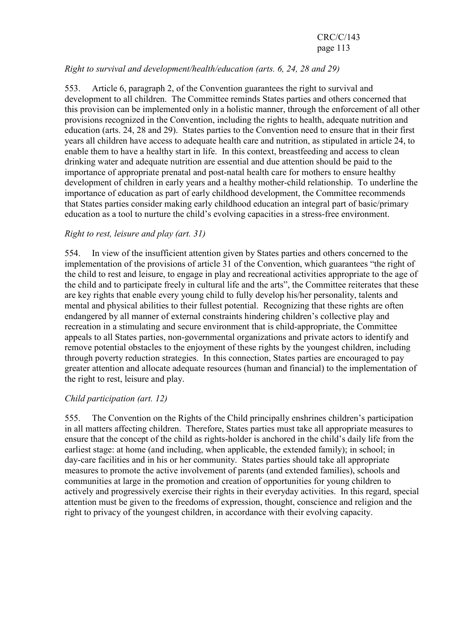# Right to survival and development/health/education (arts. 6, 24, 28 and 29)

553. Article 6, paragraph 2, of the Convention guarantees the right to survival and development to all children. The Committee reminds States parties and others concerned that this provision can be implemented only in a holistic manner, through the enforcement of all other provisions recognized in the Convention, including the rights to health, adequate nutrition and education (arts. 24, 28 and 29). States parties to the Convention need to ensure that in their first years all children have access to adequate health care and nutrition, as stipulated in article 24, to enable them to have a healthy start in life. In this context, breastfeeding and access to clean drinking water and adequate nutrition are essential and due attention should be paid to the importance of appropriate prenatal and post-natal health care for mothers to ensure healthy development of children in early years and a healthy mother-child relationship. To underline the importance of education as part of early childhood development, the Committee recommends that States parties consider making early childhood education an integral part of basic/primary education as a tool to nurture the child's evolving capacities in a stress-free environment.

## Right to rest, leisure and play (art. 31)

554. In view of the insufficient attention given by States parties and others concerned to the implementation of the provisions of article 31 of the Convention, which guarantees "the right of the child to rest and leisure, to engage in play and recreational activities appropriate to the age of the child and to participate freely in cultural life and the arts", the Committee reiterates that these are key rights that enable every young child to fully develop his/her personality, talents and mental and physical abilities to their fullest potential. Recognizing that these rights are often endangered by all manner of external constraints hindering children's collective play and recreation in a stimulating and secure environment that is child-appropriate, the Committee appeals to all States parties, non-governmental organizations and private actors to identify and remove potential obstacles to the enjoyment of these rights by the youngest children, including through poverty reduction strategies. In this connection, States parties are encouraged to pay greater attention and allocate adequate resources (human and financial) to the implementation of the right to rest, leisure and play.

## Child participation (art. 12)

555. The Convention on the Rights of the Child principally enshrines children's participation in all matters affecting children. Therefore, States parties must take all appropriate measures to ensure that the concept of the child as rights-holder is anchored in the child's daily life from the earliest stage: at home (and including, when applicable, the extended family); in school; in day-care facilities and in his or her community. States parties should take all appropriate measures to promote the active involvement of parents (and extended families), schools and communities at large in the promotion and creation of opportunities for young children to actively and progressively exercise their rights in their everyday activities. In this regard, special attention must be given to the freedoms of expression, thought, conscience and religion and the right to privacy of the youngest children, in accordance with their evolving capacity.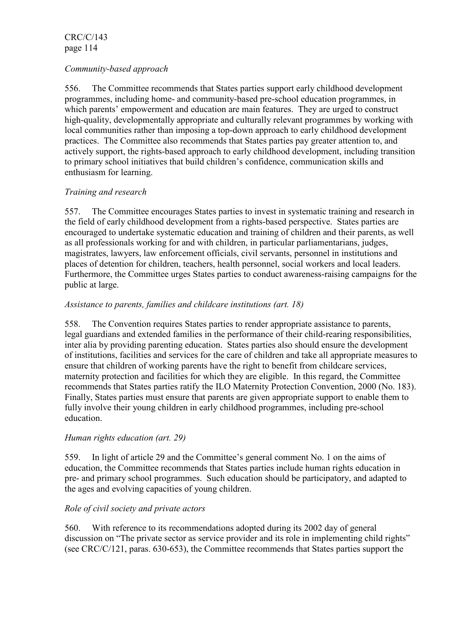## Community-based approach

556. The Committee recommends that States parties support early childhood development programmes, including home- and community-based pre-school education programmes, in which parents' empowerment and education are main features. They are urged to construct high-quality, developmentally appropriate and culturally relevant programmes by working with local communities rather than imposing a top-down approach to early childhood development practices. The Committee also recommends that States parties pay greater attention to, and actively support, the rights-based approach to early childhood development, including transition to primary school initiatives that build children's confidence, communication skills and enthusiasm for learning.

## Training and research

557. The Committee encourages States parties to invest in systematic training and research in the field of early childhood development from a rights-based perspective. States parties are encouraged to undertake systematic education and training of children and their parents, as well as all professionals working for and with children, in particular parliamentarians, judges, magistrates, lawyers, law enforcement officials, civil servants, personnel in institutions and places of detention for children, teachers, health personnel, social workers and local leaders. Furthermore, the Committee urges States parties to conduct awareness-raising campaigns for the public at large.

#### Assistance to parents, families and childcare institutions (art. 18)

558. The Convention requires States parties to render appropriate assistance to parents, legal guardians and extended families in the performance of their child-rearing responsibilities, inter alia by providing parenting education. States parties also should ensure the development of institutions, facilities and services for the care of children and take all appropriate measures to ensure that children of working parents have the right to benefit from childcare services, maternity protection and facilities for which they are eligible. In this regard, the Committee recommends that States parties ratify the ILO Maternity Protection Convention, 2000 (No. 183). Finally, States parties must ensure that parents are given appropriate support to enable them to fully involve their young children in early childhood programmes, including pre-school education.

#### Human rights education (art. 29)

559. In light of article 29 and the Committee's general comment No. 1 on the aims of education, the Committee recommends that States parties include human rights education in pre- and primary school programmes. Such education should be participatory, and adapted to the ages and evolving capacities of young children.

## Role of civil society and private actors

560. With reference to its recommendations adopted during its 2002 day of general discussion on "The private sector as service provider and its role in implementing child rights" (see CRC/C/121, paras. 630-653), the Committee recommends that States parties support the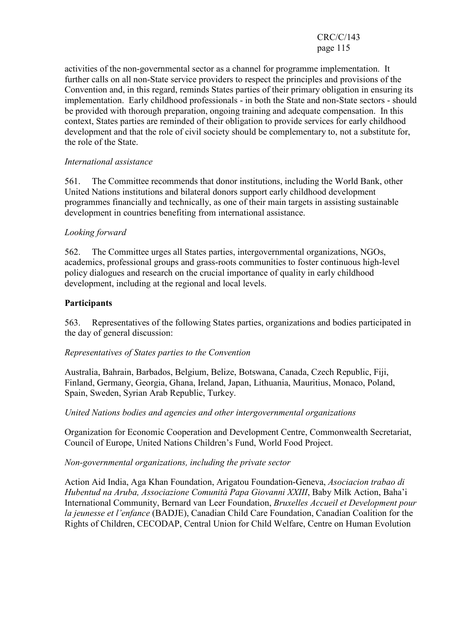activities of the non-governmental sector as a channel for programme implementation. It further calls on all non-State service providers to respect the principles and provisions of the Convention and, in this regard, reminds States parties of their primary obligation in ensuring its implementation. Early childhood professionals - in both the State and non-State sectors - should be provided with thorough preparation, ongoing training and adequate compensation. In this context, States parties are reminded of their obligation to provide services for early childhood development and that the role of civil society should be complementary to, not a substitute for, the role of the State.

#### International assistance

561. The Committee recommends that donor institutions, including the World Bank, other United Nations institutions and bilateral donors support early childhood development programmes financially and technically, as one of their main targets in assisting sustainable development in countries benefiting from international assistance.

## Looking forward

562. The Committee urges all States parties, intergovernmental organizations, NGOs, academics, professional groups and grass-roots communities to foster continuous high-level policy dialogues and research on the crucial importance of quality in early childhood development, including at the regional and local levels.

## **Participants**

563. Representatives of the following States parties, organizations and bodies participated in the day of general discussion:

#### Representatives of States parties to the Convention

Australia, Bahrain, Barbados, Belgium, Belize, Botswana, Canada, Czech Republic, Fiji, Finland, Germany, Georgia, Ghana, Ireland, Japan, Lithuania, Mauritius, Monaco, Poland, Spain, Sweden, Syrian Arab Republic, Turkey.

#### United Nations bodies and agencies and other intergovernmental organizations

Organization for Economic Cooperation and Development Centre, Commonwealth Secretariat, Council of Europe, United Nations Children's Fund, World Food Project.

#### Non-governmental organizations, including the private sector

Action Aid India, Aga Khan Foundation, Arigatou Foundation-Geneva, Asociacion trabao di Hubentud na Aruba, Associazione Comunità Papa Giovanni XXIII, Baby Milk Action, Baha'i International Community, Bernard van Leer Foundation, Bruxelles Accueil et Development pour la jeunesse et l'enfance (BADJE), Canadian Child Care Foundation, Canadian Coalition for the Rights of Children, CECODAP, Central Union for Child Welfare, Centre on Human Evolution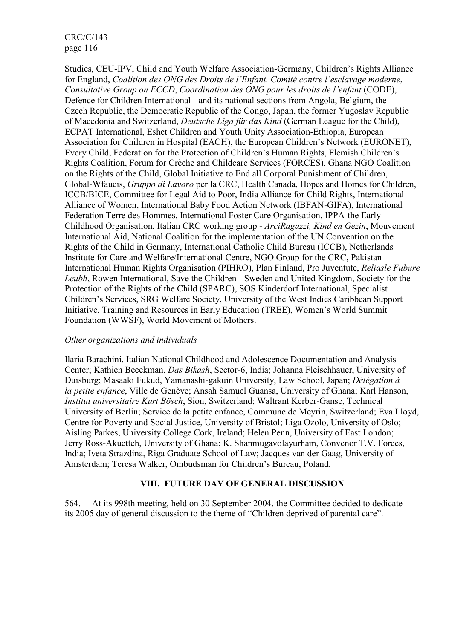Studies, CEU-IPV, Child and Youth Welfare Association-Germany, Children's Rights Alliance for England, Coalition des ONG des Droits de l'Enfant, Comité contre l'esclavage moderne, Consultative Group on ECCD, Coordination des ONG pour les droits de l'enfant (CODE), Defence for Children International - and its national sections from Angola, Belgium, the Czech Republic, the Democratic Republic of the Congo, Japan, the former Yugoslav Republic of Macedonia and Switzerland, Deutsche Liga für das Kind (German League for the Child), ECPAT International, Eshet Children and Youth Unity Association-Ethiopia, European Association for Children in Hospital (EACH), the European Children's Network (EURONET), Every Child, Federation for the Protection of Children's Human Rights, Flemish Children's Rights Coalition, Forum for Crèche and Childcare Services (FORCES), Ghana NGO Coalition on the Rights of the Child, Global Initiative to End all Corporal Punishment of Children, Global-Wfaucis, Gruppo di Lavoro per la CRC, Health Canada, Hopes and Homes for Children, ICCB/BICE, Committee for Legal Aid to Poor, India Alliance for Child Rights, International Alliance of Women, International Baby Food Action Network (IBFAN-GIFA), International Federation Terre des Hommes, International Foster Care Organisation, IPPA-the Early Childhood Organisation, Italian CRC working group - ArciRagazzi, Kind en Gezin, Mouvement International Aid, National Coalition for the implementation of the UN Convention on the Rights of the Child in Germany, International Catholic Child Bureau (ICCB), Netherlands Institute for Care and Welfare/International Centre, NGO Group for the CRC, Pakistan International Human Rights Organisation (PIHRO), Plan Finland, Pro Juventute, Reliasle Fubure Leubh, Rowen International, Save the Children - Sweden and United Kingdom, Society for the Protection of the Rights of the Child (SPARC), SOS Kinderdorf International, Specialist Children's Services, SRG Welfare Society, University of the West Indies Caribbean Support Initiative, Training and Resources in Early Education (TREE), Women's World Summit Foundation (WWSF), World Movement of Mothers.

#### Other organizations and individuals

Ilaria Barachini, Italian National Childhood and Adolescence Documentation and Analysis Center; Kathien Beeckman, Das Bikash, Sector-6, India; Johanna Fleischhauer, University of Duisburg; Masaaki Fukud, Yamanashi-gakuin University, Law School, Japan; Délégation à la petite enfance, Ville de Genève; Ansah Samuel Guansa, University of Ghana; Karl Hanson, Institut universitaire Kurt Bösch, Sion, Switzerland; Waltrant Kerber-Ganse, Technical University of Berlin; Service de la petite enfance, Commune de Meyrin, Switzerland; Eva Lloyd, Centre for Poverty and Social Justice, University of Bristol; Liga Ozolo, University of Oslo; Aisling Parkes, University College Cork, Ireland; Helen Penn, University of East London; Jerry Ross-Akuetteh, University of Ghana; K. Shanmugavolayurham, Convenor T.V. Forces, India; Iveta Strazdina, Riga Graduate School of Law; Jacques van der Gaag, University of Amsterdam; Teresa Walker, Ombudsman for Children's Bureau, Poland.

## VIII. FUTURE DAY OF GENERAL DISCUSSION

564. At its 998th meeting, held on 30 September 2004, the Committee decided to dedicate its 2005 day of general discussion to the theme of "Children deprived of parental care".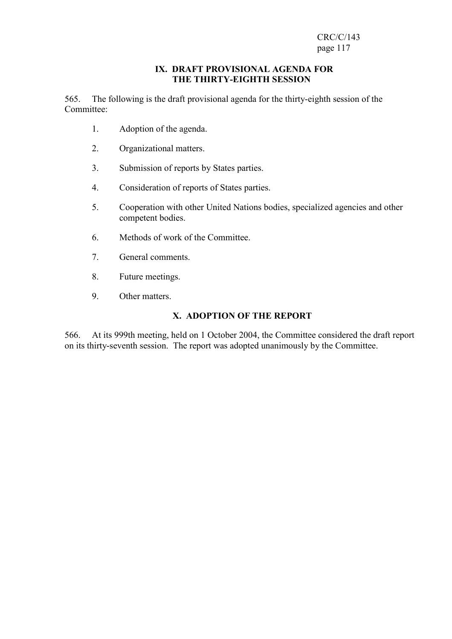#### IX. DRAFT PROVISIONAL AGENDA FOR THE THIRTY-EIGHTH SESSION

565. The following is the draft provisional agenda for the thirty-eighth session of the Committee:

- 1. Adoption of the agenda.
- 2. Organizational matters.
- 3. Submission of reports by States parties.
- 4. Consideration of reports of States parties.
- 5. Cooperation with other United Nations bodies, specialized agencies and other competent bodies.
- 6. Methods of work of the Committee.
- 7. General comments.
- 8. Future meetings.
- 9. Other matters.

## X. ADOPTION OF THE REPORT

566. At its 999th meeting, held on 1 October 2004, the Committee considered the draft report on its thirty-seventh session. The report was adopted unanimously by the Committee.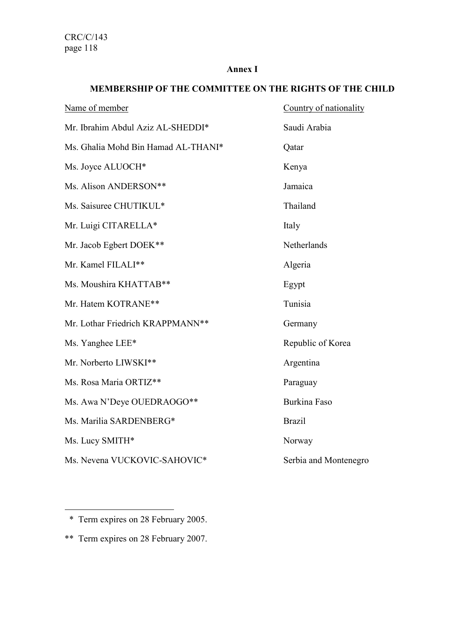#### Annex I

# MEMBERSHIP OF THE COMMITTEE ON THE RIGHTS OF THE CHILD

| Name of member                      | Country of nationality |
|-------------------------------------|------------------------|
| Mr. Ibrahim Abdul Aziz AL-SHEDDI*   | Saudi Arabia           |
| Ms. Ghalia Mohd Bin Hamad AL-THANI* | Qatar                  |
| Ms. Joyce ALUOCH*                   | Kenya                  |
| Ms. Alison ANDERSON**               | Jamaica                |
| Ms. Saisuree CHUTIKUL*              | Thailand               |
| Mr. Luigi CITARELLA*                | Italy                  |
| Mr. Jacob Egbert DOEK**             | Netherlands            |
| Mr. Kamel FILALI**                  | Algeria                |
| Ms. Moushira KHATTAB**              | Egypt                  |
| Mr. Hatem KOTRANE**                 | Tunisia                |
| Mr. Lothar Friedrich KRAPPMANN **   | Germany                |
| Ms. Yanghee LEE*                    | Republic of Korea      |
| Mr. Norberto LIWSKI**               | Argentina              |
| Ms. Rosa Maria ORTIZ**              | Paraguay               |
| Ms. Awa N'Deye OUEDRAOGO**          | <b>Burkina Faso</b>    |
| Ms. Marilia SARDENBERG*             | <b>Brazil</b>          |
| Ms. Lucy SMITH*                     | Norway                 |
| Ms. Nevena VUCKOVIC-SAHOVIC*        | Serbia and Montenegro  |
|                                     |                        |

 $\overline{a}$ 

 <sup>\*</sup> Term expires on 28 February 2005.

<sup>\*\*</sup> Term expires on 28 February 2007.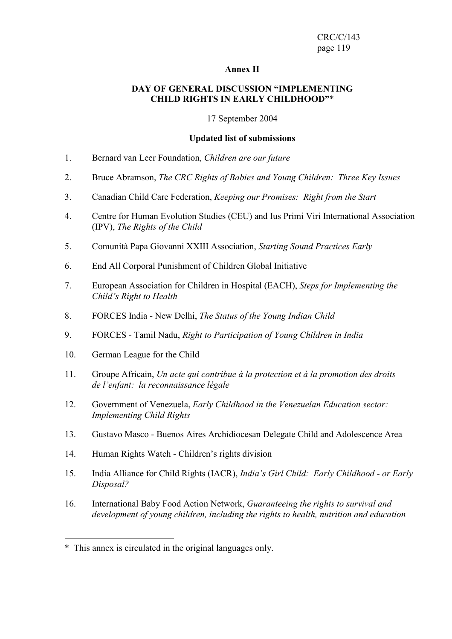#### Annex II

#### DAY OF GENERAL DISCUSSION "IMPLEMENTING CHILD RIGHTS IN EARLY CHILDHOOD"\*

17 September 2004

#### Updated list of submissions

- 1. Bernard van Leer Foundation, Children are our future
- 2. Bruce Abramson, The CRC Rights of Babies and Young Children: Three Key Issues
- 3. Canadian Child Care Federation, Keeping our Promises: Right from the Start
- 4. Centre for Human Evolution Studies (CEU) and Ius Primi Viri International Association (IPV), The Rights of the Child
- 5. Comunità Papa Giovanni XXIII Association, Starting Sound Practices Early
- 6. End All Corporal Punishment of Children Global Initiative
- 7. European Association for Children in Hospital (EACH), Steps for Implementing the Child's Right to Health
- 8. FORCES India New Delhi, The Status of the Young Indian Child
- 9. FORCES Tamil Nadu, Right to Participation of Young Children in India
- 10. German League for the Child

 $\overline{a}$ 

- 11. Groupe Africain, Un acte qui contribue à la protection et à la promotion des droits de l'enfant: la reconnaissance légale
- 12. Government of Venezuela, Early Childhood in the Venezuelan Education sector: Implementing Child Rights
- 13. Gustavo Masco Buenos Aires Archidiocesan Delegate Child and Adolescence Area
- 14. Human Rights Watch Children's rights division
- 15. India Alliance for Child Rights (IACR), India's Girl Child: Early Childhood or Early Disposal?
- 16. International Baby Food Action Network, Guaranteeing the rights to survival and development of young children, including the rights to health, nutrition and education

<sup>\*</sup> This annex is circulated in the original languages only.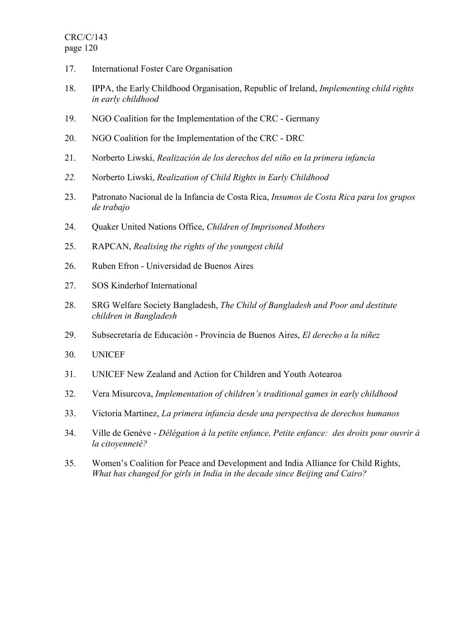- 17. International Foster Care Organisation
- 18. IPPA, the Early Childhood Organisation, Republic of Ireland, Implementing child rights in early childhood
- 19. NGO Coalition for the Implementation of the CRC Germany
- 20. NGO Coalition for the Implementation of the CRC DRC
- 21. Norberto Liwski, Realización de los derechos del niño en la primera infancia
- 22. Norberto Liwski, Realization of Child Rights in Early Childhood
- 23. Patronato Nacional de la Infancia de Costa Rica, Insumos de Costa Rica para los grupos de trabajo
- 24. Quaker United Nations Office, Children of Imprisoned Mothers
- 25. RAPCAN, Realising the rights of the youngest child
- 26. Ruben Efron Universidad de Buenos Aires
- 27. SOS Kinderhof International
- 28. SRG Welfare Society Bangladesh, The Child of Bangladesh and Poor and destitute children in Bangladesh
- 29. Subsecretaría de Educación Provincia de Buenos Aires, El derecho a la niñez
- 30. UNICEF
- 31. UNICEF New Zealand and Action for Children and Youth Aotearoa
- 32. Vera Misurcova, Implementation of children's traditional games in early childhood
- 33. Victoria Martinez, La primera infancia desde una perspectiva de derechos humanos
- 34. Ville de Genève Délégation à la petite enfance, Petite enfance: des droits pour ouvrir à la citoyenneté?
- 35. Women's Coalition for Peace and Development and India Alliance for Child Rights, What has changed for girls in India in the decade since Beijing and Cairo?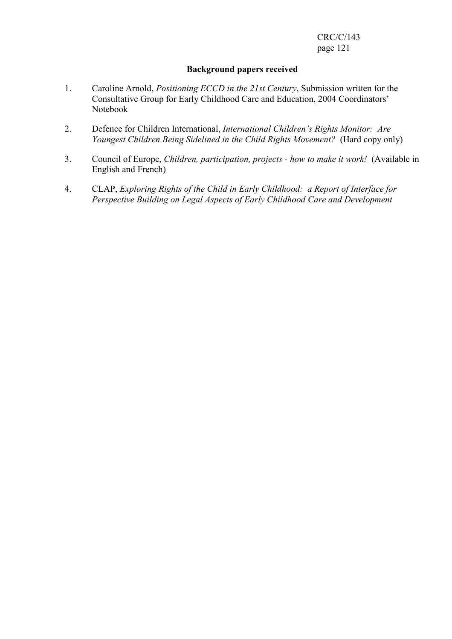#### Background papers received

- 1. Caroline Arnold, Positioning ECCD in the 21st Century, Submission written for the Consultative Group for Early Childhood Care and Education, 2004 Coordinators' Notebook
- 2. Defence for Children International, International Children's Rights Monitor: Are Youngest Children Being Sidelined in the Child Rights Movement? (Hard copy only)
- 3. Council of Europe, Children, participation, projects how to make it work! (Available in English and French)
- 4. CLAP, Exploring Rights of the Child in Early Childhood: a Report of Interface for Perspective Building on Legal Aspects of Early Childhood Care and Development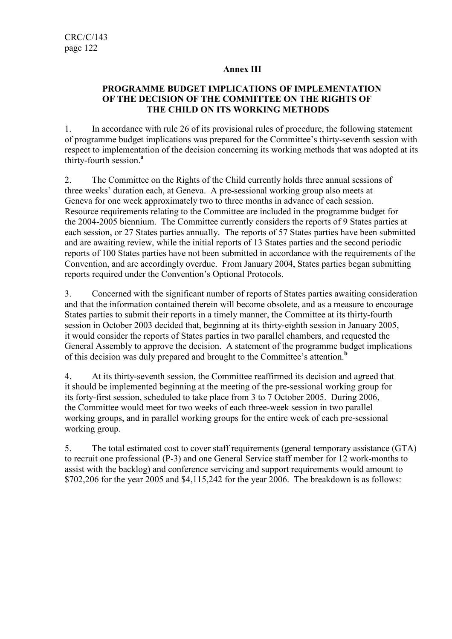## Annex III

## PROGRAMME BUDGET IMPLICATIONS OF IMPLEMENTATION OF THE DECISION OF THE COMMITTEE ON THE RIGHTS OF THE CHILD ON ITS WORKING METHODS

1. In accordance with rule 26 of its provisional rules of procedure, the following statement of programme budget implications was prepared for the Committee's thirty-seventh session with respect to implementation of the decision concerning its working methods that was adopted at its thirty-fourth session.<sup>a</sup>

2. The Committee on the Rights of the Child currently holds three annual sessions of three weeks' duration each, at Geneva. A pre-sessional working group also meets at Geneva for one week approximately two to three months in advance of each session. Resource requirements relating to the Committee are included in the programme budget for the 2004-2005 biennium. The Committee currently considers the reports of 9 States parties at each session, or 27 States parties annually. The reports of 57 States parties have been submitted and are awaiting review, while the initial reports of 13 States parties and the second periodic reports of 100 States parties have not been submitted in accordance with the requirements of the Convention, and are accordingly overdue. From January 2004, States parties began submitting reports required under the Convention's Optional Protocols.

3. Concerned with the significant number of reports of States parties awaiting consideration and that the information contained therein will become obsolete, and as a measure to encourage States parties to submit their reports in a timely manner, the Committee at its thirty-fourth session in October 2003 decided that, beginning at its thirty-eighth session in January 2005, it would consider the reports of States parties in two parallel chambers, and requested the General Assembly to approve the decision. A statement of the programme budget implications of this decision was duly prepared and brought to the Committee's attention.<sup>b</sup>

4. At its thirty-seventh session, the Committee reaffirmed its decision and agreed that it should be implemented beginning at the meeting of the pre-sessional working group for its forty-first session, scheduled to take place from 3 to 7 October 2005. During 2006, the Committee would meet for two weeks of each three-week session in two parallel working groups, and in parallel working groups for the entire week of each pre-sessional working group.

5. The total estimated cost to cover staff requirements (general temporary assistance (GTA) to recruit one professional (P-3) and one General Service staff member for 12 work-months to assist with the backlog) and conference servicing and support requirements would amount to \$702,206 for the year 2005 and \$4,115,242 for the year 2006. The breakdown is as follows: